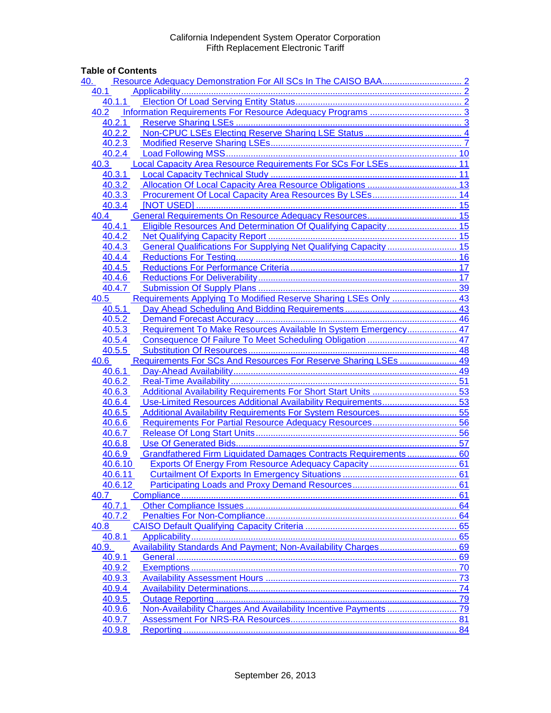### **Table of Contents**

| 40.                                                                        |    |
|----------------------------------------------------------------------------|----|
| 40.1                                                                       |    |
| 40.1.1                                                                     |    |
| 40.2                                                                       |    |
| 40.2.1                                                                     |    |
| 40.2.2                                                                     |    |
| 40.2.3                                                                     |    |
| 40.2.4                                                                     |    |
| Local Capacity Area Resource Requirements For SCs For LSEs 11<br>40.3      |    |
| 40.3.1                                                                     |    |
| 40.3.2                                                                     |    |
| 40.3.3                                                                     |    |
| 40.3.4                                                                     |    |
| 40.4                                                                       |    |
| Eligible Resources And Determination Of Qualifying Capacity 15<br>40.4.1   |    |
| 40.4.2                                                                     |    |
| General Qualifications For Supplying Net Qualifying Capacity  15<br>40.4.3 |    |
| 40.4.4                                                                     |    |
| 40.4.5                                                                     |    |
| 40.4.6                                                                     |    |
| 40.4.7                                                                     |    |
| Requirements Applying To Modified Reserve Sharing LSEs Only  43<br>40.5    |    |
| 40.5.1                                                                     |    |
| 40.5.2                                                                     |    |
| Requirement To Make Resources Available In System Emergency 47<br>40.5.3   |    |
| 40.5.4                                                                     |    |
| 40.5.5                                                                     |    |
| Requirements For SCs And Resources For Reserve Sharing LSEs  49<br>40.6    |    |
| 40.6.1                                                                     |    |
| 40.6.2                                                                     |    |
| 40.6.3                                                                     |    |
| Use-Limited Resources Additional Availability Requirements 53<br>40.6.4    |    |
| 40.6.5                                                                     |    |
| 40.6.6                                                                     |    |
| 40.6.7                                                                     |    |
| 40.6.8                                                                     |    |
| Grandfathered Firm Liquidated Damages Contracts Requirements 60<br>40.6.9  |    |
| 40.6.10                                                                    |    |
| 40.6.11                                                                    |    |
| 40.6.12                                                                    |    |
| 40.7                                                                       |    |
| 40.7.1                                                                     |    |
| 40.7.2                                                                     |    |
| 40.8                                                                       |    |
| 40.8.1                                                                     |    |
| 40.9.                                                                      |    |
| 40.9.1                                                                     | 69 |
| 40.9.2                                                                     | 70 |
| 40.9.3                                                                     |    |
| 40.9.4                                                                     |    |
| 40.9.5                                                                     |    |
| 40.9.6                                                                     |    |
| 40.9.7                                                                     |    |
| 40.9.8                                                                     |    |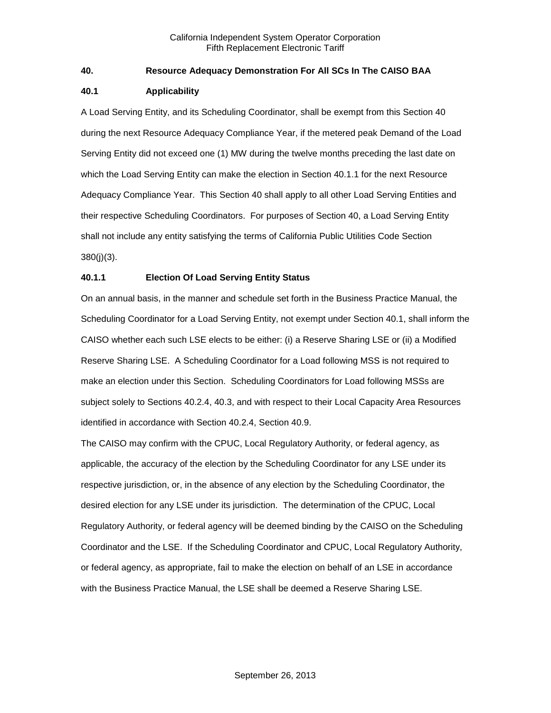#### <span id="page-1-0"></span>**40. Resource Adequacy Demonstration For All SCs In The CAISO BAA**

#### <span id="page-1-1"></span>**40.1 Applicability**

A Load Serving Entity, and its Scheduling Coordinator, shall be exempt from this Section 40 during the next Resource Adequacy Compliance Year, if the metered peak Demand of the Load Serving Entity did not exceed one (1) MW during the twelve months preceding the last date on which the Load Serving Entity can make the election in Section 40.1.1 for the next Resource Adequacy Compliance Year. This Section 40 shall apply to all other Load Serving Entities and their respective Scheduling Coordinators. For purposes of Section 40, a Load Serving Entity shall not include any entity satisfying the terms of California Public Utilities Code Section 380(j)(3).

### <span id="page-1-2"></span>**40.1.1 Election Of Load Serving Entity Status**

On an annual basis, in the manner and schedule set forth in the Business Practice Manual, the Scheduling Coordinator for a Load Serving Entity, not exempt under Section 40.1, shall inform the CAISO whether each such LSE elects to be either: (i) a Reserve Sharing LSE or (ii) a Modified Reserve Sharing LSE. A Scheduling Coordinator for a Load following MSS is not required to make an election under this Section. Scheduling Coordinators for Load following MSSs are subject solely to Sections 40.2.4, 40.3, and with respect to their Local Capacity Area Resources identified in accordance with Section 40.2.4, Section 40.9.

The CAISO may confirm with the CPUC, Local Regulatory Authority, or federal agency, as applicable, the accuracy of the election by the Scheduling Coordinator for any LSE under its respective jurisdiction, or, in the absence of any election by the Scheduling Coordinator, the desired election for any LSE under its jurisdiction. The determination of the CPUC, Local Regulatory Authority, or federal agency will be deemed binding by the CAISO on the Scheduling Coordinator and the LSE. If the Scheduling Coordinator and CPUC, Local Regulatory Authority, or federal agency, as appropriate, fail to make the election on behalf of an LSE in accordance with the Business Practice Manual, the LSE shall be deemed a Reserve Sharing LSE.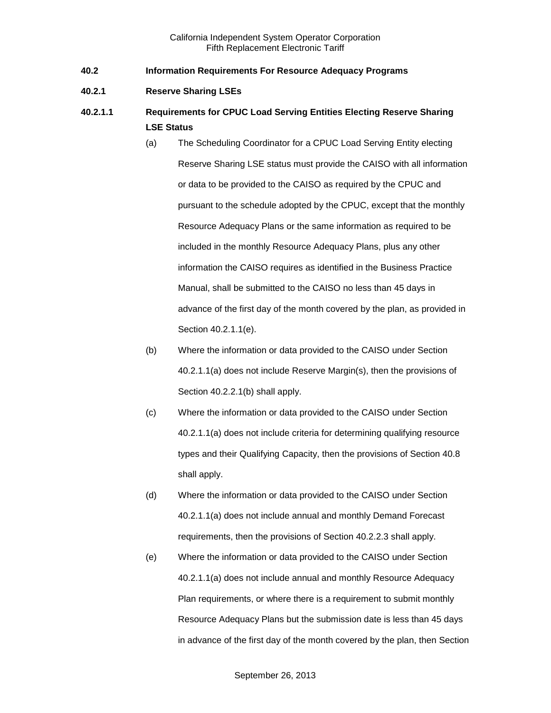- <span id="page-2-0"></span>**40.2 Information Requirements For Resource Adequacy Programs**
- <span id="page-2-1"></span>**40.2.1 Reserve Sharing LSEs**
- **40.2.1.1 Requirements for CPUC Load Serving Entities Electing Reserve Sharing LSE Status**
	- (a) The Scheduling Coordinator for a CPUC Load Serving Entity electing Reserve Sharing LSE status must provide the CAISO with all information or data to be provided to the CAISO as required by the CPUC and pursuant to the schedule adopted by the CPUC, except that the monthly Resource Adequacy Plans or the same information as required to be included in the monthly Resource Adequacy Plans, plus any other information the CAISO requires as identified in the Business Practice Manual, shall be submitted to the CAISO no less than 45 days in advance of the first day of the month covered by the plan, as provided in Section 40.2.1.1(e).
	- (b) Where the information or data provided to the CAISO under Section 40.2.1.1(a) does not include Reserve Margin(s), then the provisions of Section 40.2.2.1(b) shall apply.
	- (c) Where the information or data provided to the CAISO under Section 40.2.1.1(a) does not include criteria for determining qualifying resource types and their Qualifying Capacity, then the provisions of Section 40.8 shall apply.
	- (d) Where the information or data provided to the CAISO under Section 40.2.1.1(a) does not include annual and monthly Demand Forecast requirements, then the provisions of Section 40.2.2.3 shall apply.
	- (e) Where the information or data provided to the CAISO under Section 40.2.1.1(a) does not include annual and monthly Resource Adequacy Plan requirements, or where there is a requirement to submit monthly Resource Adequacy Plans but the submission date is less than 45 days in advance of the first day of the month covered by the plan, then Section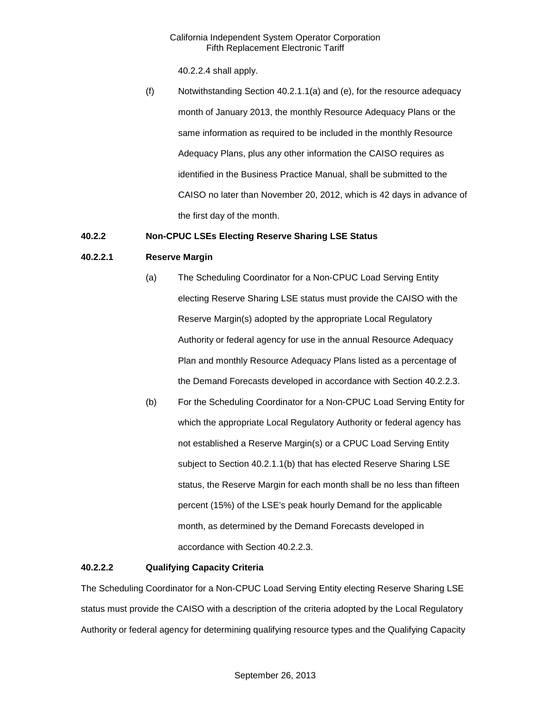40.2.2.4 shall apply.

(f) Notwithstanding Section 40.2.1.1(a) and (e), for the resource adequacy month of January 2013, the monthly Resource Adequacy Plans or the same information as required to be included in the monthly Resource Adequacy Plans, plus any other information the CAISO requires as identified in the Business Practice Manual, shall be submitted to the CAISO no later than November 20, 2012, which is 42 days in advance of the first day of the month.

#### <span id="page-3-0"></span>**40.2.2 Non-CPUC LSEs Electing Reserve Sharing LSE Status**

#### **40.2.2.1 Reserve Margin**

- (a) The Scheduling Coordinator for a Non-CPUC Load Serving Entity electing Reserve Sharing LSE status must provide the CAISO with the Reserve Margin(s) adopted by the appropriate Local Regulatory Authority or federal agency for use in the annual Resource Adequacy Plan and monthly Resource Adequacy Plans listed as a percentage of the Demand Forecasts developed in accordance with Section 40.2.2.3.
- (b) For the Scheduling Coordinator for a Non-CPUC Load Serving Entity for which the appropriate Local Regulatory Authority or federal agency has not established a Reserve Margin(s) or a CPUC Load Serving Entity subject to Section 40.2.1.1(b) that has elected Reserve Sharing LSE status, the Reserve Margin for each month shall be no less than fifteen percent (15%) of the LSE's peak hourly Demand for the applicable month, as determined by the Demand Forecasts developed in accordance with Section 40.2.2.3.

#### **40.2.2.2 Qualifying Capacity Criteria**

The Scheduling Coordinator for a Non-CPUC Load Serving Entity electing Reserve Sharing LSE status must provide the CAISO with a description of the criteria adopted by the Local Regulatory Authority or federal agency for determining qualifying resource types and the Qualifying Capacity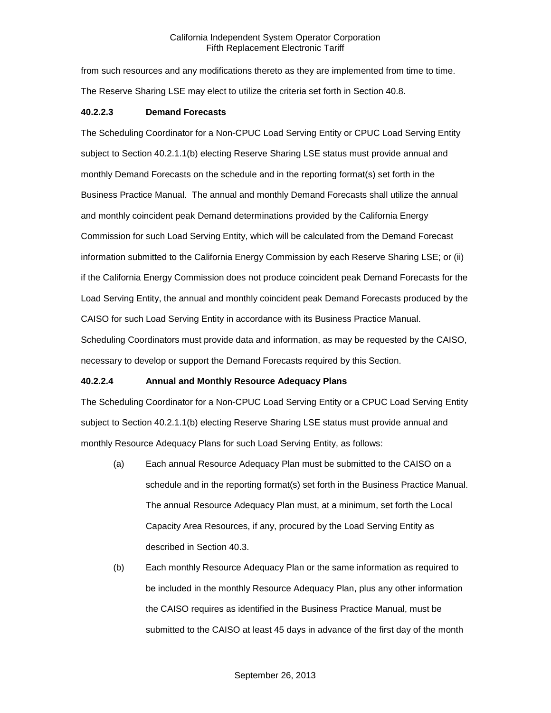from such resources and any modifications thereto as they are implemented from time to time. The Reserve Sharing LSE may elect to utilize the criteria set forth in Section 40.8.

#### **40.2.2.3 Demand Forecasts**

The Scheduling Coordinator for a Non-CPUC Load Serving Entity or CPUC Load Serving Entity subject to Section 40.2.1.1(b) electing Reserve Sharing LSE status must provide annual and monthly Demand Forecasts on the schedule and in the reporting format(s) set forth in the Business Practice Manual. The annual and monthly Demand Forecasts shall utilize the annual and monthly coincident peak Demand determinations provided by the California Energy Commission for such Load Serving Entity, which will be calculated from the Demand Forecast information submitted to the California Energy Commission by each Reserve Sharing LSE; or (ii) if the California Energy Commission does not produce coincident peak Demand Forecasts for the Load Serving Entity, the annual and monthly coincident peak Demand Forecasts produced by the CAISO for such Load Serving Entity in accordance with its Business Practice Manual. Scheduling Coordinators must provide data and information, as may be requested by the CAISO, necessary to develop or support the Demand Forecasts required by this Section.

#### **40.2.2.4 Annual and Monthly Resource Adequacy Plans**

The Scheduling Coordinator for a Non-CPUC Load Serving Entity or a CPUC Load Serving Entity subject to Section 40.2.1.1(b) electing Reserve Sharing LSE status must provide annual and monthly Resource Adequacy Plans for such Load Serving Entity, as follows:

- (a) Each annual Resource Adequacy Plan must be submitted to the CAISO on a schedule and in the reporting format(s) set forth in the Business Practice Manual. The annual Resource Adequacy Plan must, at a minimum, set forth the Local Capacity Area Resources, if any, procured by the Load Serving Entity as described in Section 40.3.
- (b) Each monthly Resource Adequacy Plan or the same information as required to be included in the monthly Resource Adequacy Plan, plus any other information the CAISO requires as identified in the Business Practice Manual, must be submitted to the CAISO at least 45 days in advance of the first day of the month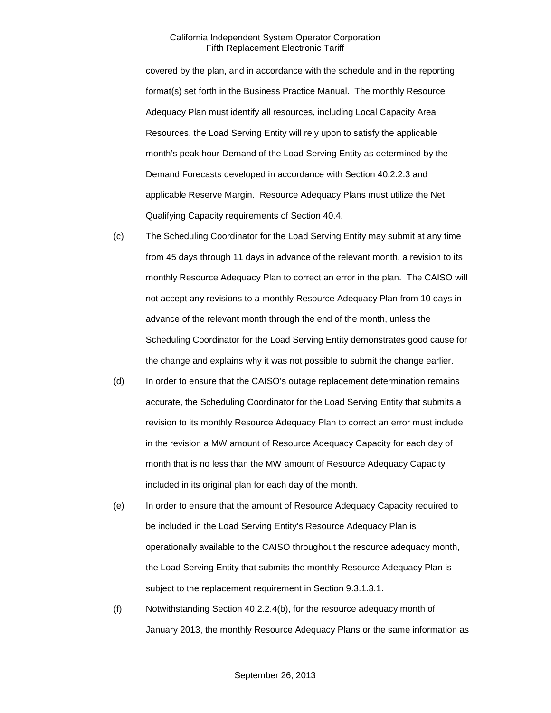covered by the plan, and in accordance with the schedule and in the reporting format(s) set forth in the Business Practice Manual. The monthly Resource Adequacy Plan must identify all resources, including Local Capacity Area Resources, the Load Serving Entity will rely upon to satisfy the applicable month's peak hour Demand of the Load Serving Entity as determined by the Demand Forecasts developed in accordance with Section 40.2.2.3 and applicable Reserve Margin. Resource Adequacy Plans must utilize the Net Qualifying Capacity requirements of Section 40.4.

- (c) The Scheduling Coordinator for the Load Serving Entity may submit at any time from 45 days through 11 days in advance of the relevant month, a revision to its monthly Resource Adequacy Plan to correct an error in the plan. The CAISO will not accept any revisions to a monthly Resource Adequacy Plan from 10 days in advance of the relevant month through the end of the month, unless the Scheduling Coordinator for the Load Serving Entity demonstrates good cause for the change and explains why it was not possible to submit the change earlier.
- (d) In order to ensure that the CAISO's outage replacement determination remains accurate, the Scheduling Coordinator for the Load Serving Entity that submits a revision to its monthly Resource Adequacy Plan to correct an error must include in the revision a MW amount of Resource Adequacy Capacity for each day of month that is no less than the MW amount of Resource Adequacy Capacity included in its original plan for each day of the month.
- (e) In order to ensure that the amount of Resource Adequacy Capacity required to be included in the Load Serving Entity's Resource Adequacy Plan is operationally available to the CAISO throughout the resource adequacy month, the Load Serving Entity that submits the monthly Resource Adequacy Plan is subject to the replacement requirement in Section 9.3.1.3.1.
- (f) Notwithstanding Section 40.2.2.4(b), for the resource adequacy month of January 2013, the monthly Resource Adequacy Plans or the same information as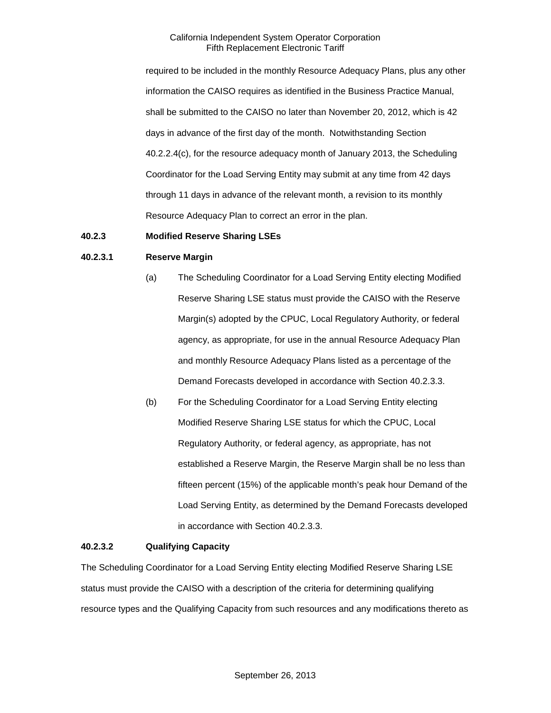required to be included in the monthly Resource Adequacy Plans, plus any other information the CAISO requires as identified in the Business Practice Manual, shall be submitted to the CAISO no later than November 20, 2012, which is 42 days in advance of the first day of the month. Notwithstanding Section 40.2.2.4(c), for the resource adequacy month of January 2013, the Scheduling Coordinator for the Load Serving Entity may submit at any time from 42 days through 11 days in advance of the relevant month, a revision to its monthly Resource Adequacy Plan to correct an error in the plan.

#### <span id="page-6-0"></span>**40.2.3 Modified Reserve Sharing LSEs**

#### **40.2.3.1 Reserve Margin**

- (a) The Scheduling Coordinator for a Load Serving Entity electing Modified Reserve Sharing LSE status must provide the CAISO with the Reserve Margin(s) adopted by the CPUC, Local Regulatory Authority, or federal agency, as appropriate, for use in the annual Resource Adequacy Plan and monthly Resource Adequacy Plans listed as a percentage of the Demand Forecasts developed in accordance with Section 40.2.3.3.
- (b) For the Scheduling Coordinator for a Load Serving Entity electing Modified Reserve Sharing LSE status for which the CPUC, Local Regulatory Authority, or federal agency, as appropriate, has not established a Reserve Margin, the Reserve Margin shall be no less than fifteen percent (15%) of the applicable month's peak hour Demand of the Load Serving Entity, as determined by the Demand Forecasts developed in accordance with Section 40.2.3.3.

#### **40.2.3.2 Qualifying Capacity**

The Scheduling Coordinator for a Load Serving Entity electing Modified Reserve Sharing LSE status must provide the CAISO with a description of the criteria for determining qualifying resource types and the Qualifying Capacity from such resources and any modifications thereto as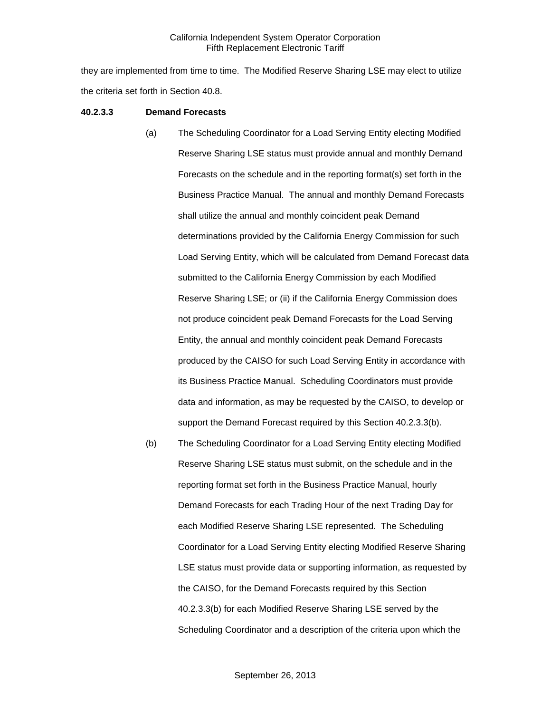they are implemented from time to time. The Modified Reserve Sharing LSE may elect to utilize the criteria set forth in Section 40.8.

#### **40.2.3.3 Demand Forecasts**

- (a) The Scheduling Coordinator for a Load Serving Entity electing Modified Reserve Sharing LSE status must provide annual and monthly Demand Forecasts on the schedule and in the reporting format(s) set forth in the Business Practice Manual. The annual and monthly Demand Forecasts shall utilize the annual and monthly coincident peak Demand determinations provided by the California Energy Commission for such Load Serving Entity, which will be calculated from Demand Forecast data submitted to the California Energy Commission by each Modified Reserve Sharing LSE; or (ii) if the California Energy Commission does not produce coincident peak Demand Forecasts for the Load Serving Entity, the annual and monthly coincident peak Demand Forecasts produced by the CAISO for such Load Serving Entity in accordance with its Business Practice Manual. Scheduling Coordinators must provide data and information, as may be requested by the CAISO, to develop or support the Demand Forecast required by this Section 40.2.3.3(b).
- (b) The Scheduling Coordinator for a Load Serving Entity electing Modified Reserve Sharing LSE status must submit, on the schedule and in the reporting format set forth in the Business Practice Manual, hourly Demand Forecasts for each Trading Hour of the next Trading Day for each Modified Reserve Sharing LSE represented. The Scheduling Coordinator for a Load Serving Entity electing Modified Reserve Sharing LSE status must provide data or supporting information, as requested by the CAISO, for the Demand Forecasts required by this Section 40.2.3.3(b) for each Modified Reserve Sharing LSE served by the Scheduling Coordinator and a description of the criteria upon which the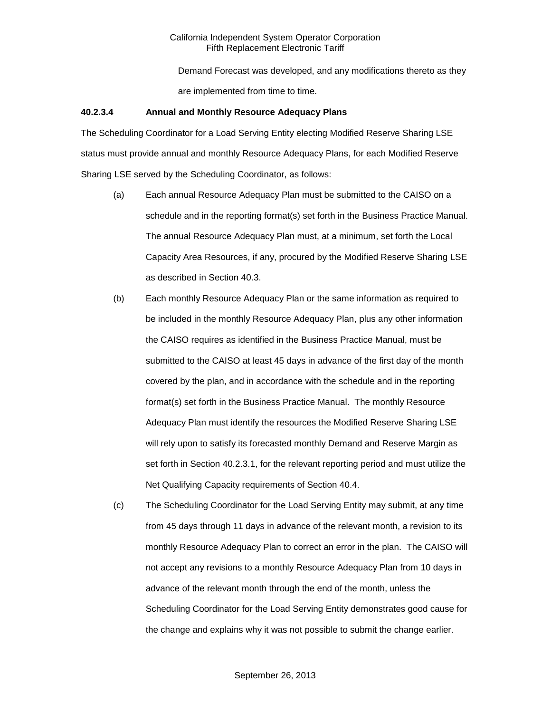Demand Forecast was developed, and any modifications thereto as they are implemented from time to time.

#### **40.2.3.4 Annual and Monthly Resource Adequacy Plans**

The Scheduling Coordinator for a Load Serving Entity electing Modified Reserve Sharing LSE status must provide annual and monthly Resource Adequacy Plans, for each Modified Reserve Sharing LSE served by the Scheduling Coordinator, as follows:

- (a) Each annual Resource Adequacy Plan must be submitted to the CAISO on a schedule and in the reporting format(s) set forth in the Business Practice Manual. The annual Resource Adequacy Plan must, at a minimum, set forth the Local Capacity Area Resources, if any, procured by the Modified Reserve Sharing LSE as described in Section 40.3.
- (b) Each monthly Resource Adequacy Plan or the same information as required to be included in the monthly Resource Adequacy Plan, plus any other information the CAISO requires as identified in the Business Practice Manual, must be submitted to the CAISO at least 45 days in advance of the first day of the month covered by the plan, and in accordance with the schedule and in the reporting format(s) set forth in the Business Practice Manual. The monthly Resource Adequacy Plan must identify the resources the Modified Reserve Sharing LSE will rely upon to satisfy its forecasted monthly Demand and Reserve Margin as set forth in Section 40.2.3.1, for the relevant reporting period and must utilize the Net Qualifying Capacity requirements of Section 40.4.
- (c) The Scheduling Coordinator for the Load Serving Entity may submit, at any time from 45 days through 11 days in advance of the relevant month, a revision to its monthly Resource Adequacy Plan to correct an error in the plan. The CAISO will not accept any revisions to a monthly Resource Adequacy Plan from 10 days in advance of the relevant month through the end of the month, unless the Scheduling Coordinator for the Load Serving Entity demonstrates good cause for the change and explains why it was not possible to submit the change earlier.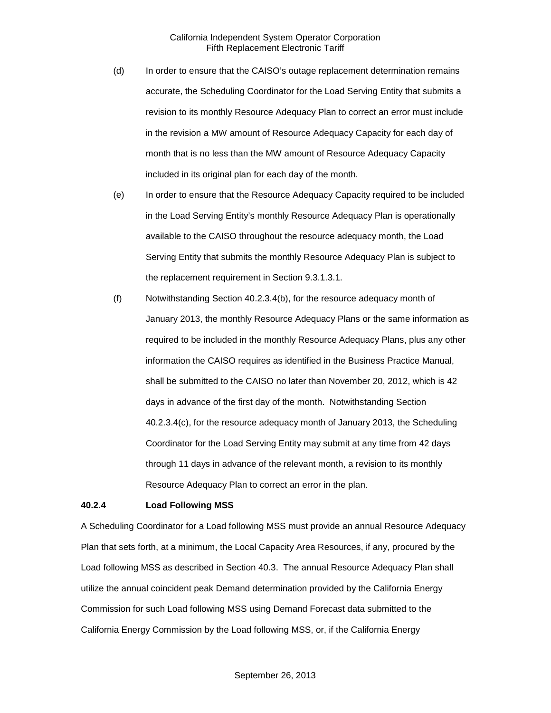- (d) In order to ensure that the CAISO's outage replacement determination remains accurate, the Scheduling Coordinator for the Load Serving Entity that submits a revision to its monthly Resource Adequacy Plan to correct an error must include in the revision a MW amount of Resource Adequacy Capacity for each day of month that is no less than the MW amount of Resource Adequacy Capacity included in its original plan for each day of the month.
- (e) In order to ensure that the Resource Adequacy Capacity required to be included in the Load Serving Entity's monthly Resource Adequacy Plan is operationally available to the CAISO throughout the resource adequacy month, the Load Serving Entity that submits the monthly Resource Adequacy Plan is subject to the replacement requirement in Section 9.3.1.3.1.
- (f) Notwithstanding Section 40.2.3.4(b), for the resource adequacy month of January 2013, the monthly Resource Adequacy Plans or the same information as required to be included in the monthly Resource Adequacy Plans, plus any other information the CAISO requires as identified in the Business Practice Manual, shall be submitted to the CAISO no later than November 20, 2012, which is 42 days in advance of the first day of the month. Notwithstanding Section 40.2.3.4(c), for the resource adequacy month of January 2013, the Scheduling Coordinator for the Load Serving Entity may submit at any time from 42 days through 11 days in advance of the relevant month, a revision to its monthly Resource Adequacy Plan to correct an error in the plan.

#### <span id="page-9-0"></span>**40.2.4 Load Following MSS**

A Scheduling Coordinator for a Load following MSS must provide an annual Resource Adequacy Plan that sets forth, at a minimum, the Local Capacity Area Resources, if any, procured by the Load following MSS as described in Section 40.3. The annual Resource Adequacy Plan shall utilize the annual coincident peak Demand determination provided by the California Energy Commission for such Load following MSS using Demand Forecast data submitted to the California Energy Commission by the Load following MSS, or, if the California Energy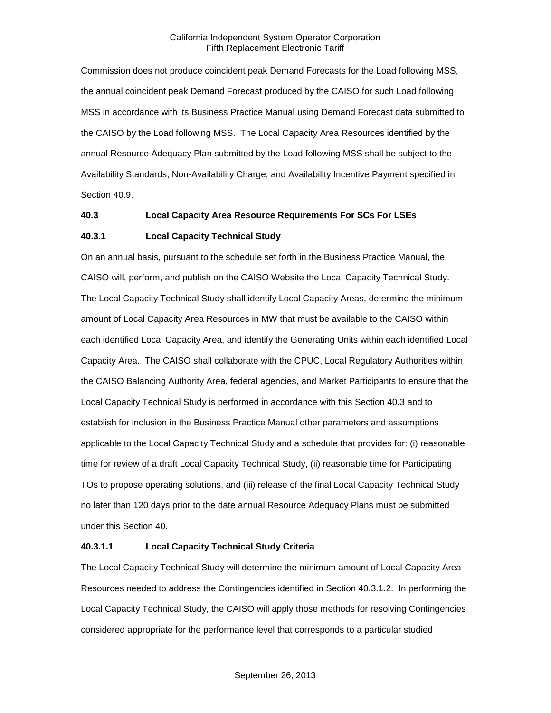Commission does not produce coincident peak Demand Forecasts for the Load following MSS, the annual coincident peak Demand Forecast produced by the CAISO for such Load following MSS in accordance with its Business Practice Manual using Demand Forecast data submitted to the CAISO by the Load following MSS. The Local Capacity Area Resources identified by the annual Resource Adequacy Plan submitted by the Load following MSS shall be subject to the Availability Standards, Non-Availability Charge, and Availability Incentive Payment specified in Section 40.9.

#### <span id="page-10-0"></span>**40.3 Local Capacity Area Resource Requirements For SCs For LSEs**

#### <span id="page-10-1"></span>**40.3.1 Local Capacity Technical Study**

On an annual basis, pursuant to the schedule set forth in the Business Practice Manual, the CAISO will, perform, and publish on the CAISO Website the Local Capacity Technical Study. The Local Capacity Technical Study shall identify Local Capacity Areas, determine the minimum amount of Local Capacity Area Resources in MW that must be available to the CAISO within each identified Local Capacity Area, and identify the Generating Units within each identified Local Capacity Area. The CAISO shall collaborate with the CPUC, Local Regulatory Authorities within the CAISO Balancing Authority Area, federal agencies, and Market Participants to ensure that the Local Capacity Technical Study is performed in accordance with this Section 40.3 and to establish for inclusion in the Business Practice Manual other parameters and assumptions applicable to the Local Capacity Technical Study and a schedule that provides for: (i) reasonable time for review of a draft Local Capacity Technical Study, (ii) reasonable time for Participating TOs to propose operating solutions, and (iii) release of the final Local Capacity Technical Study no later than 120 days prior to the date annual Resource Adequacy Plans must be submitted under this Section 40.

#### **40.3.1.1 Local Capacity Technical Study Criteria**

The Local Capacity Technical Study will determine the minimum amount of Local Capacity Area Resources needed to address the Contingencies identified in Section 40.3.1.2. In performing the Local Capacity Technical Study, the CAISO will apply those methods for resolving Contingencies considered appropriate for the performance level that corresponds to a particular studied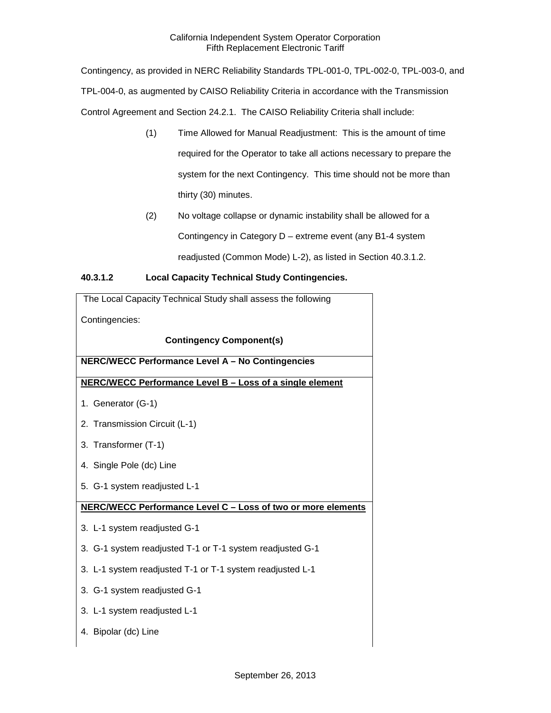Contingency, as provided in NERC Reliability Standards TPL-001-0, TPL-002-0, TPL-003-0, and TPL-004-0, as augmented by CAISO Reliability Criteria in accordance with the Transmission Control Agreement and Section 24.2.1. The CAISO Reliability Criteria shall include:

- (1) Time Allowed for Manual Readjustment: This is the amount of time required for the Operator to take all actions necessary to prepare the system for the next Contingency. This time should not be more than thirty (30) minutes.
- (2) No voltage collapse or dynamic instability shall be allowed for a Contingency in Category D – extreme event (any B1-4 system readjusted (Common Mode) L-2), as listed in Section 40.3.1.2.

### **40.3.1.2 Local Capacity Technical Study Contingencies.**

| The Local Capacity Technical Study shall assess the following |
|---------------------------------------------------------------|
| Contingencies:                                                |
| <b>Contingency Component(s)</b>                               |
| NERC/WECC Performance Level A - No Contingencies              |
| NERC/WECC Performance Level B - Loss of a single element      |
| 1. Generator (G-1)                                            |
| 2. Transmission Circuit (L-1)                                 |
| 3. Transformer (T-1)                                          |
| 4. Single Pole (dc) Line                                      |
| 5. G-1 system readjusted L-1                                  |
| NERC/WECC Performance Level C - Loss of two or more elements  |
| 3. L-1 system readjusted G-1                                  |
| 3. G-1 system readjusted T-1 or T-1 system readjusted G-1     |
| 3. L-1 system readjusted T-1 or T-1 system readjusted L-1     |
| 3. G-1 system readjusted G-1                                  |
| 3. L-1 system readjusted L-1                                  |
| 4. Bipolar (dc) Line                                          |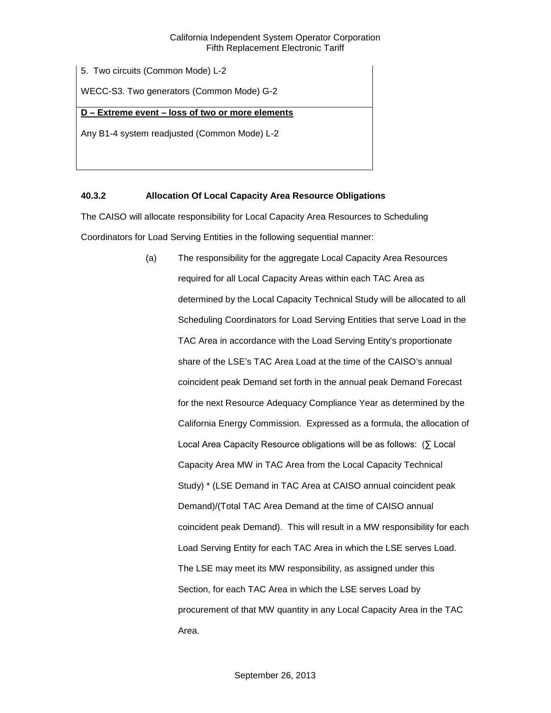5. Two circuits (Common Mode) L-2

WECC-S3. Two generators (Common Mode) G-2

#### **D – Extreme event – loss of two or more elements**

Any B1-4 system readjusted (Common Mode) L-2

### <span id="page-12-0"></span>**40.3.2 Allocation Of Local Capacity Area Resource Obligations**

The CAISO will allocate responsibility for Local Capacity Area Resources to Scheduling Coordinators for Load Serving Entities in the following sequential manner:

> (a) The responsibility for the aggregate Local Capacity Area Resources required for all Local Capacity Areas within each TAC Area as determined by the Local Capacity Technical Study will be allocated to all Scheduling Coordinators for Load Serving Entities that serve Load in the TAC Area in accordance with the Load Serving Entity's proportionate share of the LSE's TAC Area Load at the time of the CAISO's annual coincident peak Demand set forth in the annual peak Demand Forecast for the next Resource Adequacy Compliance Year as determined by the California Energy Commission. Expressed as a formula, the allocation of Local Area Capacity Resource obligations will be as follows: (∑ Local Capacity Area MW in TAC Area from the Local Capacity Technical Study) \* (LSE Demand in TAC Area at CAISO annual coincident peak Demand)/(Total TAC Area Demand at the time of CAISO annual coincident peak Demand). This will result in a MW responsibility for each Load Serving Entity for each TAC Area in which the LSE serves Load. The LSE may meet its MW responsibility, as assigned under this Section, for each TAC Area in which the LSE serves Load by procurement of that MW quantity in any Local Capacity Area in the TAC Area.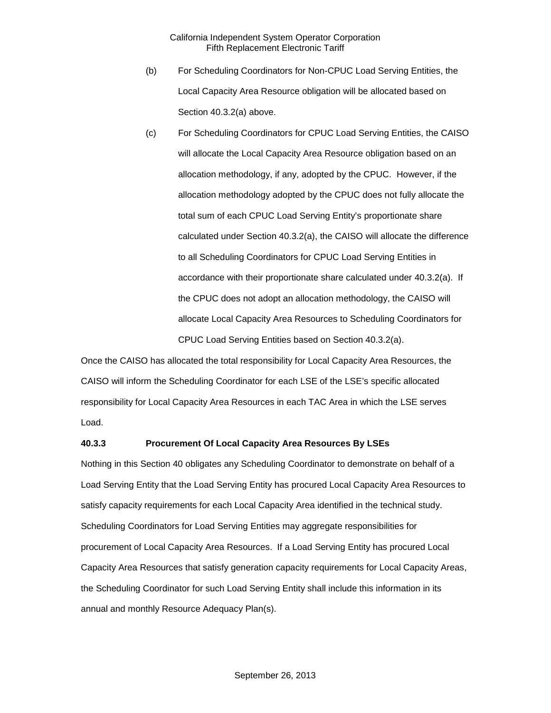- (b) For Scheduling Coordinators for Non-CPUC Load Serving Entities, the Local Capacity Area Resource obligation will be allocated based on Section 40.3.2(a) above.
- (c) For Scheduling Coordinators for CPUC Load Serving Entities, the CAISO will allocate the Local Capacity Area Resource obligation based on an allocation methodology, if any, adopted by the CPUC. However, if the allocation methodology adopted by the CPUC does not fully allocate the total sum of each CPUC Load Serving Entity's proportionate share calculated under Section 40.3.2(a), the CAISO will allocate the difference to all Scheduling Coordinators for CPUC Load Serving Entities in accordance with their proportionate share calculated under 40.3.2(a). If the CPUC does not adopt an allocation methodology, the CAISO will allocate Local Capacity Area Resources to Scheduling Coordinators for CPUC Load Serving Entities based on Section 40.3.2(a).

Once the CAISO has allocated the total responsibility for Local Capacity Area Resources, the CAISO will inform the Scheduling Coordinator for each LSE of the LSE's specific allocated responsibility for Local Capacity Area Resources in each TAC Area in which the LSE serves Load.

#### <span id="page-13-0"></span>**40.3.3 Procurement Of Local Capacity Area Resources By LSEs**

Nothing in this Section 40 obligates any Scheduling Coordinator to demonstrate on behalf of a Load Serving Entity that the Load Serving Entity has procured Local Capacity Area Resources to satisfy capacity requirements for each Local Capacity Area identified in the technical study. Scheduling Coordinators for Load Serving Entities may aggregate responsibilities for procurement of Local Capacity Area Resources. If a Load Serving Entity has procured Local Capacity Area Resources that satisfy generation capacity requirements for Local Capacity Areas, the Scheduling Coordinator for such Load Serving Entity shall include this information in its annual and monthly Resource Adequacy Plan(s).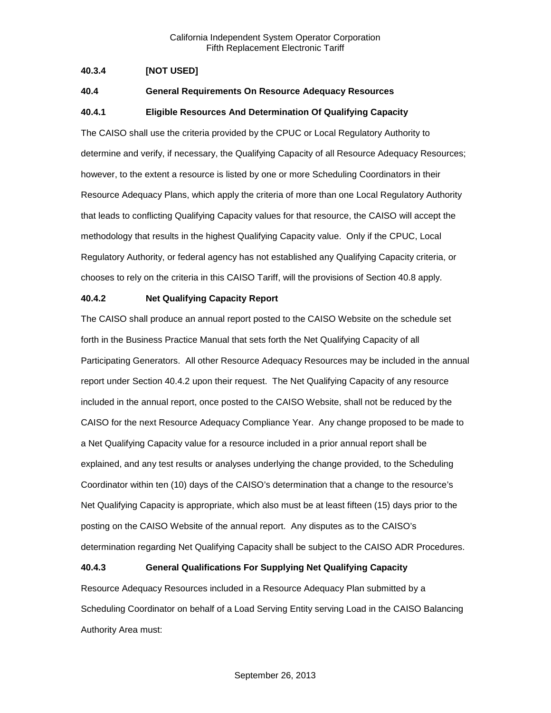#### <span id="page-14-0"></span>**40.3.4 [NOT USED]**

#### <span id="page-14-1"></span>**40.4 General Requirements On Resource Adequacy Resources**

#### <span id="page-14-2"></span>**40.4.1 Eligible Resources And Determination Of Qualifying Capacity**

The CAISO shall use the criteria provided by the CPUC or Local Regulatory Authority to determine and verify, if necessary, the Qualifying Capacity of all Resource Adequacy Resources; however, to the extent a resource is listed by one or more Scheduling Coordinators in their Resource Adequacy Plans, which apply the criteria of more than one Local Regulatory Authority that leads to conflicting Qualifying Capacity values for that resource, the CAISO will accept the methodology that results in the highest Qualifying Capacity value. Only if the CPUC, Local Regulatory Authority, or federal agency has not established any Qualifying Capacity criteria, or chooses to rely on the criteria in this CAISO Tariff, will the provisions of Section 40.8 apply.

#### <span id="page-14-3"></span>**40.4.2 Net Qualifying Capacity Report**

The CAISO shall produce an annual report posted to the CAISO Website on the schedule set forth in the Business Practice Manual that sets forth the Net Qualifying Capacity of all Participating Generators. All other Resource Adequacy Resources may be included in the annual report under Section 40.4.2 upon their request. The Net Qualifying Capacity of any resource included in the annual report, once posted to the CAISO Website, shall not be reduced by the CAISO for the next Resource Adequacy Compliance Year. Any change proposed to be made to a Net Qualifying Capacity value for a resource included in a prior annual report shall be explained, and any test results or analyses underlying the change provided, to the Scheduling Coordinator within ten (10) days of the CAISO's determination that a change to the resource's Net Qualifying Capacity is appropriate, which also must be at least fifteen (15) days prior to the posting on the CAISO Website of the annual report. Any disputes as to the CAISO's determination regarding Net Qualifying Capacity shall be subject to the CAISO ADR Procedures.

#### <span id="page-14-4"></span>**40.4.3 General Qualifications For Supplying Net Qualifying Capacity**

Resource Adequacy Resources included in a Resource Adequacy Plan submitted by a Scheduling Coordinator on behalf of a Load Serving Entity serving Load in the CAISO Balancing Authority Area must: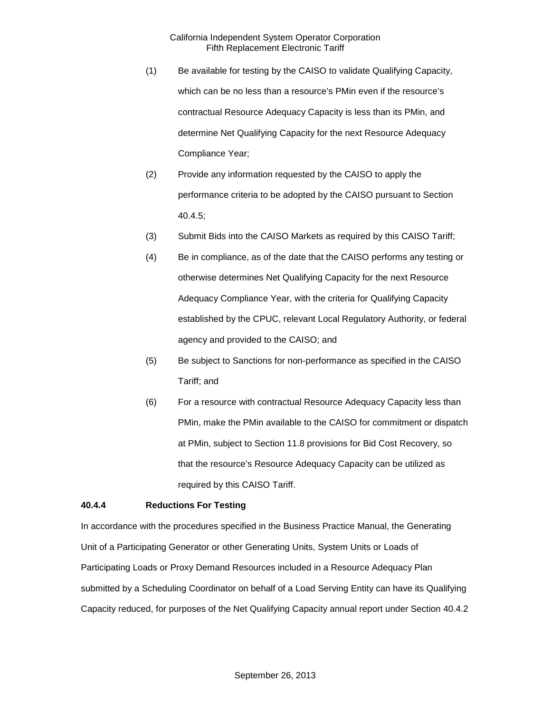- (1) Be available for testing by the CAISO to validate Qualifying Capacity, which can be no less than a resource's PMin even if the resource's contractual Resource Adequacy Capacity is less than its PMin, and determine Net Qualifying Capacity for the next Resource Adequacy Compliance Year;
- (2) Provide any information requested by the CAISO to apply the performance criteria to be adopted by the CAISO pursuant to Section 40.4.5;
- (3) Submit Bids into the CAISO Markets as required by this CAISO Tariff;
- (4) Be in compliance, as of the date that the CAISO performs any testing or otherwise determines Net Qualifying Capacity for the next Resource Adequacy Compliance Year, with the criteria for Qualifying Capacity established by the CPUC, relevant Local Regulatory Authority, or federal agency and provided to the CAISO; and
- (5) Be subject to Sanctions for non-performance as specified in the CAISO Tariff; and
- (6) For a resource with contractual Resource Adequacy Capacity less than PMin, make the PMin available to the CAISO for commitment or dispatch at PMin, subject to Section 11.8 provisions for Bid Cost Recovery, so that the resource's Resource Adequacy Capacity can be utilized as required by this CAISO Tariff.

#### <span id="page-15-0"></span>**40.4.4 Reductions For Testing**

In accordance with the procedures specified in the Business Practice Manual, the Generating Unit of a Participating Generator or other Generating Units, System Units or Loads of Participating Loads or Proxy Demand Resources included in a Resource Adequacy Plan submitted by a Scheduling Coordinator on behalf of a Load Serving Entity can have its Qualifying Capacity reduced, for purposes of the Net Qualifying Capacity annual report under Section 40.4.2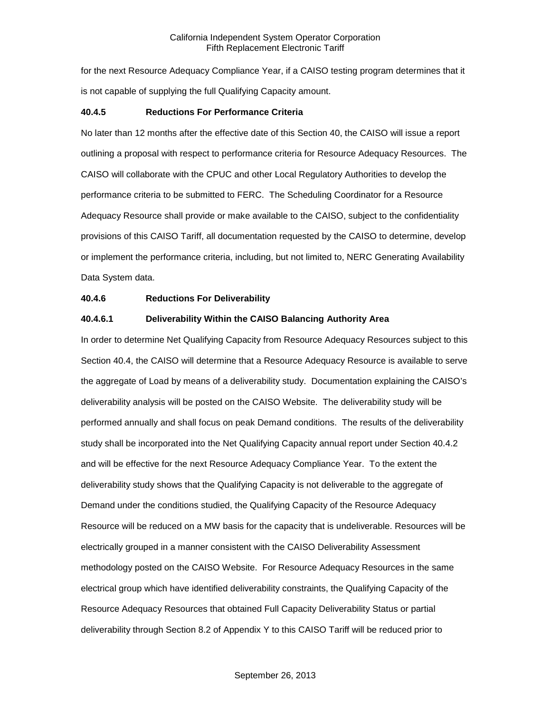for the next Resource Adequacy Compliance Year, if a CAISO testing program determines that it is not capable of supplying the full Qualifying Capacity amount.

#### <span id="page-16-0"></span>**40.4.5 Reductions For Performance Criteria**

No later than 12 months after the effective date of this Section 40, the CAISO will issue a report outlining a proposal with respect to performance criteria for Resource Adequacy Resources. The CAISO will collaborate with the CPUC and other Local Regulatory Authorities to develop the performance criteria to be submitted to FERC. The Scheduling Coordinator for a Resource Adequacy Resource shall provide or make available to the CAISO, subject to the confidentiality provisions of this CAISO Tariff, all documentation requested by the CAISO to determine, develop or implement the performance criteria, including, but not limited to, NERC Generating Availability Data System data.

#### <span id="page-16-1"></span>**40.4.6 Reductions For Deliverability**

#### **40.4.6.1 Deliverability Within the CAISO Balancing Authority Area**

In order to determine Net Qualifying Capacity from Resource Adequacy Resources subject to this Section 40.4, the CAISO will determine that a Resource Adequacy Resource is available to serve the aggregate of Load by means of a deliverability study. Documentation explaining the CAISO's deliverability analysis will be posted on the CAISO Website. The deliverability study will be performed annually and shall focus on peak Demand conditions. The results of the deliverability study shall be incorporated into the Net Qualifying Capacity annual report under Section 40.4.2 and will be effective for the next Resource Adequacy Compliance Year. To the extent the deliverability study shows that the Qualifying Capacity is not deliverable to the aggregate of Demand under the conditions studied, the Qualifying Capacity of the Resource Adequacy Resource will be reduced on a MW basis for the capacity that is undeliverable. Resources will be electrically grouped in a manner consistent with the CAISO Deliverability Assessment methodology posted on the CAISO Website. For Resource Adequacy Resources in the same electrical group which have identified deliverability constraints, the Qualifying Capacity of the Resource Adequacy Resources that obtained Full Capacity Deliverability Status or partial deliverability through Section 8.2 of Appendix Y to this CAISO Tariff will be reduced prior to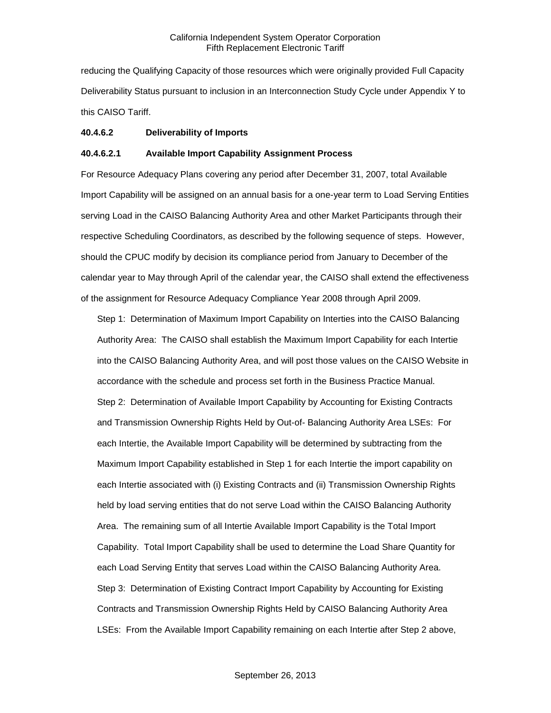reducing the Qualifying Capacity of those resources which were originally provided Full Capacity Deliverability Status pursuant to inclusion in an Interconnection Study Cycle under Appendix Y to this CAISO Tariff.

#### **40.4.6.2 Deliverability of Imports**

#### **40.4.6.2.1 Available Import Capability Assignment Process**

For Resource Adequacy Plans covering any period after December 31, 2007, total Available Import Capability will be assigned on an annual basis for a one-year term to Load Serving Entities serving Load in the CAISO Balancing Authority Area and other Market Participants through their respective Scheduling Coordinators, as described by the following sequence of steps. However, should the CPUC modify by decision its compliance period from January to December of the calendar year to May through April of the calendar year, the CAISO shall extend the effectiveness of the assignment for Resource Adequacy Compliance Year 2008 through April 2009.

Step 1: Determination of Maximum Import Capability on Interties into the CAISO Balancing Authority Area: The CAISO shall establish the Maximum Import Capability for each Intertie into the CAISO Balancing Authority Area, and will post those values on the CAISO Website in accordance with the schedule and process set forth in the Business Practice Manual. Step 2: Determination of Available Import Capability by Accounting for Existing Contracts and Transmission Ownership Rights Held by Out-of- Balancing Authority Area LSEs: For each Intertie, the Available Import Capability will be determined by subtracting from the Maximum Import Capability established in Step 1 for each Intertie the import capability on each Intertie associated with (i) Existing Contracts and (ii) Transmission Ownership Rights held by load serving entities that do not serve Load within the CAISO Balancing Authority Area. The remaining sum of all Intertie Available Import Capability is the Total Import Capability. Total Import Capability shall be used to determine the Load Share Quantity for each Load Serving Entity that serves Load within the CAISO Balancing Authority Area. Step 3: Determination of Existing Contract Import Capability by Accounting for Existing Contracts and Transmission Ownership Rights Held by CAISO Balancing Authority Area LSEs: From the Available Import Capability remaining on each Intertie after Step 2 above,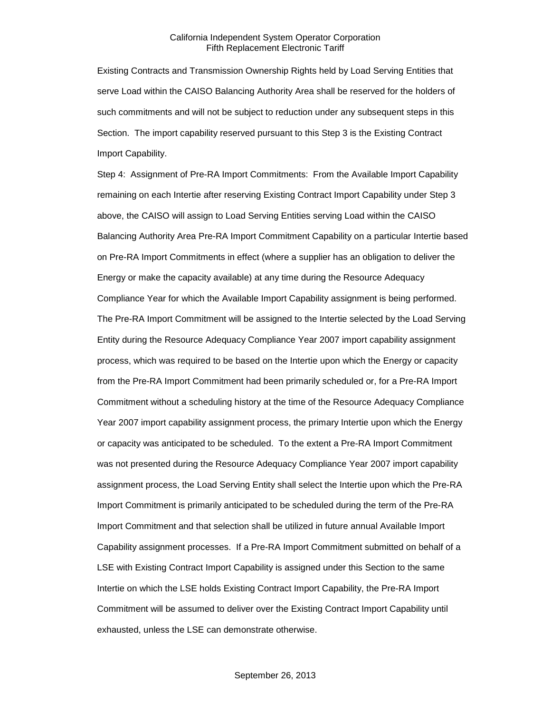Existing Contracts and Transmission Ownership Rights held by Load Serving Entities that serve Load within the CAISO Balancing Authority Area shall be reserved for the holders of such commitments and will not be subject to reduction under any subsequent steps in this Section. The import capability reserved pursuant to this Step 3 is the Existing Contract Import Capability.

Step 4: Assignment of Pre-RA Import Commitments: From the Available Import Capability remaining on each Intertie after reserving Existing Contract Import Capability under Step 3 above, the CAISO will assign to Load Serving Entities serving Load within the CAISO Balancing Authority Area Pre-RA Import Commitment Capability on a particular Intertie based on Pre-RA Import Commitments in effect (where a supplier has an obligation to deliver the Energy or make the capacity available) at any time during the Resource Adequacy Compliance Year for which the Available Import Capability assignment is being performed. The Pre-RA Import Commitment will be assigned to the Intertie selected by the Load Serving Entity during the Resource Adequacy Compliance Year 2007 import capability assignment process, which was required to be based on the Intertie upon which the Energy or capacity from the Pre-RA Import Commitment had been primarily scheduled or, for a Pre-RA Import Commitment without a scheduling history at the time of the Resource Adequacy Compliance Year 2007 import capability assignment process, the primary Intertie upon which the Energy or capacity was anticipated to be scheduled. To the extent a Pre-RA Import Commitment was not presented during the Resource Adequacy Compliance Year 2007 import capability assignment process, the Load Serving Entity shall select the Intertie upon which the Pre-RA Import Commitment is primarily anticipated to be scheduled during the term of the Pre-RA Import Commitment and that selection shall be utilized in future annual Available Import Capability assignment processes. If a Pre-RA Import Commitment submitted on behalf of a LSE with Existing Contract Import Capability is assigned under this Section to the same Intertie on which the LSE holds Existing Contract Import Capability, the Pre-RA Import Commitment will be assumed to deliver over the Existing Contract Import Capability until exhausted, unless the LSE can demonstrate otherwise.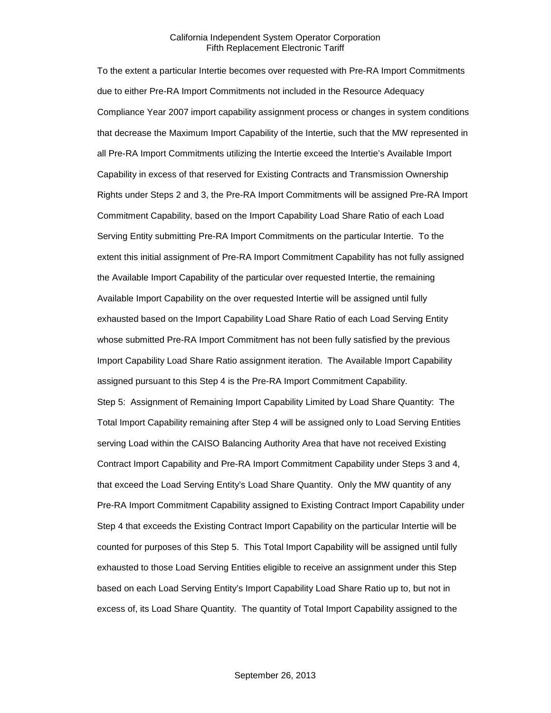To the extent a particular Intertie becomes over requested with Pre-RA Import Commitments due to either Pre-RA Import Commitments not included in the Resource Adequacy Compliance Year 2007 import capability assignment process or changes in system conditions that decrease the Maximum Import Capability of the Intertie, such that the MW represented in all Pre-RA Import Commitments utilizing the Intertie exceed the Intertie's Available Import Capability in excess of that reserved for Existing Contracts and Transmission Ownership Rights under Steps 2 and 3, the Pre-RA Import Commitments will be assigned Pre-RA Import Commitment Capability, based on the Import Capability Load Share Ratio of each Load Serving Entity submitting Pre-RA Import Commitments on the particular Intertie. To the extent this initial assignment of Pre-RA Import Commitment Capability has not fully assigned the Available Import Capability of the particular over requested Intertie, the remaining Available Import Capability on the over requested Intertie will be assigned until fully exhausted based on the Import Capability Load Share Ratio of each Load Serving Entity whose submitted Pre-RA Import Commitment has not been fully satisfied by the previous Import Capability Load Share Ratio assignment iteration. The Available Import Capability assigned pursuant to this Step 4 is the Pre-RA Import Commitment Capability. Step 5: Assignment of Remaining Import Capability Limited by Load Share Quantity: The Total Import Capability remaining after Step 4 will be assigned only to Load Serving Entities serving Load within the CAISO Balancing Authority Area that have not received Existing Contract Import Capability and Pre-RA Import Commitment Capability under Steps 3 and 4, that exceed the Load Serving Entity's Load Share Quantity. Only the MW quantity of any Pre-RA Import Commitment Capability assigned to Existing Contract Import Capability under Step 4 that exceeds the Existing Contract Import Capability on the particular Intertie will be counted for purposes of this Step 5. This Total Import Capability will be assigned until fully exhausted to those Load Serving Entities eligible to receive an assignment under this Step based on each Load Serving Entity's Import Capability Load Share Ratio up to, but not in excess of, its Load Share Quantity. The quantity of Total Import Capability assigned to the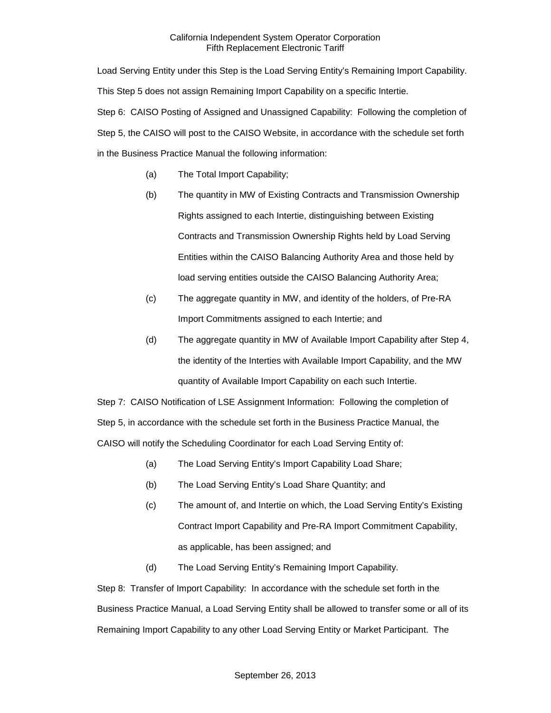Load Serving Entity under this Step is the Load Serving Entity's Remaining Import Capability. This Step 5 does not assign Remaining Import Capability on a specific Intertie. Step 6: CAISO Posting of Assigned and Unassigned Capability: Following the completion of Step 5, the CAISO will post to the CAISO Website, in accordance with the schedule set forth in the Business Practice Manual the following information:

- (a) The Total Import Capability;
- (b) The quantity in MW of Existing Contracts and Transmission Ownership Rights assigned to each Intertie, distinguishing between Existing Contracts and Transmission Ownership Rights held by Load Serving Entities within the CAISO Balancing Authority Area and those held by load serving entities outside the CAISO Balancing Authority Area;
- (c) The aggregate quantity in MW, and identity of the holders, of Pre-RA Import Commitments assigned to each Intertie; and
- (d) The aggregate quantity in MW of Available Import Capability after Step 4, the identity of the Interties with Available Import Capability, and the MW quantity of Available Import Capability on each such Intertie.

Step 7: CAISO Notification of LSE Assignment Information: Following the completion of Step 5, in accordance with the schedule set forth in the Business Practice Manual, the CAISO will notify the Scheduling Coordinator for each Load Serving Entity of:

- (a) The Load Serving Entity's Import Capability Load Share;
- (b) The Load Serving Entity's Load Share Quantity; and
- (c) The amount of, and Intertie on which, the Load Serving Entity's Existing Contract Import Capability and Pre-RA Import Commitment Capability, as applicable, has been assigned; and
- (d) The Load Serving Entity's Remaining Import Capability.

Step 8: Transfer of Import Capability: In accordance with the schedule set forth in the Business Practice Manual, a Load Serving Entity shall be allowed to transfer some or all of its Remaining Import Capability to any other Load Serving Entity or Market Participant. The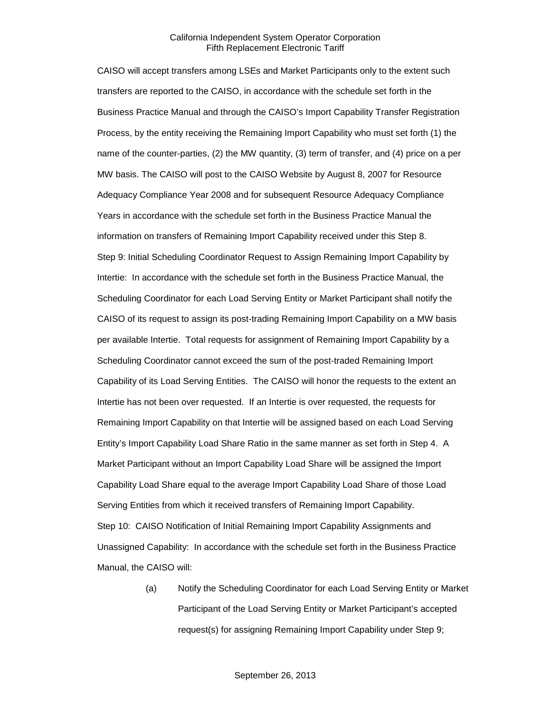CAISO will accept transfers among LSEs and Market Participants only to the extent such transfers are reported to the CAISO, in accordance with the schedule set forth in the Business Practice Manual and through the CAISO's Import Capability Transfer Registration Process, by the entity receiving the Remaining Import Capability who must set forth (1) the name of the counter-parties, (2) the MW quantity, (3) term of transfer, and (4) price on a per MW basis. The CAISO will post to the CAISO Website by August 8, 2007 for Resource Adequacy Compliance Year 2008 and for subsequent Resource Adequacy Compliance Years in accordance with the schedule set forth in the Business Practice Manual the information on transfers of Remaining Import Capability received under this Step 8. Step 9: Initial Scheduling Coordinator Request to Assign Remaining Import Capability by Intertie: In accordance with the schedule set forth in the Business Practice Manual, the Scheduling Coordinator for each Load Serving Entity or Market Participant shall notify the CAISO of its request to assign its post-trading Remaining Import Capability on a MW basis per available Intertie. Total requests for assignment of Remaining Import Capability by a Scheduling Coordinator cannot exceed the sum of the post-traded Remaining Import Capability of its Load Serving Entities. The CAISO will honor the requests to the extent an Intertie has not been over requested. If an Intertie is over requested, the requests for Remaining Import Capability on that Intertie will be assigned based on each Load Serving Entity's Import Capability Load Share Ratio in the same manner as set forth in Step 4. A Market Participant without an Import Capability Load Share will be assigned the Import Capability Load Share equal to the average Import Capability Load Share of those Load Serving Entities from which it received transfers of Remaining Import Capability. Step 10: CAISO Notification of Initial Remaining Import Capability Assignments and Unassigned Capability: In accordance with the schedule set forth in the Business Practice Manual, the CAISO will:

> (a) Notify the Scheduling Coordinator for each Load Serving Entity or Market Participant of the Load Serving Entity or Market Participant's accepted request(s) for assigning Remaining Import Capability under Step 9;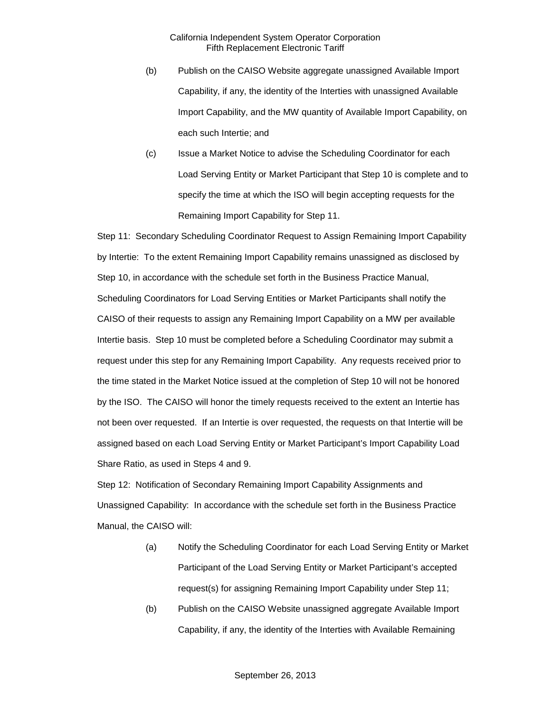- (b) Publish on the CAISO Website aggregate unassigned Available Import Capability, if any, the identity of the Interties with unassigned Available Import Capability, and the MW quantity of Available Import Capability, on each such Intertie; and
- (c) Issue a Market Notice to advise the Scheduling Coordinator for each Load Serving Entity or Market Participant that Step 10 is complete and to specify the time at which the ISO will begin accepting requests for the Remaining Import Capability for Step 11.

Step 11: Secondary Scheduling Coordinator Request to Assign Remaining Import Capability by Intertie: To the extent Remaining Import Capability remains unassigned as disclosed by Step 10, in accordance with the schedule set forth in the Business Practice Manual, Scheduling Coordinators for Load Serving Entities or Market Participants shall notify the CAISO of their requests to assign any Remaining Import Capability on a MW per available Intertie basis. Step 10 must be completed before a Scheduling Coordinator may submit a request under this step for any Remaining Import Capability. Any requests received prior to the time stated in the Market Notice issued at the completion of Step 10 will not be honored by the ISO. The CAISO will honor the timely requests received to the extent an Intertie has not been over requested. If an Intertie is over requested, the requests on that Intertie will be assigned based on each Load Serving Entity or Market Participant's Import Capability Load Share Ratio, as used in Steps 4 and 9.

Step 12: Notification of Secondary Remaining Import Capability Assignments and Unassigned Capability: In accordance with the schedule set forth in the Business Practice Manual, the CAISO will:

- (a) Notify the Scheduling Coordinator for each Load Serving Entity or Market Participant of the Load Serving Entity or Market Participant's accepted request(s) for assigning Remaining Import Capability under Step 11;
- (b) Publish on the CAISO Website unassigned aggregate Available Import Capability, if any, the identity of the Interties with Available Remaining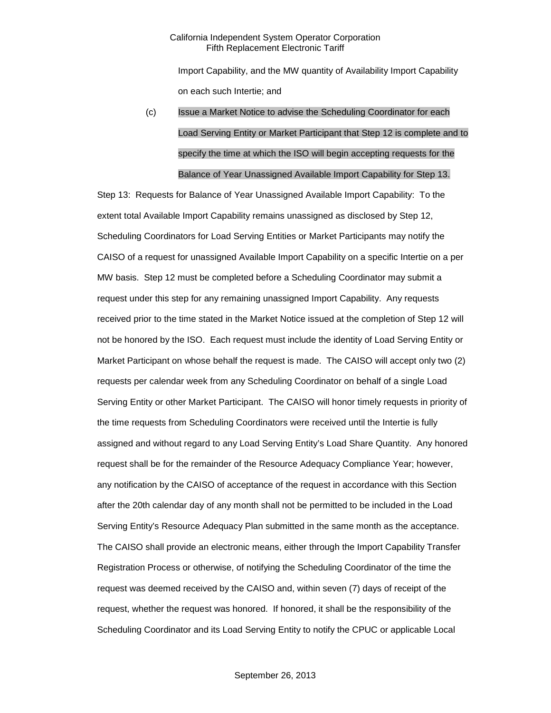Import Capability, and the MW quantity of Availability Import Capability on each such Intertie; and

# (c) Issue a Market Notice to advise the Scheduling Coordinator for each Load Serving Entity or Market Participant that Step 12 is complete and to specify the time at which the ISO will begin accepting requests for the Balance of Year Unassigned Available Import Capability for Step 13.

Step 13: Requests for Balance of Year Unassigned Available Import Capability: To the extent total Available Import Capability remains unassigned as disclosed by Step 12, Scheduling Coordinators for Load Serving Entities or Market Participants may notify the CAISO of a request for unassigned Available Import Capability on a specific Intertie on a per MW basis. Step 12 must be completed before a Scheduling Coordinator may submit a request under this step for any remaining unassigned Import Capability. Any requests received prior to the time stated in the Market Notice issued at the completion of Step 12 will not be honored by the ISO. Each request must include the identity of Load Serving Entity or Market Participant on whose behalf the request is made. The CAISO will accept only two (2) requests per calendar week from any Scheduling Coordinator on behalf of a single Load Serving Entity or other Market Participant. The CAISO will honor timely requests in priority of the time requests from Scheduling Coordinators were received until the Intertie is fully assigned and without regard to any Load Serving Entity's Load Share Quantity. Any honored request shall be for the remainder of the Resource Adequacy Compliance Year; however, any notification by the CAISO of acceptance of the request in accordance with this Section after the 20th calendar day of any month shall not be permitted to be included in the Load Serving Entity's Resource Adequacy Plan submitted in the same month as the acceptance. The CAISO shall provide an electronic means, either through the Import Capability Transfer Registration Process or otherwise, of notifying the Scheduling Coordinator of the time the request was deemed received by the CAISO and, within seven (7) days of receipt of the request, whether the request was honored. If honored, it shall be the responsibility of the Scheduling Coordinator and its Load Serving Entity to notify the CPUC or applicable Local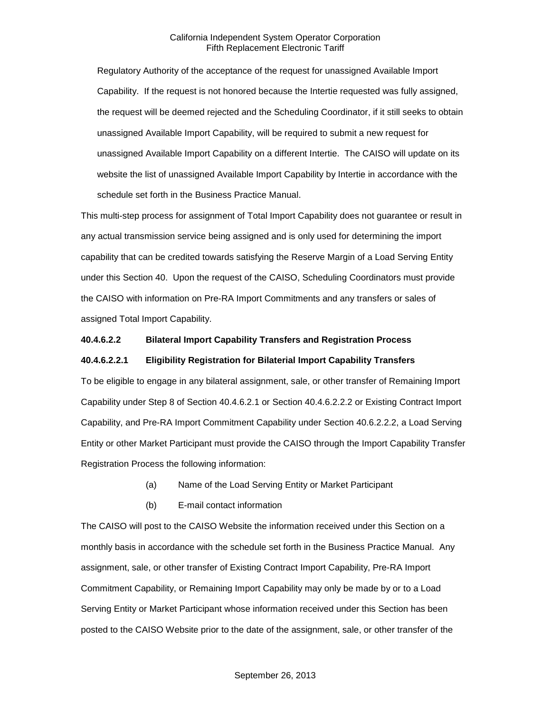Regulatory Authority of the acceptance of the request for unassigned Available Import Capability. If the request is not honored because the Intertie requested was fully assigned, the request will be deemed rejected and the Scheduling Coordinator, if it still seeks to obtain unassigned Available Import Capability, will be required to submit a new request for unassigned Available Import Capability on a different Intertie. The CAISO will update on its website the list of unassigned Available Import Capability by Intertie in accordance with the schedule set forth in the Business Practice Manual.

This multi-step process for assignment of Total Import Capability does not guarantee or result in any actual transmission service being assigned and is only used for determining the import capability that can be credited towards satisfying the Reserve Margin of a Load Serving Entity under this Section 40. Upon the request of the CAISO, Scheduling Coordinators must provide the CAISO with information on Pre-RA Import Commitments and any transfers or sales of assigned Total Import Capability.

#### **40.4.6.2.2 Bilateral Import Capability Transfers and Registration Process**

#### **40.4.6.2.2.1 Eligibility Registration for Bilaterial Import Capability Transfers**

To be eligible to engage in any bilateral assignment, sale, or other transfer of Remaining Import Capability under Step 8 of Section 40.4.6.2.1 or Section 40.4.6.2.2.2 or Existing Contract Import Capability, and Pre-RA Import Commitment Capability under Section 40.6.2.2.2, a Load Serving Entity or other Market Participant must provide the CAISO through the Import Capability Transfer Registration Process the following information:

- (a) Name of the Load Serving Entity or Market Participant
- (b) E-mail contact information

The CAISO will post to the CAISO Website the information received under this Section on a monthly basis in accordance with the schedule set forth in the Business Practice Manual. Any assignment, sale, or other transfer of Existing Contract Import Capability, Pre-RA Import Commitment Capability, or Remaining Import Capability may only be made by or to a Load Serving Entity or Market Participant whose information received under this Section has been posted to the CAISO Website prior to the date of the assignment, sale, or other transfer of the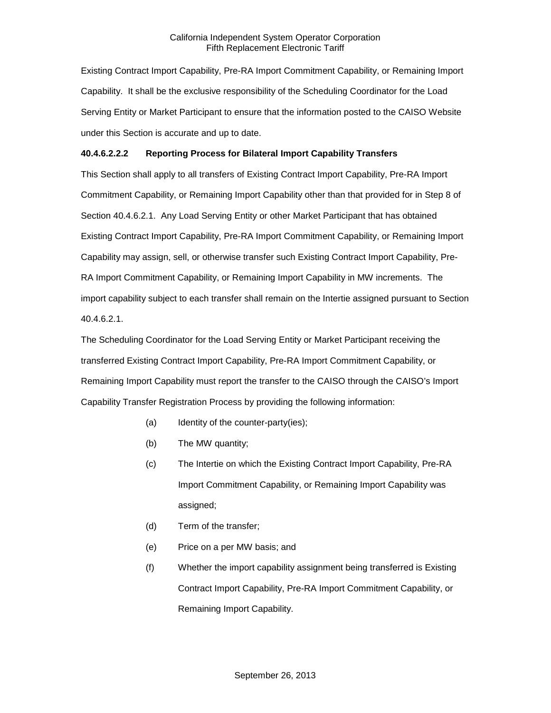Existing Contract Import Capability, Pre-RA Import Commitment Capability, or Remaining Import Capability. It shall be the exclusive responsibility of the Scheduling Coordinator for the Load Serving Entity or Market Participant to ensure that the information posted to the CAISO Website under this Section is accurate and up to date.

#### **40.4.6.2.2.2 Reporting Process for Bilateral Import Capability Transfers**

This Section shall apply to all transfers of Existing Contract Import Capability, Pre-RA Import Commitment Capability, or Remaining Import Capability other than that provided for in Step 8 of Section 40.4.6.2.1. Any Load Serving Entity or other Market Participant that has obtained Existing Contract Import Capability, Pre-RA Import Commitment Capability, or Remaining Import Capability may assign, sell, or otherwise transfer such Existing Contract Import Capability, Pre-RA Import Commitment Capability, or Remaining Import Capability in MW increments. The import capability subject to each transfer shall remain on the Intertie assigned pursuant to Section 40.4.6.2.1.

The Scheduling Coordinator for the Load Serving Entity or Market Participant receiving the transferred Existing Contract Import Capability, Pre-RA Import Commitment Capability, or Remaining Import Capability must report the transfer to the CAISO through the CAISO's Import Capability Transfer Registration Process by providing the following information:

- (a) Identity of the counter-party(ies);
- (b) The MW quantity;
- (c) The Intertie on which the Existing Contract Import Capability, Pre-RA Import Commitment Capability, or Remaining Import Capability was assigned;
- (d) Term of the transfer;
- (e) Price on a per MW basis; and
- (f) Whether the import capability assignment being transferred is Existing Contract Import Capability, Pre-RA Import Commitment Capability, or Remaining Import Capability.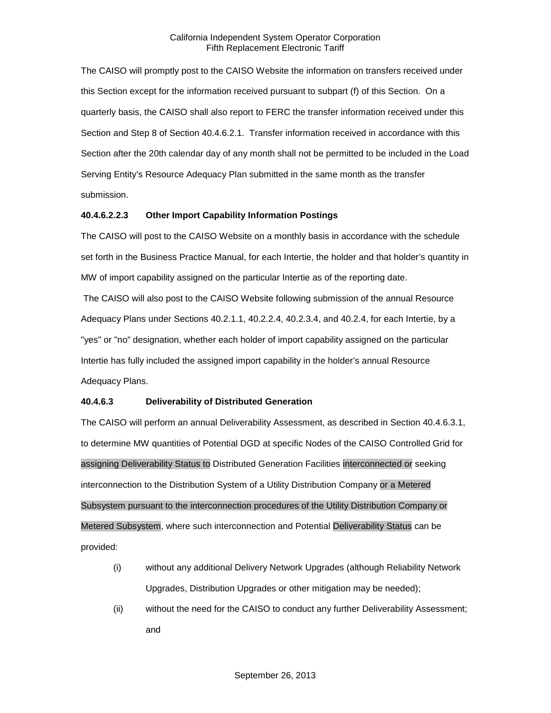The CAISO will promptly post to the CAISO Website the information on transfers received under this Section except for the information received pursuant to subpart (f) of this Section. On a quarterly basis, the CAISO shall also report to FERC the transfer information received under this Section and Step 8 of Section 40.4.6.2.1. Transfer information received in accordance with this Section after the 20th calendar day of any month shall not be permitted to be included in the Load Serving Entity's Resource Adequacy Plan submitted in the same month as the transfer submission.

#### **40.4.6.2.2.3 Other Import Capability Information Postings**

The CAISO will post to the CAISO Website on a monthly basis in accordance with the schedule set forth in the Business Practice Manual, for each Intertie, the holder and that holder's quantity in MW of import capability assigned on the particular Intertie as of the reporting date.

The CAISO will also post to the CAISO Website following submission of the annual Resource Adequacy Plans under Sections 40.2.1.1, 40.2.2.4, 40.2.3.4, and 40.2.4, for each Intertie, by a "yes" or "no" designation, whether each holder of import capability assigned on the particular Intertie has fully included the assigned import capability in the holder's annual Resource Adequacy Plans.

#### **40.4.6.3 Deliverability of Distributed Generation**

The CAISO will perform an annual Deliverability Assessment, as described in Section 40.4.6.3.1, to determine MW quantities of Potential DGD at specific Nodes of the CAISO Controlled Grid for assigning Deliverability Status to Distributed Generation Facilities interconnected or seeking interconnection to the Distribution System of a Utility Distribution Company or a Metered Subsystem pursuant to the interconnection procedures of the Utility Distribution Company or Metered Subsystem, where such interconnection and Potential Deliverability Status can be provided:

- (i) without any additional Delivery Network Upgrades (although Reliability Network Upgrades, Distribution Upgrades or other mitigation may be needed);
- (ii) without the need for the CAISO to conduct any further Deliverability Assessment; and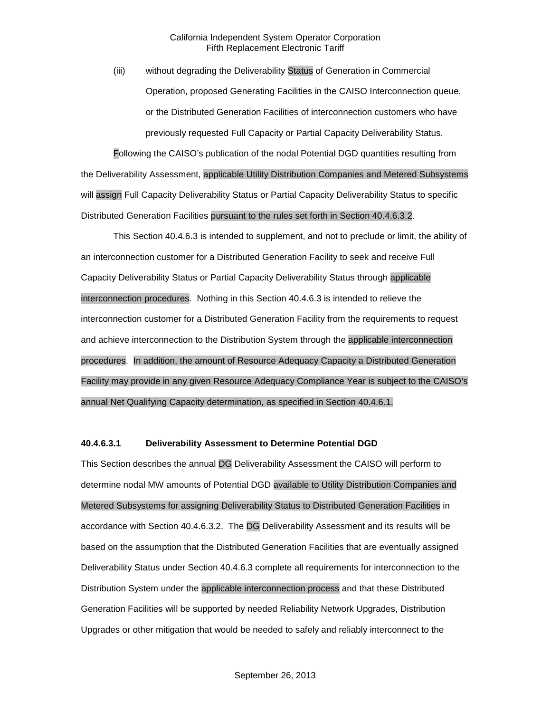(iii) without degrading the Deliverability Status of Generation in Commercial Operation, proposed Generating Facilities in the CAISO Interconnection queue, or the Distributed Generation Facilities of interconnection customers who have previously requested Full Capacity or Partial Capacity Deliverability Status.

Following the CAISO's publication of the nodal Potential DGD quantities resulting from the Deliverability Assessment, applicable Utility Distribution Companies and Metered Subsystems will assign Full Capacity Deliverability Status or Partial Capacity Deliverability Status to specific Distributed Generation Facilities pursuant to the rules set forth in Section 40.4.6.3.2.

This Section 40.4.6.3 is intended to supplement, and not to preclude or limit, the ability of an interconnection customer for a Distributed Generation Facility to seek and receive Full Capacity Deliverability Status or Partial Capacity Deliverability Status through applicable interconnection procedures. Nothing in this Section 40.4.6.3 is intended to relieve the interconnection customer for a Distributed Generation Facility from the requirements to request and achieve interconnection to the Distribution System through the applicable interconnection procedures. In addition, the amount of Resource Adequacy Capacity a Distributed Generation Facility may provide in any given Resource Adequacy Compliance Year is subject to the CAISO's annual Net Qualifying Capacity determination, as specified in Section 40.4.6.1.

#### **40.4.6.3.1 Deliverability Assessment to Determine Potential DGD**

This Section describes the annual DG Deliverability Assessment the CAISO will perform to determine nodal MW amounts of Potential DGD available to Utility Distribution Companies and Metered Subsystems for assigning Deliverability Status to Distributed Generation Facilities in accordance with Section 40.4.6.3.2. The DG Deliverability Assessment and its results will be based on the assumption that the Distributed Generation Facilities that are eventually assigned Deliverability Status under Section 40.4.6.3 complete all requirements for interconnection to the Distribution System under the applicable interconnection process and that these Distributed Generation Facilities will be supported by needed Reliability Network Upgrades, Distribution Upgrades or other mitigation that would be needed to safely and reliably interconnect to the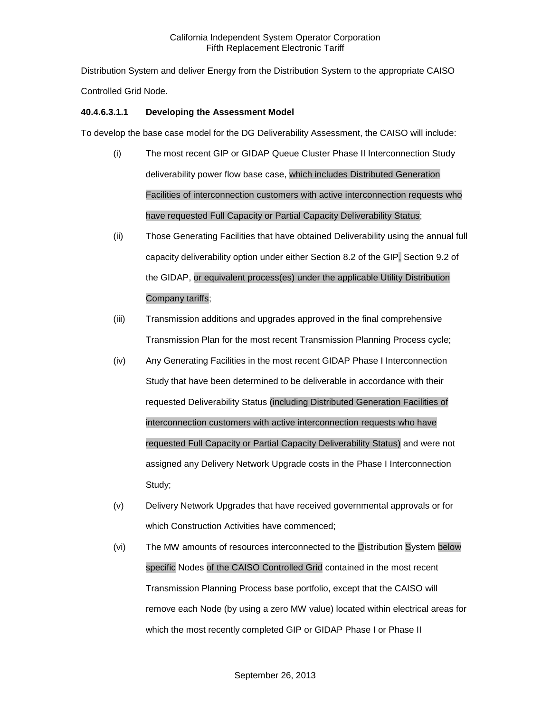Distribution System and deliver Energy from the Distribution System to the appropriate CAISO Controlled Grid Node.

#### **40.4.6.3.1.1 Developing the Assessment Model**

To develop the base case model for the DG Deliverability Assessment, the CAISO will include:

- (i) The most recent GIP or GIDAP Queue Cluster Phase II Interconnection Study deliverability power flow base case, which includes Distributed Generation Facilities of interconnection customers with active interconnection requests who have requested Full Capacity or Partial Capacity Deliverability Status;
- (ii) Those Generating Facilities that have obtained Deliverability using the annual full capacity deliverability option under either Section 8.2 of the GIP, Section 9.2 of the GIDAP, or equivalent process(es) under the applicable Utility Distribution Company tariffs;
- (iii) Transmission additions and upgrades approved in the final comprehensive Transmission Plan for the most recent Transmission Planning Process cycle;
- (iv) Any Generating Facilities in the most recent GIDAP Phase I Interconnection Study that have been determined to be deliverable in accordance with their requested Deliverability Status (including Distributed Generation Facilities of interconnection customers with active interconnection requests who have requested Full Capacity or Partial Capacity Deliverability Status) and were not assigned any Delivery Network Upgrade costs in the Phase I Interconnection Study;
- (v) Delivery Network Upgrades that have received governmental approvals or for which Construction Activities have commenced;
- (vi) The MW amounts of resources interconnected to the Distribution System below specific Nodes of the CAISO Controlled Grid contained in the most recent Transmission Planning Process base portfolio, except that the CAISO will remove each Node (by using a zero MW value) located within electrical areas for which the most recently completed GIP or GIDAP Phase I or Phase II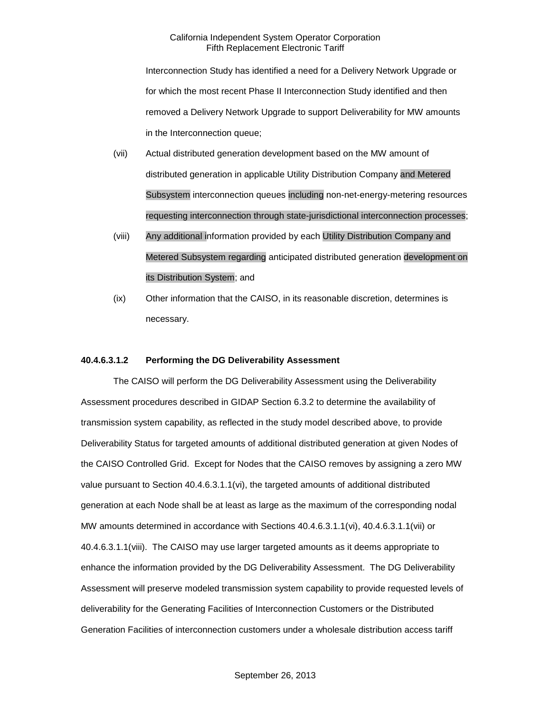Interconnection Study has identified a need for a Delivery Network Upgrade or for which the most recent Phase II Interconnection Study identified and then removed a Delivery Network Upgrade to support Deliverability for MW amounts in the Interconnection queue;

- (vii) Actual distributed generation development based on the MW amount of distributed generation in applicable Utility Distribution Company and Metered Subsystem interconnection queues including non-net-energy-metering resources requesting interconnection through state-jurisdictional interconnection processes;
- (viii) Any additional information provided by each Utility Distribution Company and Metered Subsystem regarding anticipated distributed generation development on its Distribution System; and
- (ix) Other information that the CAISO, in its reasonable discretion, determines is necessary.

#### **40.4.6.3.1.2 Performing the DG Deliverability Assessment**

The CAISO will perform the DG Deliverability Assessment using the Deliverability Assessment procedures described in GIDAP Section 6.3.2 to determine the availability of transmission system capability, as reflected in the study model described above, to provide Deliverability Status for targeted amounts of additional distributed generation at given Nodes of the CAISO Controlled Grid. Except for Nodes that the CAISO removes by assigning a zero MW value pursuant to Section 40.4.6.3.1.1(vi), the targeted amounts of additional distributed generation at each Node shall be at least as large as the maximum of the corresponding nodal MW amounts determined in accordance with Sections 40.4.6.3.1.1(vi), 40.4.6.3.1.1(vii) or 40.4.6.3.1.1(viii). The CAISO may use larger targeted amounts as it deems appropriate to enhance the information provided by the DG Deliverability Assessment. The DG Deliverability Assessment will preserve modeled transmission system capability to provide requested levels of deliverability for the Generating Facilities of Interconnection Customers or the Distributed Generation Facilities of interconnection customers under a wholesale distribution access tariff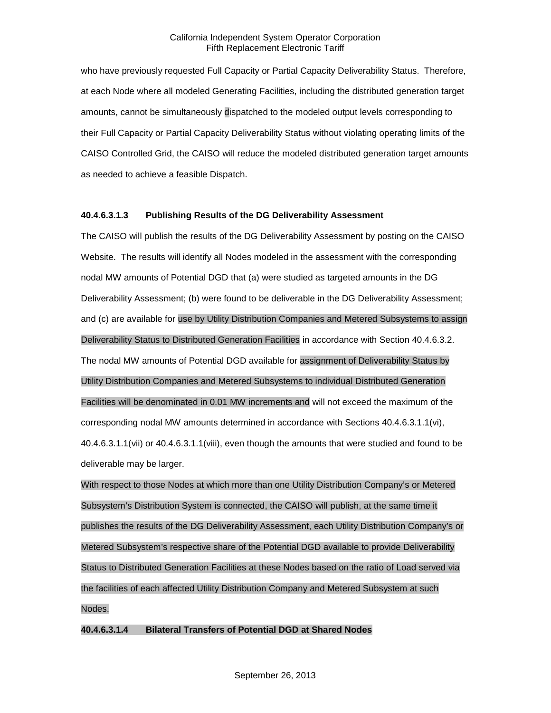who have previously requested Full Capacity or Partial Capacity Deliverability Status. Therefore, at each Node where all modeled Generating Facilities, including the distributed generation target amounts, cannot be simultaneously dispatched to the modeled output levels corresponding to their Full Capacity or Partial Capacity Deliverability Status without violating operating limits of the CAISO Controlled Grid, the CAISO will reduce the modeled distributed generation target amounts as needed to achieve a feasible Dispatch.

#### **40.4.6.3.1.3 Publishing Results of the DG Deliverability Assessment**

The CAISO will publish the results of the DG Deliverability Assessment by posting on the CAISO Website. The results will identify all Nodes modeled in the assessment with the corresponding nodal MW amounts of Potential DGD that (a) were studied as targeted amounts in the DG Deliverability Assessment; (b) were found to be deliverable in the DG Deliverability Assessment; and (c) are available for use by Utility Distribution Companies and Metered Subsystems to assign Deliverability Status to Distributed Generation Facilities in accordance with Section 40.4.6.3.2. The nodal MW amounts of Potential DGD available for assignment of Deliverability Status by Utility Distribution Companies and Metered Subsystems to individual Distributed Generation Facilities will be denominated in 0.01 MW increments and will not exceed the maximum of the corresponding nodal MW amounts determined in accordance with Sections 40.4.6.3.1.1(vi), 40.4.6.3.1.1(vii) or 40.4.6.3.1.1(viii), even though the amounts that were studied and found to be deliverable may be larger.

With respect to those Nodes at which more than one Utility Distribution Company's or Metered Subsystem's Distribution System is connected, the CAISO will publish, at the same time it publishes the results of the DG Deliverability Assessment, each Utility Distribution Company's or Metered Subsystem's respective share of the Potential DGD available to provide Deliverability Status to Distributed Generation Facilities at these Nodes based on the ratio of Load served via the facilities of each affected Utility Distribution Company and Metered Subsystem at such Nodes.

#### **40.4.6.3.1.4 Bilateral Transfers of Potential DGD at Shared Nodes**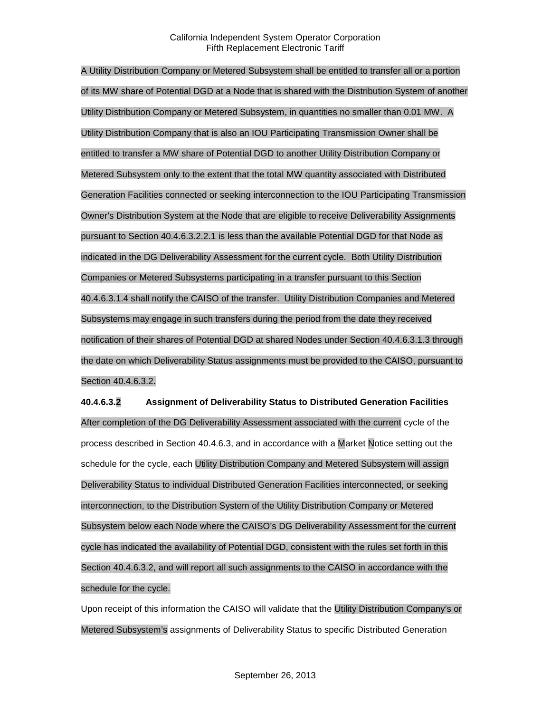A Utility Distribution Company or Metered Subsystem shall be entitled to transfer all or a portion of its MW share of Potential DGD at a Node that is shared with the Distribution System of another Utility Distribution Company or Metered Subsystem, in quantities no smaller than 0.01 MW. A Utility Distribution Company that is also an IOU Participating Transmission Owner shall be entitled to transfer a MW share of Potential DGD to another Utility Distribution Company or Metered Subsystem only to the extent that the total MW quantity associated with Distributed Generation Facilities connected or seeking interconnection to the IOU Participating Transmission Owner's Distribution System at the Node that are eligible to receive Deliverability Assignments pursuant to Section 40.4.6.3.2.2.1 is less than the available Potential DGD for that Node as indicated in the DG Deliverability Assessment for the current cycle. Both Utility Distribution Companies or Metered Subsystems participating in a transfer pursuant to this Section 40.4.6.3.1.4 shall notify the CAISO of the transfer. Utility Distribution Companies and Metered Subsystems may engage in such transfers during the period from the date they received notification of their shares of Potential DGD at shared Nodes under Section 40.4.6.3.1.3 through the date on which Deliverability Status assignments must be provided to the CAISO, pursuant to Section 40.4.6.3.2.

**40.4.6.3.2 Assignment of Deliverability Status to Distributed Generation Facilities** After completion of the DG Deliverability Assessment associated with the current cycle of the process described in Section 40.4.6.3, and in accordance with a Market Notice setting out the schedule for the cycle, each Utility Distribution Company and Metered Subsystem will assign Deliverability Status to individual Distributed Generation Facilities interconnected, or seeking interconnection, to the Distribution System of the Utility Distribution Company or Metered Subsystem below each Node where the CAISO's DG Deliverability Assessment for the current cycle has indicated the availability of Potential DGD, consistent with the rules set forth in this Section 40.4.6.3.2, and will report all such assignments to the CAISO in accordance with the schedule for the cycle.

Upon receipt of this information the CAISO will validate that the Utility Distribution Company's or Metered Subsystem's assignments of Deliverability Status to specific Distributed Generation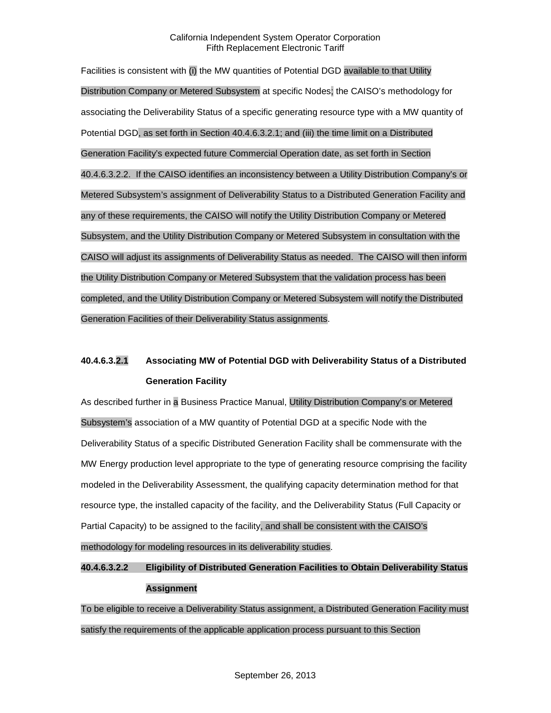Facilities is consistent with (i) the MW quantities of Potential DGD available to that Utility Distribution Company or Metered Subsystem at specific Nodes; the CAISO's methodology for associating the Deliverability Status of a specific generating resource type with a MW quantity of Potential DGD, as set forth in Section 40.4.6.3.2.1; and (iii) the time limit on a Distributed Generation Facility's expected future Commercial Operation date, as set forth in Section 40.4.6.3.2.2. If the CAISO identifies an inconsistency between a Utility Distribution Company's or Metered Subsystem's assignment of Deliverability Status to a Distributed Generation Facility and any of these requirements, the CAISO will notify the Utility Distribution Company or Metered Subsystem, and the Utility Distribution Company or Metered Subsystem in consultation with the CAISO will adjust its assignments of Deliverability Status as needed. The CAISO will then inform the Utility Distribution Company or Metered Subsystem that the validation process has been completed, and the Utility Distribution Company or Metered Subsystem will notify the Distributed Generation Facilities of their Deliverability Status assignments.

## **40.4.6.3.2.1 Associating MW of Potential DGD with Deliverability Status of a Distributed Generation Facility**

As described further in a Business Practice Manual, Utility Distribution Company's or Metered Subsystem's association of a MW quantity of Potential DGD at a specific Node with the Deliverability Status of a specific Distributed Generation Facility shall be commensurate with the MW Energy production level appropriate to the type of generating resource comprising the facility modeled in the Deliverability Assessment, the qualifying capacity determination method for that resource type, the installed capacity of the facility, and the Deliverability Status (Full Capacity or Partial Capacity) to be assigned to the facility, and shall be consistent with the CAISO's methodology for modeling resources in its deliverability studies.

## **40.4.6.3.2.2 Eligibility of Distributed Generation Facilities to Obtain Deliverability Status Assignment**

To be eligible to receive a Deliverability Status assignment, a Distributed Generation Facility must satisfy the requirements of the applicable application process pursuant to this Section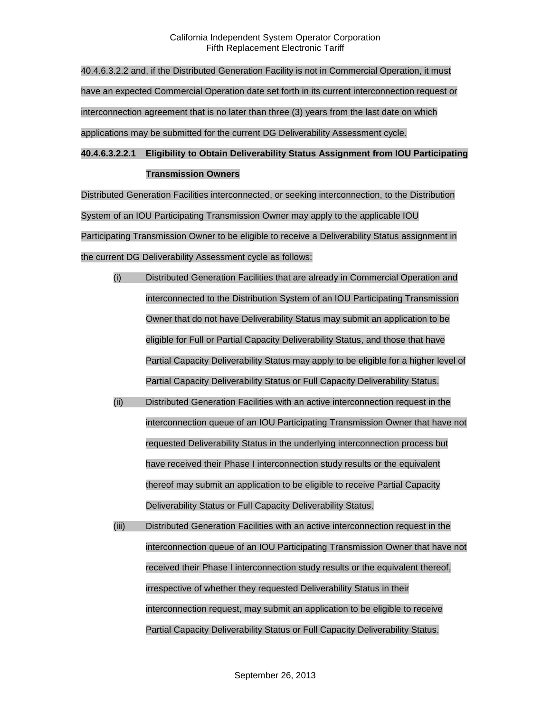40.4.6.3.2.2 and, if the Distributed Generation Facility is not in Commercial Operation, it must have an expected Commercial Operation date set forth in its current interconnection request or interconnection agreement that is no later than three (3) years from the last date on which applications may be submitted for the current DG Deliverability Assessment cycle.

## **40.4.6.3.2.2.1 Eligibility to Obtain Deliverability Status Assignment from IOU Participating Transmission Owners**

Distributed Generation Facilities interconnected, or seeking interconnection, to the Distribution System of an IOU Participating Transmission Owner may apply to the applicable IOU Participating Transmission Owner to be eligible to receive a Deliverability Status assignment in the current DG Deliverability Assessment cycle as follows:

- (i) Distributed Generation Facilities that are already in Commercial Operation and interconnected to the Distribution System of an IOU Participating Transmission Owner that do not have Deliverability Status may submit an application to be eligible for Full or Partial Capacity Deliverability Status, and those that have Partial Capacity Deliverability Status may apply to be eligible for a higher level of Partial Capacity Deliverability Status or Full Capacity Deliverability Status.
- (ii) Distributed Generation Facilities with an active interconnection request in the interconnection queue of an IOU Participating Transmission Owner that have not requested Deliverability Status in the underlying interconnection process but have received their Phase I interconnection study results or the equivalent thereof may submit an application to be eligible to receive Partial Capacity Deliverability Status or Full Capacity Deliverability Status.
- (iii) Distributed Generation Facilities with an active interconnection request in the interconnection queue of an IOU Participating Transmission Owner that have not received their Phase I interconnection study results or the equivalent thereof, irrespective of whether they requested Deliverability Status in their interconnection request, may submit an application to be eligible to receive Partial Capacity Deliverability Status or Full Capacity Deliverability Status.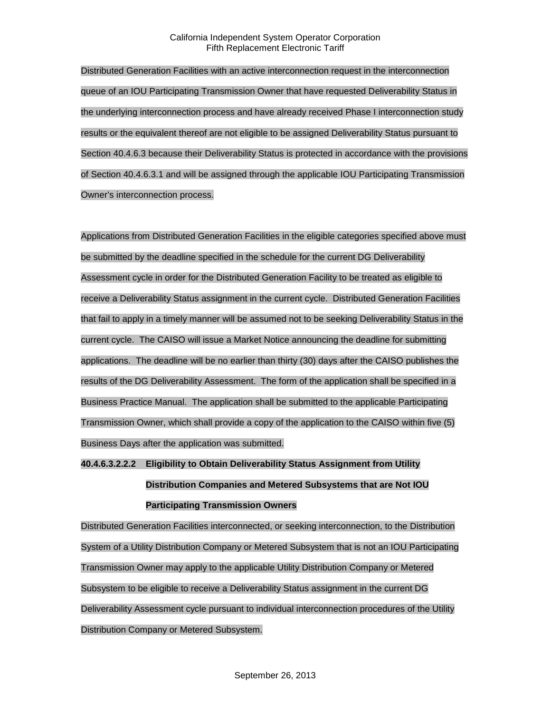Distributed Generation Facilities with an active interconnection request in the interconnection queue of an IOU Participating Transmission Owner that have requested Deliverability Status in the underlying interconnection process and have already received Phase I interconnection study results or the equivalent thereof are not eligible to be assigned Deliverability Status pursuant to Section 40.4.6.3 because their Deliverability Status is protected in accordance with the provisions of Section 40.4.6.3.1 and will be assigned through the applicable IOU Participating Transmission Owner's interconnection process.

Applications from Distributed Generation Facilities in the eligible categories specified above must be submitted by the deadline specified in the schedule for the current DG Deliverability Assessment cycle in order for the Distributed Generation Facility to be treated as eligible to receive a Deliverability Status assignment in the current cycle. Distributed Generation Facilities that fail to apply in a timely manner will be assumed not to be seeking Deliverability Status in the current cycle. The CAISO will issue a Market Notice announcing the deadline for submitting applications. The deadline will be no earlier than thirty (30) days after the CAISO publishes the results of the DG Deliverability Assessment. The form of the application shall be specified in a Business Practice Manual. The application shall be submitted to the applicable Participating Transmission Owner, which shall provide a copy of the application to the CAISO within five (5) Business Days after the application was submitted.

# **40.4.6.3.2.2.2 Eligibility to Obtain Deliverability Status Assignment from Utility Distribution Companies and Metered Subsystems that are Not IOU Participating Transmission Owners**

Distributed Generation Facilities interconnected, or seeking interconnection, to the Distribution System of a Utility Distribution Company or Metered Subsystem that is not an IOU Participating Transmission Owner may apply to the applicable Utility Distribution Company or Metered Subsystem to be eligible to receive a Deliverability Status assignment in the current DG Deliverability Assessment cycle pursuant to individual interconnection procedures of the Utility Distribution Company or Metered Subsystem.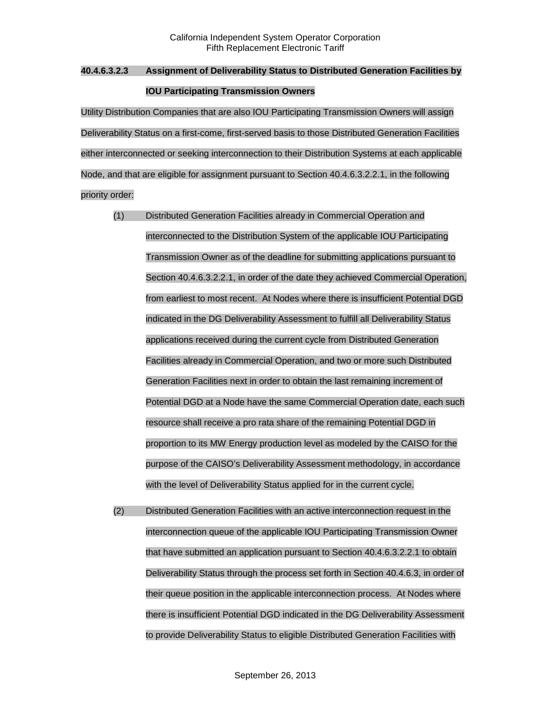## **40.4.6.3.2.3 Assignment of Deliverability Status to Distributed Generation Facilities by IOU Participating Transmission Owners**

Utility Distribution Companies that are also IOU Participating Transmission Owners will assign Deliverability Status on a first-come, first-served basis to those Distributed Generation Facilities either interconnected or seeking interconnection to their Distribution Systems at each applicable Node, and that are eligible for assignment pursuant to Section 40.4.6.3.2.2.1, in the following priority order:

- (1) Distributed Generation Facilities already in Commercial Operation and interconnected to the Distribution System of the applicable IOU Participating Transmission Owner as of the deadline for submitting applications pursuant to Section 40.4.6.3.2.2.1, in order of the date they achieved Commercial Operation, from earliest to most recent. At Nodes where there is insufficient Potential DGD indicated in the DG Deliverability Assessment to fulfill all Deliverability Status applications received during the current cycle from Distributed Generation Facilities already in Commercial Operation, and two or more such Distributed Generation Facilities next in order to obtain the last remaining increment of Potential DGD at a Node have the same Commercial Operation date, each such resource shall receive a pro rata share of the remaining Potential DGD in proportion to its MW Energy production level as modeled by the CAISO for the purpose of the CAISO's Deliverability Assessment methodology, in accordance with the level of Deliverability Status applied for in the current cycle.
- (2) Distributed Generation Facilities with an active interconnection request in the interconnection queue of the applicable IOU Participating Transmission Owner that have submitted an application pursuant to Section 40.4.6.3.2.2.1 to obtain Deliverability Status through the process set forth in Section 40.4.6.3, in order of their queue position in the applicable interconnection process. At Nodes where there is insufficient Potential DGD indicated in the DG Deliverability Assessment to provide Deliverability Status to eligible Distributed Generation Facilities with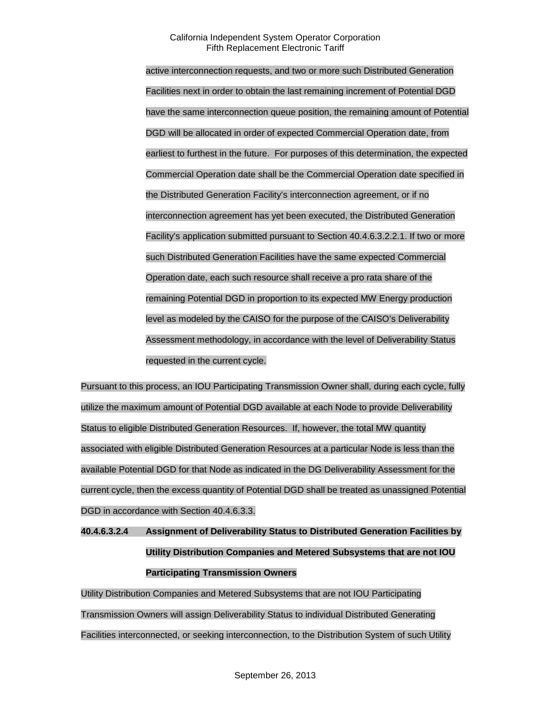active interconnection requests, and two or more such Distributed Generation Facilities next in order to obtain the last remaining increment of Potential DGD have the same interconnection queue position, the remaining amount of Potential DGD will be allocated in order of expected Commercial Operation date, from earliest to furthest in the future. For purposes of this determination, the expected Commercial Operation date shall be the Commercial Operation date specified in the Distributed Generation Facility's interconnection agreement, or if no interconnection agreement has yet been executed, the Distributed Generation Facility's application submitted pursuant to Section 40.4.6.3.2.2.1. If two or more such Distributed Generation Facilities have the same expected Commercial Operation date, each such resource shall receive a pro rata share of the remaining Potential DGD in proportion to its expected MW Energy production level as modeled by the CAISO for the purpose of the CAISO's Deliverability Assessment methodology, in accordance with the level of Deliverability Status requested in the current cycle.

Pursuant to this process, an IOU Participating Transmission Owner shall, during each cycle, fully utilize the maximum amount of Potential DGD available at each Node to provide Deliverability Status to eligible Distributed Generation Resources. If, however, the total MW quantity associated with eligible Distributed Generation Resources at a particular Node is less than the available Potential DGD for that Node as indicated in the DG Deliverability Assessment for the current cycle, then the excess quantity of Potential DGD shall be treated as unassigned Potential DGD in accordance with Section 40.4.6.3.3.

**40.4.6.3.2.4 Assignment of Deliverability Status to Distributed Generation Facilities by Utility Distribution Companies and Metered Subsystems that are not IOU Participating Transmission Owners**

Utility Distribution Companies and Metered Subsystems that are not IOU Participating Transmission Owners will assign Deliverability Status to individual Distributed Generating Facilities interconnected, or seeking interconnection, to the Distribution System of such Utility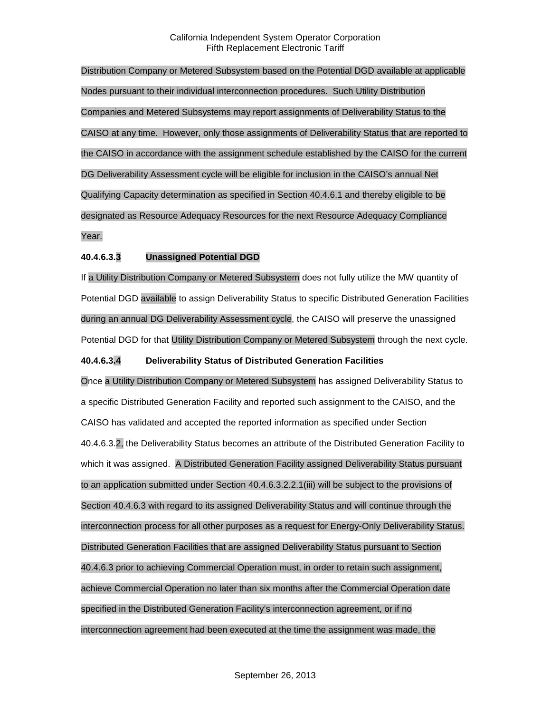Distribution Company or Metered Subsystem based on the Potential DGD available at applicable Nodes pursuant to their individual interconnection procedures. Such Utility Distribution Companies and Metered Subsystems may report assignments of Deliverability Status to the CAISO at any time. However, only those assignments of Deliverability Status that are reported to the CAISO in accordance with the assignment schedule established by the CAISO for the current DG Deliverability Assessment cycle will be eligible for inclusion in the CAISO's annual Net Qualifying Capacity determination as specified in Section 40.4.6.1 and thereby eligible to be designated as Resource Adequacy Resources for the next Resource Adequacy Compliance Year.

# **40.4.6.3.3 Unassigned Potential DGD**

If a Utility Distribution Company or Metered Subsystem does not fully utilize the MW quantity of Potential DGD available to assign Deliverability Status to specific Distributed Generation Facilities during an annual DG Deliverability Assessment cycle, the CAISO will preserve the unassigned Potential DGD for that Utility Distribution Company or Metered Subsystem through the next cycle.

## **40.4.6.3.4 Deliverability Status of Distributed Generation Facilities**

Once a Utility Distribution Company or Metered Subsystem has assigned Deliverability Status to a specific Distributed Generation Facility and reported such assignment to the CAISO, and the CAISO has validated and accepted the reported information as specified under Section 40.4.6.3.2, the Deliverability Status becomes an attribute of the Distributed Generation Facility to which it was assigned. A Distributed Generation Facility assigned Deliverability Status pursuant to an application submitted under Section 40.4.6.3.2.2.1(iii) will be subject to the provisions of Section 40.4.6.3 with regard to its assigned Deliverability Status and will continue through the interconnection process for all other purposes as a request for Energy-Only Deliverability Status. Distributed Generation Facilities that are assigned Deliverability Status pursuant to Section 40.4.6.3 prior to achieving Commercial Operation must, in order to retain such assignment, achieve Commercial Operation no later than six months after the Commercial Operation date specified in the Distributed Generation Facility's interconnection agreement, or if no interconnection agreement had been executed at the time the assignment was made, the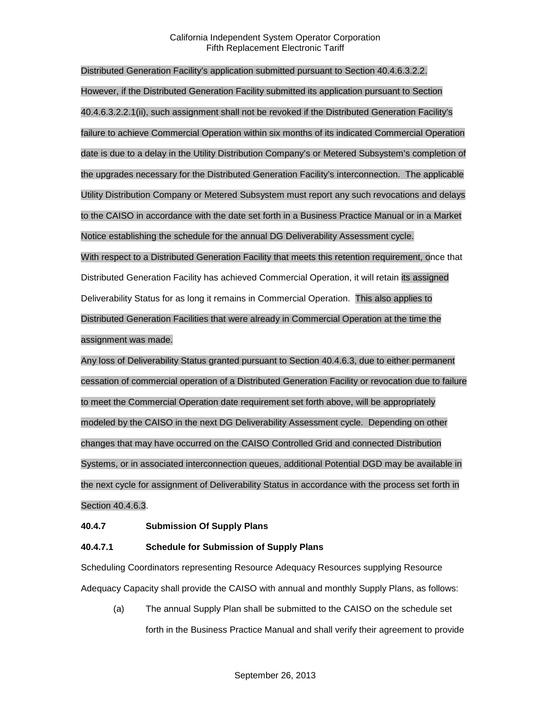Distributed Generation Facility's application submitted pursuant to Section 40.4.6.3.2.2. However, if the Distributed Generation Facility submitted its application pursuant to Section 40.4.6.3.2.2.1(ii), such assignment shall not be revoked if the Distributed Generation Facility's failure to achieve Commercial Operation within six months of its indicated Commercial Operation date is due to a delay in the Utility Distribution Company's or Metered Subsystem's completion of the upgrades necessary for the Distributed Generation Facility's interconnection. The applicable Utility Distribution Company or Metered Subsystem must report any such revocations and delays to the CAISO in accordance with the date set forth in a Business Practice Manual or in a Market Notice establishing the schedule for the annual DG Deliverability Assessment cycle. With respect to a Distributed Generation Facility that meets this retention requirement, once that Distributed Generation Facility has achieved Commercial Operation, it will retain its assigned Deliverability Status for as long it remains in Commercial Operation. This also applies to Distributed Generation Facilities that were already in Commercial Operation at the time the assignment was made.

Any loss of Deliverability Status granted pursuant to Section 40.4.6.3, due to either permanent cessation of commercial operation of a Distributed Generation Facility or revocation due to failure to meet the Commercial Operation date requirement set forth above, will be appropriately modeled by the CAISO in the next DG Deliverability Assessment cycle. Depending on other changes that may have occurred on the CAISO Controlled Grid and connected Distribution Systems, or in associated interconnection queues, additional Potential DGD may be available in the next cycle for assignment of Deliverability Status in accordance with the process set forth in Section 40.4.6.3.

### **40.4.7 Submission Of Supply Plans**

### **40.4.7.1 Schedule for Submission of Supply Plans**

Scheduling Coordinators representing Resource Adequacy Resources supplying Resource Adequacy Capacity shall provide the CAISO with annual and monthly Supply Plans, as follows:

(a) The annual Supply Plan shall be submitted to the CAISO on the schedule set forth in the Business Practice Manual and shall verify their agreement to provide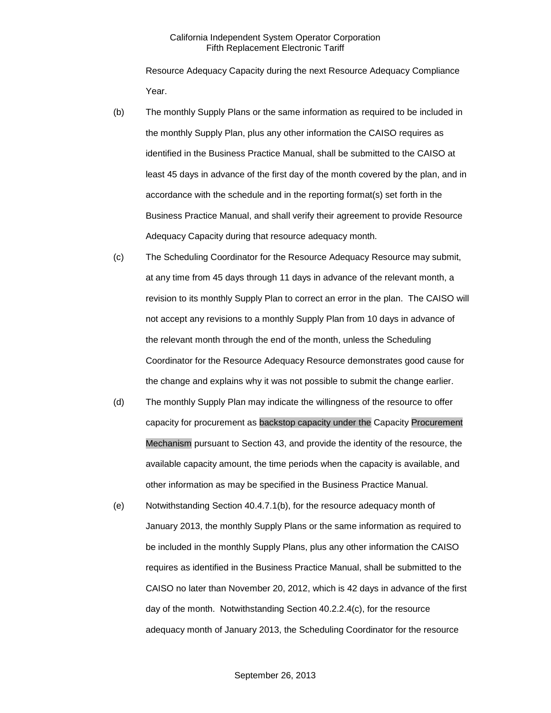Resource Adequacy Capacity during the next Resource Adequacy Compliance Year.

- (b) The monthly Supply Plans or the same information as required to be included in the monthly Supply Plan, plus any other information the CAISO requires as identified in the Business Practice Manual, shall be submitted to the CAISO at least 45 days in advance of the first day of the month covered by the plan, and in accordance with the schedule and in the reporting format(s) set forth in the Business Practice Manual, and shall verify their agreement to provide Resource Adequacy Capacity during that resource adequacy month.
- (c) The Scheduling Coordinator for the Resource Adequacy Resource may submit, at any time from 45 days through 11 days in advance of the relevant month, a revision to its monthly Supply Plan to correct an error in the plan. The CAISO will not accept any revisions to a monthly Supply Plan from 10 days in advance of the relevant month through the end of the month, unless the Scheduling Coordinator for the Resource Adequacy Resource demonstrates good cause for the change and explains why it was not possible to submit the change earlier.
- (d) The monthly Supply Plan may indicate the willingness of the resource to offer capacity for procurement as backstop capacity under the Capacity Procurement Mechanism pursuant to Section 43, and provide the identity of the resource, the available capacity amount, the time periods when the capacity is available, and other information as may be specified in the Business Practice Manual.
- (e) Notwithstanding Section 40.4.7.1(b), for the resource adequacy month of January 2013, the monthly Supply Plans or the same information as required to be included in the monthly Supply Plans, plus any other information the CAISO requires as identified in the Business Practice Manual, shall be submitted to the CAISO no later than November 20, 2012, which is 42 days in advance of the first day of the month. Notwithstanding Section 40.2.2.4(c), for the resource adequacy month of January 2013, the Scheduling Coordinator for the resource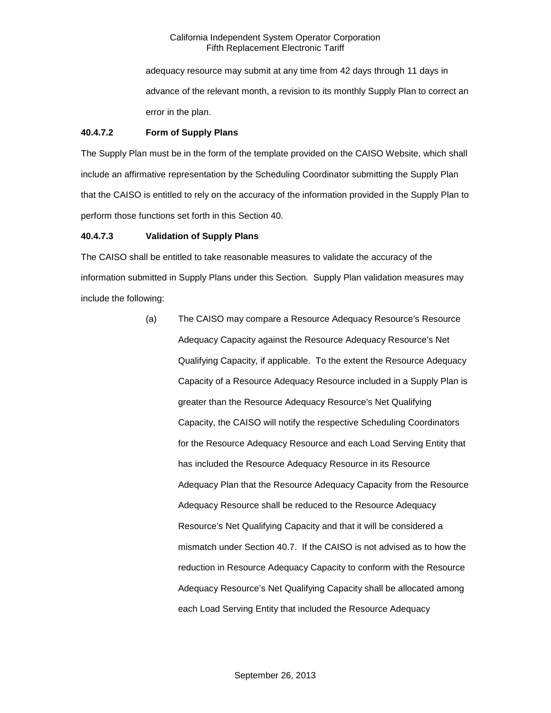adequacy resource may submit at any time from 42 days through 11 days in advance of the relevant month, a revision to its monthly Supply Plan to correct an error in the plan.

# **40.4.7.2 Form of Supply Plans**

The Supply Plan must be in the form of the template provided on the CAISO Website, which shall include an affirmative representation by the Scheduling Coordinator submitting the Supply Plan that the CAISO is entitled to rely on the accuracy of the information provided in the Supply Plan to perform those functions set forth in this Section 40.

# **40.4.7.3 Validation of Supply Plans**

The CAISO shall be entitled to take reasonable measures to validate the accuracy of the information submitted in Supply Plans under this Section. Supply Plan validation measures may include the following:

> (a) The CAISO may compare a Resource Adequacy Resource's Resource Adequacy Capacity against the Resource Adequacy Resource's Net Qualifying Capacity, if applicable. To the extent the Resource Adequacy Capacity of a Resource Adequacy Resource included in a Supply Plan is greater than the Resource Adequacy Resource's Net Qualifying Capacity, the CAISO will notify the respective Scheduling Coordinators for the Resource Adequacy Resource and each Load Serving Entity that has included the Resource Adequacy Resource in its Resource Adequacy Plan that the Resource Adequacy Capacity from the Resource Adequacy Resource shall be reduced to the Resource Adequacy Resource's Net Qualifying Capacity and that it will be considered a mismatch under Section 40.7. If the CAISO is not advised as to how the reduction in Resource Adequacy Capacity to conform with the Resource Adequacy Resource's Net Qualifying Capacity shall be allocated among each Load Serving Entity that included the Resource Adequacy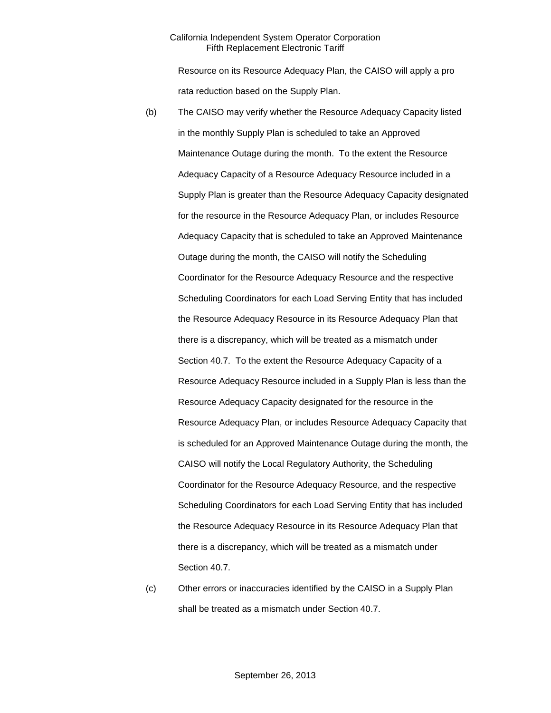Resource on its Resource Adequacy Plan, the CAISO will apply a pro rata reduction based on the Supply Plan.

- (b) The CAISO may verify whether the Resource Adequacy Capacity listed in the monthly Supply Plan is scheduled to take an Approved Maintenance Outage during the month. To the extent the Resource Adequacy Capacity of a Resource Adequacy Resource included in a Supply Plan is greater than the Resource Adequacy Capacity designated for the resource in the Resource Adequacy Plan, or includes Resource Adequacy Capacity that is scheduled to take an Approved Maintenance Outage during the month, the CAISO will notify the Scheduling Coordinator for the Resource Adequacy Resource and the respective Scheduling Coordinators for each Load Serving Entity that has included the Resource Adequacy Resource in its Resource Adequacy Plan that there is a discrepancy, which will be treated as a mismatch under Section 40.7. To the extent the Resource Adequacy Capacity of a Resource Adequacy Resource included in a Supply Plan is less than the Resource Adequacy Capacity designated for the resource in the Resource Adequacy Plan, or includes Resource Adequacy Capacity that is scheduled for an Approved Maintenance Outage during the month, the CAISO will notify the Local Regulatory Authority, the Scheduling Coordinator for the Resource Adequacy Resource, and the respective Scheduling Coordinators for each Load Serving Entity that has included the Resource Adequacy Resource in its Resource Adequacy Plan that there is a discrepancy, which will be treated as a mismatch under Section 40.7.
- (c) Other errors or inaccuracies identified by the CAISO in a Supply Plan shall be treated as a mismatch under Section 40.7.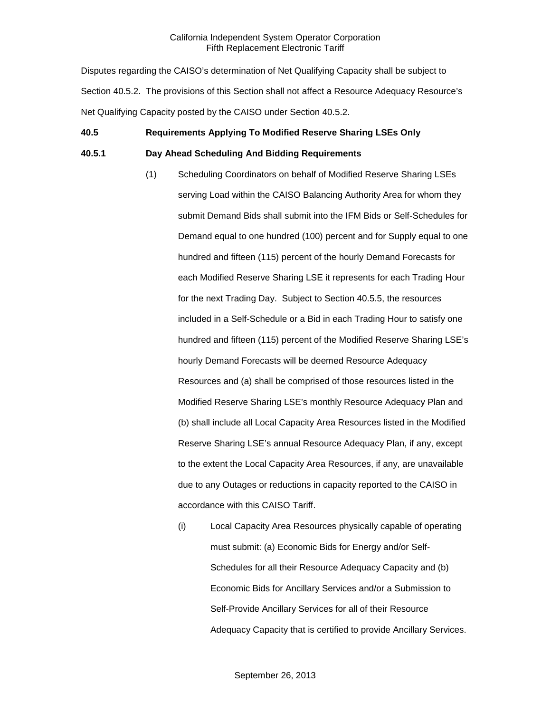Disputes regarding the CAISO's determination of Net Qualifying Capacity shall be subject to Section 40.5.2. The provisions of this Section shall not affect a Resource Adequacy Resource's Net Qualifying Capacity posted by the CAISO under Section 40.5.2.

# **40.5 Requirements Applying To Modified Reserve Sharing LSEs Only**

### **40.5.1 Day Ahead Scheduling And Bidding Requirements**

- (1) Scheduling Coordinators on behalf of Modified Reserve Sharing LSEs serving Load within the CAISO Balancing Authority Area for whom they submit Demand Bids shall submit into the IFM Bids or Self-Schedules for Demand equal to one hundred (100) percent and for Supply equal to one hundred and fifteen (115) percent of the hourly Demand Forecasts for each Modified Reserve Sharing LSE it represents for each Trading Hour for the next Trading Day. Subject to Section 40.5.5, the resources included in a Self-Schedule or a Bid in each Trading Hour to satisfy one hundred and fifteen (115) percent of the Modified Reserve Sharing LSE's hourly Demand Forecasts will be deemed Resource Adequacy Resources and (a) shall be comprised of those resources listed in the Modified Reserve Sharing LSE's monthly Resource Adequacy Plan and (b) shall include all Local Capacity Area Resources listed in the Modified Reserve Sharing LSE's annual Resource Adequacy Plan, if any, except to the extent the Local Capacity Area Resources, if any, are unavailable due to any Outages or reductions in capacity reported to the CAISO in accordance with this CAISO Tariff.
	- (i) Local Capacity Area Resources physically capable of operating must submit: (a) Economic Bids for Energy and/or Self-Schedules for all their Resource Adequacy Capacity and (b) Economic Bids for Ancillary Services and/or a Submission to Self-Provide Ancillary Services for all of their Resource Adequacy Capacity that is certified to provide Ancillary Services.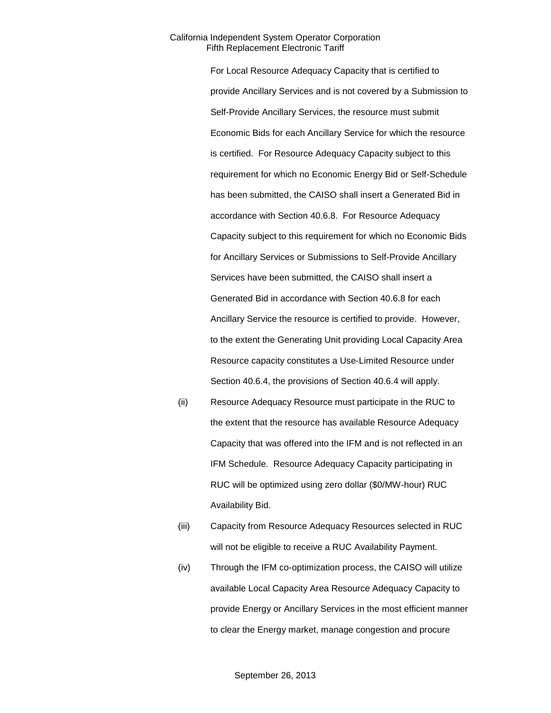For Local Resource Adequacy Capacity that is certified to provide Ancillary Services and is not covered by a Submission to Self-Provide Ancillary Services, the resource must submit Economic Bids for each Ancillary Service for which the resource is certified. For Resource Adequacy Capacity subject to this requirement for which no Economic Energy Bid or Self-Schedule has been submitted, the CAISO shall insert a Generated Bid in accordance with Section 40.6.8. For Resource Adequacy Capacity subject to this requirement for which no Economic Bids for Ancillary Services or Submissions to Self-Provide Ancillary Services have been submitted, the CAISO shall insert a Generated Bid in accordance with Section 40.6.8 for each Ancillary Service the resource is certified to provide. However, to the extent the Generating Unit providing Local Capacity Area Resource capacity constitutes a Use-Limited Resource under Section 40.6.4, the provisions of Section 40.6.4 will apply.

- (ii) Resource Adequacy Resource must participate in the RUC to the extent that the resource has available Resource Adequacy Capacity that was offered into the IFM and is not reflected in an IFM Schedule. Resource Adequacy Capacity participating in RUC will be optimized using zero dollar (\$0/MW-hour) RUC Availability Bid.
- (iii) Capacity from Resource Adequacy Resources selected in RUC will not be eligible to receive a RUC Availability Payment.
- (iv) Through the IFM co-optimization process, the CAISO will utilize available Local Capacity Area Resource Adequacy Capacity to provide Energy or Ancillary Services in the most efficient manner to clear the Energy market, manage congestion and procure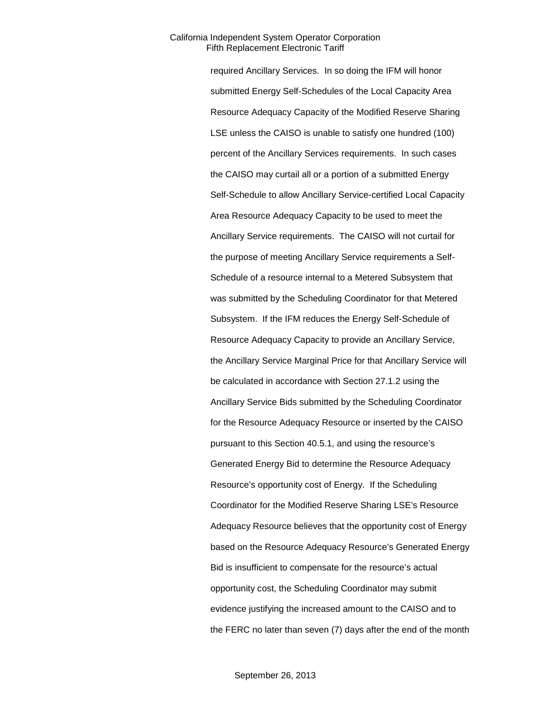required Ancillary Services. In so doing the IFM will honor submitted Energy Self-Schedules of the Local Capacity Area Resource Adequacy Capacity of the Modified Reserve Sharing LSE unless the CAISO is unable to satisfy one hundred (100) percent of the Ancillary Services requirements. In such cases the CAISO may curtail all or a portion of a submitted Energy Self-Schedule to allow Ancillary Service-certified Local Capacity Area Resource Adequacy Capacity to be used to meet the Ancillary Service requirements. The CAISO will not curtail for the purpose of meeting Ancillary Service requirements a Self-Schedule of a resource internal to a Metered Subsystem that was submitted by the Scheduling Coordinator for that Metered Subsystem. If the IFM reduces the Energy Self-Schedule of Resource Adequacy Capacity to provide an Ancillary Service, the Ancillary Service Marginal Price for that Ancillary Service will be calculated in accordance with Section 27.1.2 using the Ancillary Service Bids submitted by the Scheduling Coordinator for the Resource Adequacy Resource or inserted by the CAISO pursuant to this Section 40.5.1, and using the resource's Generated Energy Bid to determine the Resource Adequacy Resource's opportunity cost of Energy. If the Scheduling Coordinator for the Modified Reserve Sharing LSE's Resource Adequacy Resource believes that the opportunity cost of Energy based on the Resource Adequacy Resource's Generated Energy Bid is insufficient to compensate for the resource's actual opportunity cost, the Scheduling Coordinator may submit evidence justifying the increased amount to the CAISO and to the FERC no later than seven (7) days after the end of the month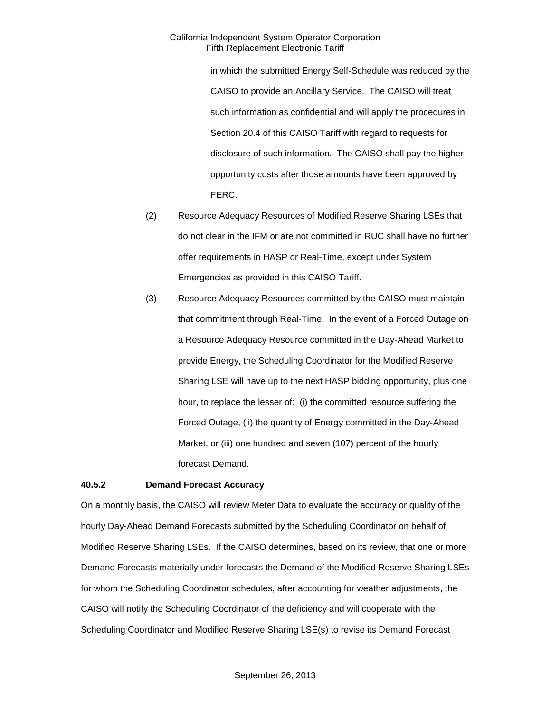in which the submitted Energy Self-Schedule was reduced by the CAISO to provide an Ancillary Service. The CAISO will treat such information as confidential and will apply the procedures in Section 20.4 of this CAISO Tariff with regard to requests for disclosure of such information. The CAISO shall pay the higher opportunity costs after those amounts have been approved by FERC.

- (2) Resource Adequacy Resources of Modified Reserve Sharing LSEs that do not clear in the IFM or are not committed in RUC shall have no further offer requirements in HASP or Real-Time, except under System Emergencies as provided in this CAISO Tariff.
- (3) Resource Adequacy Resources committed by the CAISO must maintain that commitment through Real-Time. In the event of a Forced Outage on a Resource Adequacy Resource committed in the Day-Ahead Market to provide Energy, the Scheduling Coordinator for the Modified Reserve Sharing LSE will have up to the next HASP bidding opportunity, plus one hour, to replace the lesser of: (i) the committed resource suffering the Forced Outage, (ii) the quantity of Energy committed in the Day-Ahead Market, or (iii) one hundred and seven (107) percent of the hourly forecast Demand.

#### **40.5.2 Demand Forecast Accuracy**

On a monthly basis, the CAISO will review Meter Data to evaluate the accuracy or quality of the hourly Day-Ahead Demand Forecasts submitted by the Scheduling Coordinator on behalf of Modified Reserve Sharing LSEs. If the CAISO determines, based on its review, that one or more Demand Forecasts materially under-forecasts the Demand of the Modified Reserve Sharing LSEs for whom the Scheduling Coordinator schedules, after accounting for weather adjustments, the CAISO will notify the Scheduling Coordinator of the deficiency and will cooperate with the Scheduling Coordinator and Modified Reserve Sharing LSE(s) to revise its Demand Forecast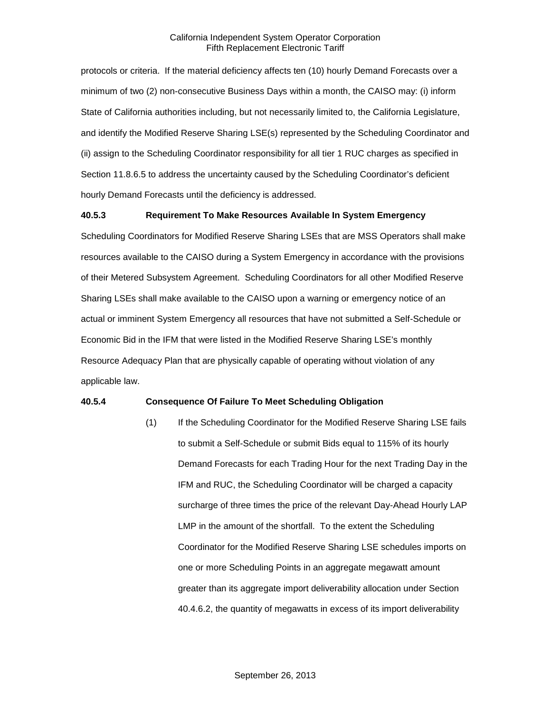protocols or criteria. If the material deficiency affects ten (10) hourly Demand Forecasts over a minimum of two (2) non-consecutive Business Days within a month, the CAISO may: (i) inform State of California authorities including, but not necessarily limited to, the California Legislature, and identify the Modified Reserve Sharing LSE(s) represented by the Scheduling Coordinator and (ii) assign to the Scheduling Coordinator responsibility for all tier 1 RUC charges as specified in Section 11.8.6.5 to address the uncertainty caused by the Scheduling Coordinator's deficient hourly Demand Forecasts until the deficiency is addressed.

#### **40.5.3 Requirement To Make Resources Available In System Emergency**

Scheduling Coordinators for Modified Reserve Sharing LSEs that are MSS Operators shall make resources available to the CAISO during a System Emergency in accordance with the provisions of their Metered Subsystem Agreement. Scheduling Coordinators for all other Modified Reserve Sharing LSEs shall make available to the CAISO upon a warning or emergency notice of an actual or imminent System Emergency all resources that have not submitted a Self-Schedule or Economic Bid in the IFM that were listed in the Modified Reserve Sharing LSE's monthly Resource Adequacy Plan that are physically capable of operating without violation of any applicable law.

#### **40.5.4 Consequence Of Failure To Meet Scheduling Obligation**

(1) If the Scheduling Coordinator for the Modified Reserve Sharing LSE fails to submit a Self-Schedule or submit Bids equal to 115% of its hourly Demand Forecasts for each Trading Hour for the next Trading Day in the IFM and RUC, the Scheduling Coordinator will be charged a capacity surcharge of three times the price of the relevant Day-Ahead Hourly LAP LMP in the amount of the shortfall. To the extent the Scheduling Coordinator for the Modified Reserve Sharing LSE schedules imports on one or more Scheduling Points in an aggregate megawatt amount greater than its aggregate import deliverability allocation under Section 40.4.6.2, the quantity of megawatts in excess of its import deliverability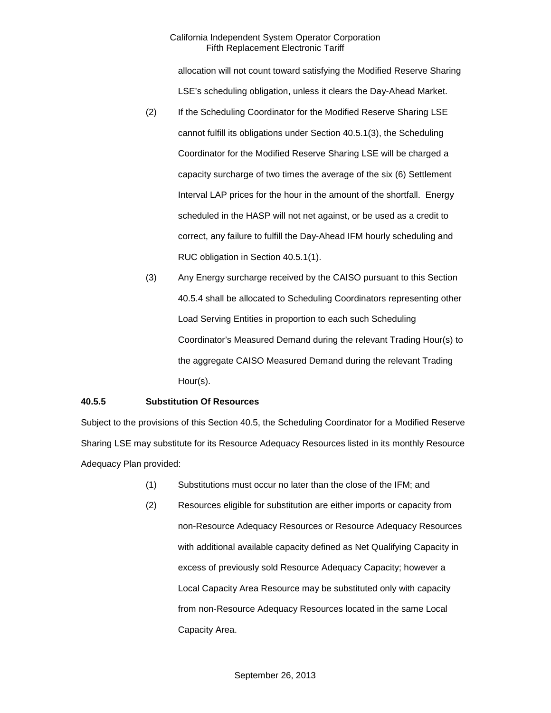allocation will not count toward satisfying the Modified Reserve Sharing LSE's scheduling obligation, unless it clears the Day-Ahead Market.

- (2) If the Scheduling Coordinator for the Modified Reserve Sharing LSE cannot fulfill its obligations under Section 40.5.1(3), the Scheduling Coordinator for the Modified Reserve Sharing LSE will be charged a capacity surcharge of two times the average of the six (6) Settlement Interval LAP prices for the hour in the amount of the shortfall. Energy scheduled in the HASP will not net against, or be used as a credit to correct, any failure to fulfill the Day-Ahead IFM hourly scheduling and RUC obligation in Section 40.5.1(1).
- (3) Any Energy surcharge received by the CAISO pursuant to this Section 40.5.4 shall be allocated to Scheduling Coordinators representing other Load Serving Entities in proportion to each such Scheduling Coordinator's Measured Demand during the relevant Trading Hour(s) to the aggregate CAISO Measured Demand during the relevant Trading Hour(s).

#### **40.5.5 Substitution Of Resources**

Subject to the provisions of this Section 40.5, the Scheduling Coordinator for a Modified Reserve Sharing LSE may substitute for its Resource Adequacy Resources listed in its monthly Resource Adequacy Plan provided:

- (1) Substitutions must occur no later than the close of the IFM; and
- (2) Resources eligible for substitution are either imports or capacity from non-Resource Adequacy Resources or Resource Adequacy Resources with additional available capacity defined as Net Qualifying Capacity in excess of previously sold Resource Adequacy Capacity; however a Local Capacity Area Resource may be substituted only with capacity from non-Resource Adequacy Resources located in the same Local Capacity Area.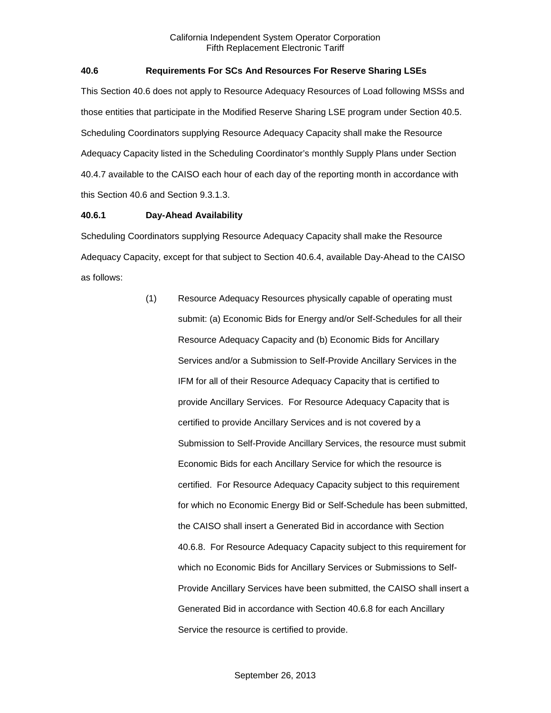# **40.6 Requirements For SCs And Resources For Reserve Sharing LSEs**

This Section 40.6 does not apply to Resource Adequacy Resources of Load following MSSs and those entities that participate in the Modified Reserve Sharing LSE program under Section 40.5. Scheduling Coordinators supplying Resource Adequacy Capacity shall make the Resource Adequacy Capacity listed in the Scheduling Coordinator's monthly Supply Plans under Section 40.4.7 available to the CAISO each hour of each day of the reporting month in accordance with this Section 40.6 and Section 9.3.1.3.

#### **40.6.1 Day-Ahead Availability**

Scheduling Coordinators supplying Resource Adequacy Capacity shall make the Resource Adequacy Capacity, except for that subject to Section 40.6.4, available Day-Ahead to the CAISO as follows:

> (1) Resource Adequacy Resources physically capable of operating must submit: (a) Economic Bids for Energy and/or Self-Schedules for all their Resource Adequacy Capacity and (b) Economic Bids for Ancillary Services and/or a Submission to Self-Provide Ancillary Services in the IFM for all of their Resource Adequacy Capacity that is certified to provide Ancillary Services. For Resource Adequacy Capacity that is certified to provide Ancillary Services and is not covered by a Submission to Self-Provide Ancillary Services, the resource must submit Economic Bids for each Ancillary Service for which the resource is certified. For Resource Adequacy Capacity subject to this requirement for which no Economic Energy Bid or Self-Schedule has been submitted, the CAISO shall insert a Generated Bid in accordance with Section 40.6.8. For Resource Adequacy Capacity subject to this requirement for which no Economic Bids for Ancillary Services or Submissions to Self-Provide Ancillary Services have been submitted, the CAISO shall insert a Generated Bid in accordance with Section 40.6.8 for each Ancillary Service the resource is certified to provide.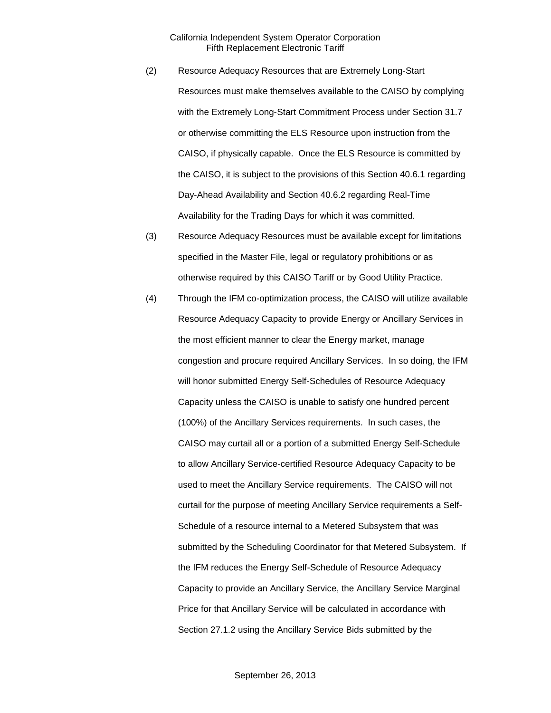- (2) Resource Adequacy Resources that are Extremely Long-Start Resources must make themselves available to the CAISO by complying with the Extremely Long-Start Commitment Process under Section 31.7 or otherwise committing the ELS Resource upon instruction from the CAISO, if physically capable. Once the ELS Resource is committed by the CAISO, it is subject to the provisions of this Section 40.6.1 regarding Day-Ahead Availability and Section 40.6.2 regarding Real-Time Availability for the Trading Days for which it was committed.
- (3) Resource Adequacy Resources must be available except for limitations specified in the Master File, legal or regulatory prohibitions or as otherwise required by this CAISO Tariff or by Good Utility Practice.
- (4) Through the IFM co-optimization process, the CAISO will utilize available Resource Adequacy Capacity to provide Energy or Ancillary Services in the most efficient manner to clear the Energy market, manage congestion and procure required Ancillary Services. In so doing, the IFM will honor submitted Energy Self-Schedules of Resource Adequacy Capacity unless the CAISO is unable to satisfy one hundred percent (100%) of the Ancillary Services requirements. In such cases, the CAISO may curtail all or a portion of a submitted Energy Self-Schedule to allow Ancillary Service-certified Resource Adequacy Capacity to be used to meet the Ancillary Service requirements. The CAISO will not curtail for the purpose of meeting Ancillary Service requirements a Self-Schedule of a resource internal to a Metered Subsystem that was submitted by the Scheduling Coordinator for that Metered Subsystem. If the IFM reduces the Energy Self-Schedule of Resource Adequacy Capacity to provide an Ancillary Service, the Ancillary Service Marginal Price for that Ancillary Service will be calculated in accordance with Section 27.1.2 using the Ancillary Service Bids submitted by the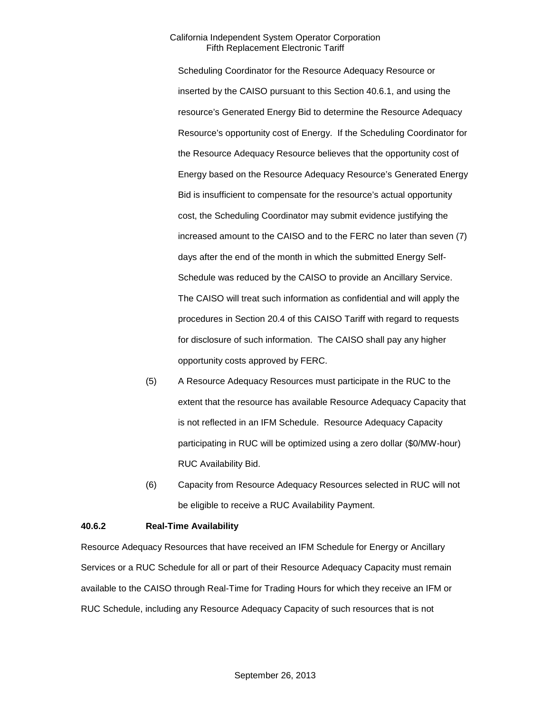Scheduling Coordinator for the Resource Adequacy Resource or inserted by the CAISO pursuant to this Section 40.6.1, and using the resource's Generated Energy Bid to determine the Resource Adequacy Resource's opportunity cost of Energy. If the Scheduling Coordinator for the Resource Adequacy Resource believes that the opportunity cost of Energy based on the Resource Adequacy Resource's Generated Energy Bid is insufficient to compensate for the resource's actual opportunity cost, the Scheduling Coordinator may submit evidence justifying the increased amount to the CAISO and to the FERC no later than seven (7) days after the end of the month in which the submitted Energy Self-Schedule was reduced by the CAISO to provide an Ancillary Service. The CAISO will treat such information as confidential and will apply the procedures in Section 20.4 of this CAISO Tariff with regard to requests for disclosure of such information. The CAISO shall pay any higher opportunity costs approved by FERC.

- (5) A Resource Adequacy Resources must participate in the RUC to the extent that the resource has available Resource Adequacy Capacity that is not reflected in an IFM Schedule. Resource Adequacy Capacity participating in RUC will be optimized using a zero dollar (\$0/MW-hour) RUC Availability Bid.
- (6) Capacity from Resource Adequacy Resources selected in RUC will not be eligible to receive a RUC Availability Payment.

#### **40.6.2 Real-Time Availability**

Resource Adequacy Resources that have received an IFM Schedule for Energy or Ancillary Services or a RUC Schedule for all or part of their Resource Adequacy Capacity must remain available to the CAISO through Real-Time for Trading Hours for which they receive an IFM or RUC Schedule, including any Resource Adequacy Capacity of such resources that is not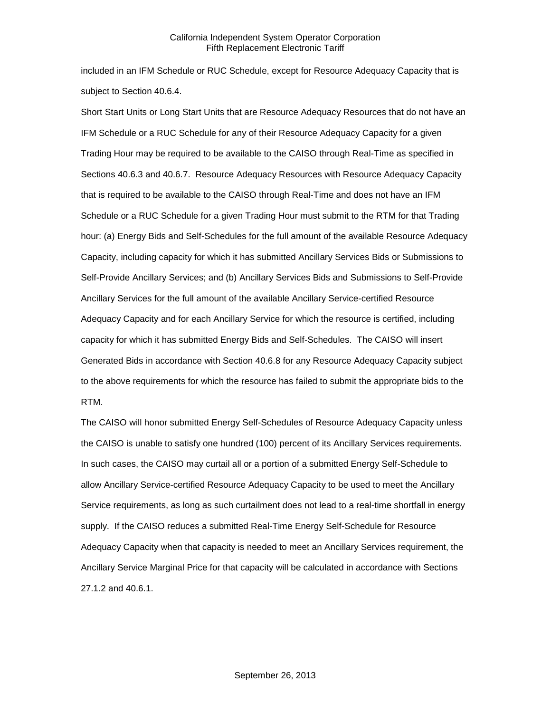included in an IFM Schedule or RUC Schedule, except for Resource Adequacy Capacity that is subject to Section 40.6.4.

Short Start Units or Long Start Units that are Resource Adequacy Resources that do not have an IFM Schedule or a RUC Schedule for any of their Resource Adequacy Capacity for a given Trading Hour may be required to be available to the CAISO through Real-Time as specified in Sections 40.6.3 and 40.6.7. Resource Adequacy Resources with Resource Adequacy Capacity that is required to be available to the CAISO through Real-Time and does not have an IFM Schedule or a RUC Schedule for a given Trading Hour must submit to the RTM for that Trading hour: (a) Energy Bids and Self-Schedules for the full amount of the available Resource Adequacy Capacity, including capacity for which it has submitted Ancillary Services Bids or Submissions to Self-Provide Ancillary Services; and (b) Ancillary Services Bids and Submissions to Self-Provide Ancillary Services for the full amount of the available Ancillary Service-certified Resource Adequacy Capacity and for each Ancillary Service for which the resource is certified, including capacity for which it has submitted Energy Bids and Self-Schedules. The CAISO will insert Generated Bids in accordance with Section 40.6.8 for any Resource Adequacy Capacity subject to the above requirements for which the resource has failed to submit the appropriate bids to the RTM.

The CAISO will honor submitted Energy Self-Schedules of Resource Adequacy Capacity unless the CAISO is unable to satisfy one hundred (100) percent of its Ancillary Services requirements. In such cases, the CAISO may curtail all or a portion of a submitted Energy Self-Schedule to allow Ancillary Service-certified Resource Adequacy Capacity to be used to meet the Ancillary Service requirements, as long as such curtailment does not lead to a real-time shortfall in energy supply. If the CAISO reduces a submitted Real-Time Energy Self-Schedule for Resource Adequacy Capacity when that capacity is needed to meet an Ancillary Services requirement, the Ancillary Service Marginal Price for that capacity will be calculated in accordance with Sections 27.1.2 and 40.6.1.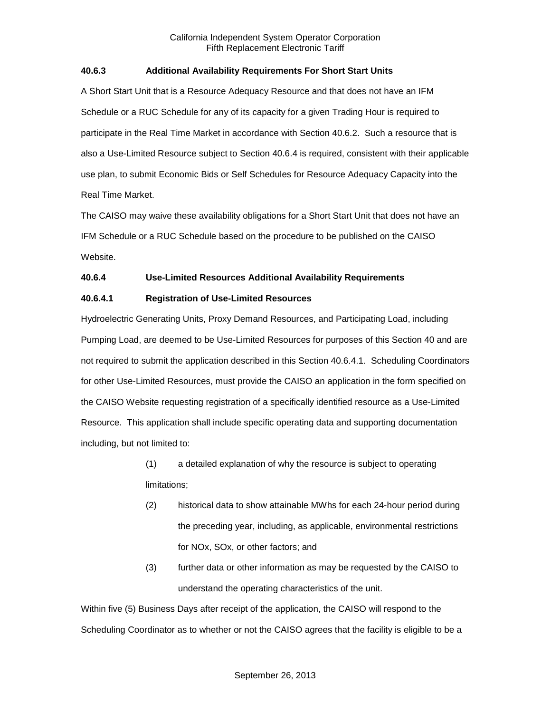### **40.6.3 Additional Availability Requirements For Short Start Units**

A Short Start Unit that is a Resource Adequacy Resource and that does not have an IFM Schedule or a RUC Schedule for any of its capacity for a given Trading Hour is required to participate in the Real Time Market in accordance with Section 40.6.2. Such a resource that is also a Use-Limited Resource subject to Section 40.6.4 is required, consistent with their applicable use plan, to submit Economic Bids or Self Schedules for Resource Adequacy Capacity into the Real Time Market.

The CAISO may waive these availability obligations for a Short Start Unit that does not have an IFM Schedule or a RUC Schedule based on the procedure to be published on the CAISO Website.

# **40.6.4 Use-Limited Resources Additional Availability Requirements**

### **40.6.4.1 Registration of Use-Limited Resources**

Hydroelectric Generating Units, Proxy Demand Resources, and Participating Load, including Pumping Load, are deemed to be Use-Limited Resources for purposes of this Section 40 and are not required to submit the application described in this Section 40.6.4.1. Scheduling Coordinators for other Use-Limited Resources, must provide the CAISO an application in the form specified on the CAISO Website requesting registration of a specifically identified resource as a Use-Limited Resource. This application shall include specific operating data and supporting documentation including, but not limited to:

- (1) a detailed explanation of why the resource is subject to operating limitations;
- (2) historical data to show attainable MWhs for each 24-hour period during the preceding year, including, as applicable, environmental restrictions for NOx, SOx, or other factors; and
- (3) further data or other information as may be requested by the CAISO to understand the operating characteristics of the unit.

Within five (5) Business Days after receipt of the application, the CAISO will respond to the Scheduling Coordinator as to whether or not the CAISO agrees that the facility is eligible to be a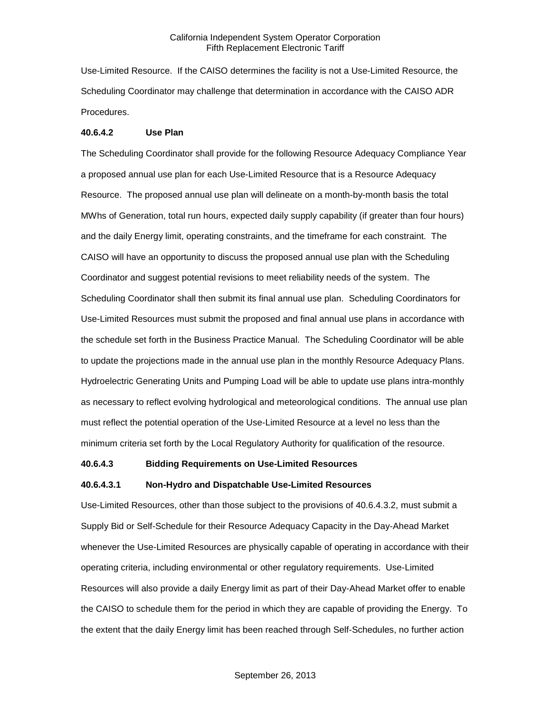Use-Limited Resource. If the CAISO determines the facility is not a Use-Limited Resource, the Scheduling Coordinator may challenge that determination in accordance with the CAISO ADR Procedures.

#### **40.6.4.2 Use Plan**

The Scheduling Coordinator shall provide for the following Resource Adequacy Compliance Year a proposed annual use plan for each Use-Limited Resource that is a Resource Adequacy Resource. The proposed annual use plan will delineate on a month-by-month basis the total MWhs of Generation, total run hours, expected daily supply capability (if greater than four hours) and the daily Energy limit, operating constraints, and the timeframe for each constraint. The CAISO will have an opportunity to discuss the proposed annual use plan with the Scheduling Coordinator and suggest potential revisions to meet reliability needs of the system. The Scheduling Coordinator shall then submit its final annual use plan. Scheduling Coordinators for Use-Limited Resources must submit the proposed and final annual use plans in accordance with the schedule set forth in the Business Practice Manual. The Scheduling Coordinator will be able to update the projections made in the annual use plan in the monthly Resource Adequacy Plans. Hydroelectric Generating Units and Pumping Load will be able to update use plans intra-monthly as necessary to reflect evolving hydrological and meteorological conditions. The annual use plan must reflect the potential operation of the Use-Limited Resource at a level no less than the minimum criteria set forth by the Local Regulatory Authority for qualification of the resource.

### **40.6.4.3 Bidding Requirements on Use-Limited Resources**

#### **40.6.4.3.1 Non-Hydro and Dispatchable Use-Limited Resources**

Use-Limited Resources, other than those subject to the provisions of 40.6.4.3.2, must submit a Supply Bid or Self-Schedule for their Resource Adequacy Capacity in the Day-Ahead Market whenever the Use-Limited Resources are physically capable of operating in accordance with their operating criteria, including environmental or other regulatory requirements. Use-Limited Resources will also provide a daily Energy limit as part of their Day-Ahead Market offer to enable the CAISO to schedule them for the period in which they are capable of providing the Energy. To the extent that the daily Energy limit has been reached through Self-Schedules, no further action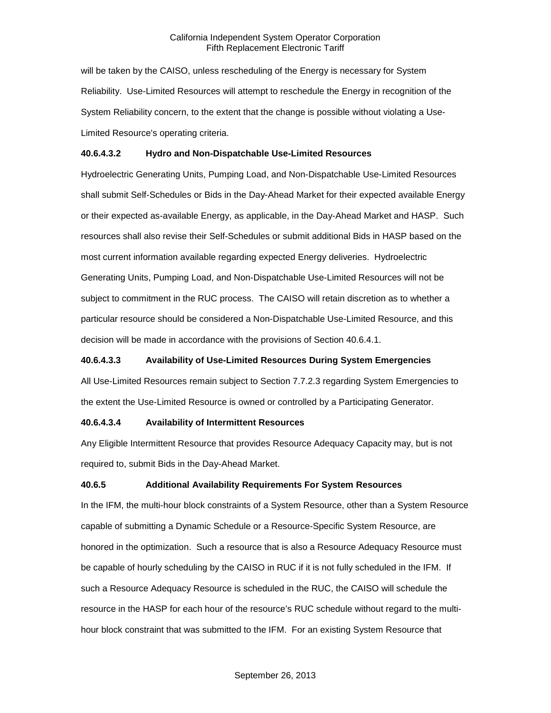will be taken by the CAISO, unless rescheduling of the Energy is necessary for System Reliability. Use-Limited Resources will attempt to reschedule the Energy in recognition of the System Reliability concern, to the extent that the change is possible without violating a Use-Limited Resource's operating criteria.

### **40.6.4.3.2 Hydro and Non-Dispatchable Use-Limited Resources**

Hydroelectric Generating Units, Pumping Load, and Non-Dispatchable Use-Limited Resources shall submit Self-Schedules or Bids in the Day-Ahead Market for their expected available Energy or their expected as-available Energy, as applicable, in the Day-Ahead Market and HASP. Such resources shall also revise their Self-Schedules or submit additional Bids in HASP based on the most current information available regarding expected Energy deliveries. Hydroelectric Generating Units, Pumping Load, and Non-Dispatchable Use-Limited Resources will not be subject to commitment in the RUC process. The CAISO will retain discretion as to whether a particular resource should be considered a Non-Dispatchable Use-Limited Resource, and this decision will be made in accordance with the provisions of Section 40.6.4.1.

#### **40.6.4.3.3 Availability of Use-Limited Resources During System Emergencies**

All Use-Limited Resources remain subject to Section 7.7.2.3 regarding System Emergencies to the extent the Use-Limited Resource is owned or controlled by a Participating Generator.

#### **40.6.4.3.4 Availability of Intermittent Resources**

Any Eligible Intermittent Resource that provides Resource Adequacy Capacity may, but is not required to, submit Bids in the Day-Ahead Market.

### **40.6.5 Additional Availability Requirements For System Resources**

In the IFM, the multi-hour block constraints of a System Resource, other than a System Resource capable of submitting a Dynamic Schedule or a Resource-Specific System Resource, are honored in the optimization. Such a resource that is also a Resource Adequacy Resource must be capable of hourly scheduling by the CAISO in RUC if it is not fully scheduled in the IFM. If such a Resource Adequacy Resource is scheduled in the RUC, the CAISO will schedule the resource in the HASP for each hour of the resource's RUC schedule without regard to the multihour block constraint that was submitted to the IFM. For an existing System Resource that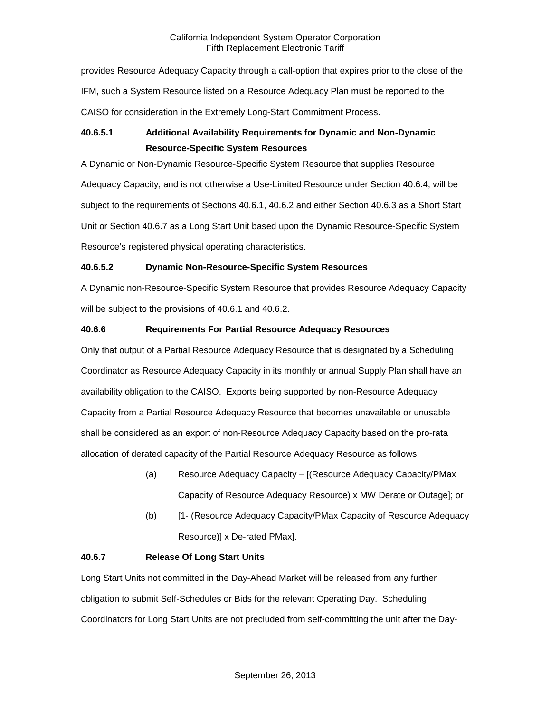provides Resource Adequacy Capacity through a call-option that expires prior to the close of the IFM, such a System Resource listed on a Resource Adequacy Plan must be reported to the CAISO for consideration in the Extremely Long-Start Commitment Process.

# **40.6.5.1 Additional Availability Requirements for Dynamic and Non-Dynamic Resource-Specific System Resources**

A Dynamic or Non-Dynamic Resource-Specific System Resource that supplies Resource Adequacy Capacity, and is not otherwise a Use-Limited Resource under Section 40.6.4, will be subject to the requirements of Sections 40.6.1, 40.6.2 and either Section 40.6.3 as a Short Start Unit or Section 40.6.7 as a Long Start Unit based upon the Dynamic Resource-Specific System Resource's registered physical operating characteristics.

# **40.6.5.2 Dynamic Non-Resource-Specific System Resources**

A Dynamic non-Resource-Specific System Resource that provides Resource Adequacy Capacity will be subject to the provisions of 40.6.1 and 40.6.2.

# **40.6.6 Requirements For Partial Resource Adequacy Resources**

Only that output of a Partial Resource Adequacy Resource that is designated by a Scheduling Coordinator as Resource Adequacy Capacity in its monthly or annual Supply Plan shall have an availability obligation to the CAISO. Exports being supported by non-Resource Adequacy Capacity from a Partial Resource Adequacy Resource that becomes unavailable or unusable shall be considered as an export of non-Resource Adequacy Capacity based on the pro-rata allocation of derated capacity of the Partial Resource Adequacy Resource as follows:

- (a) Resource Adequacy Capacity [(Resource Adequacy Capacity/PMax Capacity of Resource Adequacy Resource) x MW Derate or Outage]; or
- (b) [1- (Resource Adequacy Capacity/PMax Capacity of Resource Adequacy Resource)] x De-rated PMax].

# **40.6.7 Release Of Long Start Units**

Long Start Units not committed in the Day-Ahead Market will be released from any further obligation to submit Self-Schedules or Bids for the relevant Operating Day. Scheduling Coordinators for Long Start Units are not precluded from self-committing the unit after the Day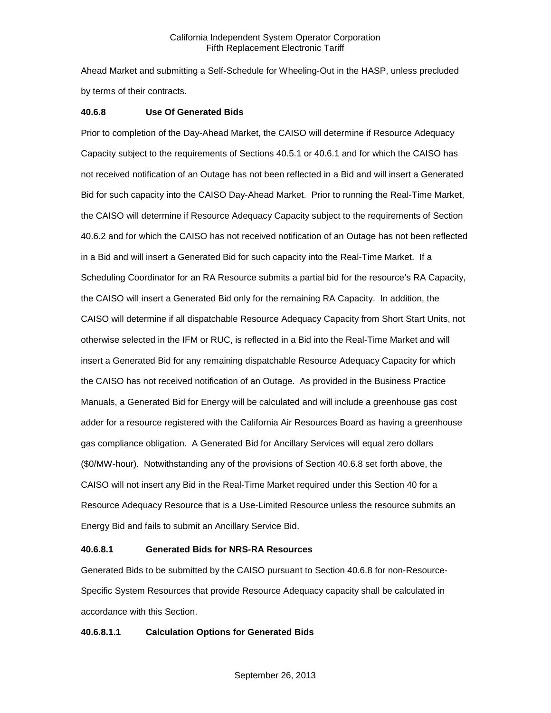Ahead Market and submitting a Self-Schedule for Wheeling-Out in the HASP, unless precluded by terms of their contracts.

### **40.6.8 Use Of Generated Bids**

Prior to completion of the Day-Ahead Market, the CAISO will determine if Resource Adequacy Capacity subject to the requirements of Sections 40.5.1 or 40.6.1 and for which the CAISO has not received notification of an Outage has not been reflected in a Bid and will insert a Generated Bid for such capacity into the CAISO Day-Ahead Market. Prior to running the Real-Time Market, the CAISO will determine if Resource Adequacy Capacity subject to the requirements of Section 40.6.2 and for which the CAISO has not received notification of an Outage has not been reflected in a Bid and will insert a Generated Bid for such capacity into the Real-Time Market. If a Scheduling Coordinator for an RA Resource submits a partial bid for the resource's RA Capacity, the CAISO will insert a Generated Bid only for the remaining RA Capacity. In addition, the CAISO will determine if all dispatchable Resource Adequacy Capacity from Short Start Units, not otherwise selected in the IFM or RUC, is reflected in a Bid into the Real-Time Market and will insert a Generated Bid for any remaining dispatchable Resource Adequacy Capacity for which the CAISO has not received notification of an Outage. As provided in the Business Practice Manuals, a Generated Bid for Energy will be calculated and will include a greenhouse gas cost adder for a resource registered with the California Air Resources Board as having a greenhouse gas compliance obligation. A Generated Bid for Ancillary Services will equal zero dollars (\$0/MW-hour). Notwithstanding any of the provisions of Section 40.6.8 set forth above, the CAISO will not insert any Bid in the Real-Time Market required under this Section 40 for a Resource Adequacy Resource that is a Use-Limited Resource unless the resource submits an Energy Bid and fails to submit an Ancillary Service Bid.

### **40.6.8.1 Generated Bids for NRS-RA Resources**

Generated Bids to be submitted by the CAISO pursuant to Section 40.6.8 for non-Resource-Specific System Resources that provide Resource Adequacy capacity shall be calculated in accordance with this Section.

### **40.6.8.1.1 Calculation Options for Generated Bids**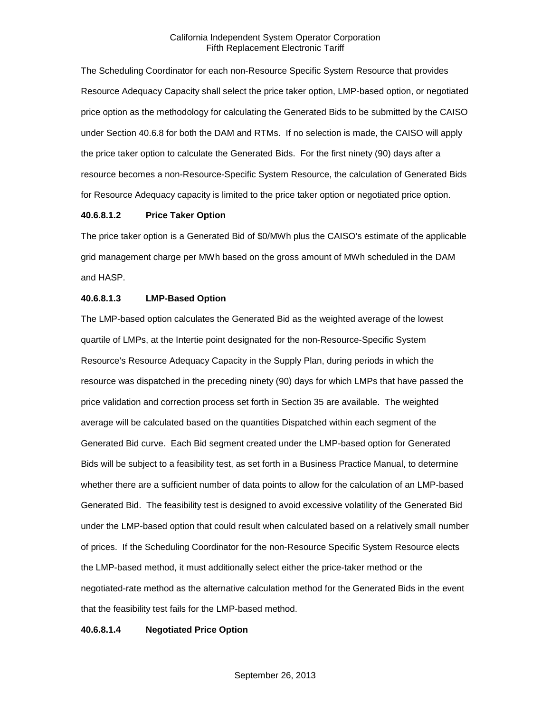The Scheduling Coordinator for each non-Resource Specific System Resource that provides Resource Adequacy Capacity shall select the price taker option, LMP-based option, or negotiated price option as the methodology for calculating the Generated Bids to be submitted by the CAISO under Section 40.6.8 for both the DAM and RTMs. If no selection is made, the CAISO will apply the price taker option to calculate the Generated Bids. For the first ninety (90) days after a resource becomes a non-Resource-Specific System Resource, the calculation of Generated Bids for Resource Adequacy capacity is limited to the price taker option or negotiated price option.

#### **40.6.8.1.2 Price Taker Option**

The price taker option is a Generated Bid of \$0/MWh plus the CAISO's estimate of the applicable grid management charge per MWh based on the gross amount of MWh scheduled in the DAM and HASP.

#### **40.6.8.1.3 LMP-Based Option**

The LMP-based option calculates the Generated Bid as the weighted average of the lowest quartile of LMPs, at the Intertie point designated for the non-Resource-Specific System Resource's Resource Adequacy Capacity in the Supply Plan, during periods in which the resource was dispatched in the preceding ninety (90) days for which LMPs that have passed the price validation and correction process set forth in Section 35 are available. The weighted average will be calculated based on the quantities Dispatched within each segment of the Generated Bid curve. Each Bid segment created under the LMP-based option for Generated Bids will be subject to a feasibility test, as set forth in a Business Practice Manual, to determine whether there are a sufficient number of data points to allow for the calculation of an LMP-based Generated Bid. The feasibility test is designed to avoid excessive volatility of the Generated Bid under the LMP-based option that could result when calculated based on a relatively small number of prices. If the Scheduling Coordinator for the non-Resource Specific System Resource elects the LMP-based method, it must additionally select either the price-taker method or the negotiated-rate method as the alternative calculation method for the Generated Bids in the event that the feasibility test fails for the LMP-based method.

### **40.6.8.1.4 Negotiated Price Option**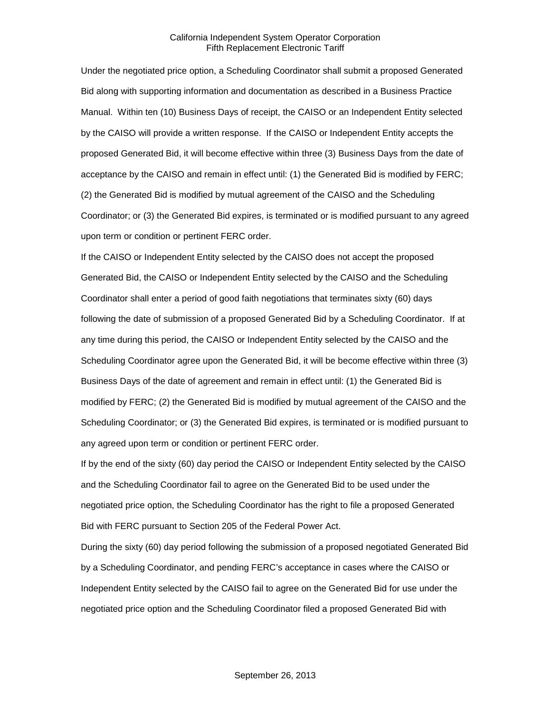Under the negotiated price option, a Scheduling Coordinator shall submit a proposed Generated Bid along with supporting information and documentation as described in a Business Practice Manual. Within ten (10) Business Days of receipt, the CAISO or an Independent Entity selected by the CAISO will provide a written response. If the CAISO or Independent Entity accepts the proposed Generated Bid, it will become effective within three (3) Business Days from the date of acceptance by the CAISO and remain in effect until: (1) the Generated Bid is modified by FERC; (2) the Generated Bid is modified by mutual agreement of the CAISO and the Scheduling Coordinator; or (3) the Generated Bid expires, is terminated or is modified pursuant to any agreed upon term or condition or pertinent FERC order.

If the CAISO or Independent Entity selected by the CAISO does not accept the proposed Generated Bid, the CAISO or Independent Entity selected by the CAISO and the Scheduling Coordinator shall enter a period of good faith negotiations that terminates sixty (60) days following the date of submission of a proposed Generated Bid by a Scheduling Coordinator. If at any time during this period, the CAISO or Independent Entity selected by the CAISO and the Scheduling Coordinator agree upon the Generated Bid, it will be become effective within three (3) Business Days of the date of agreement and remain in effect until: (1) the Generated Bid is modified by FERC; (2) the Generated Bid is modified by mutual agreement of the CAISO and the Scheduling Coordinator; or (3) the Generated Bid expires, is terminated or is modified pursuant to any agreed upon term or condition or pertinent FERC order.

If by the end of the sixty (60) day period the CAISO or Independent Entity selected by the CAISO and the Scheduling Coordinator fail to agree on the Generated Bid to be used under the negotiated price option, the Scheduling Coordinator has the right to file a proposed Generated Bid with FERC pursuant to Section 205 of the Federal Power Act.

During the sixty (60) day period following the submission of a proposed negotiated Generated Bid by a Scheduling Coordinator, and pending FERC's acceptance in cases where the CAISO or Independent Entity selected by the CAISO fail to agree on the Generated Bid for use under the negotiated price option and the Scheduling Coordinator filed a proposed Generated Bid with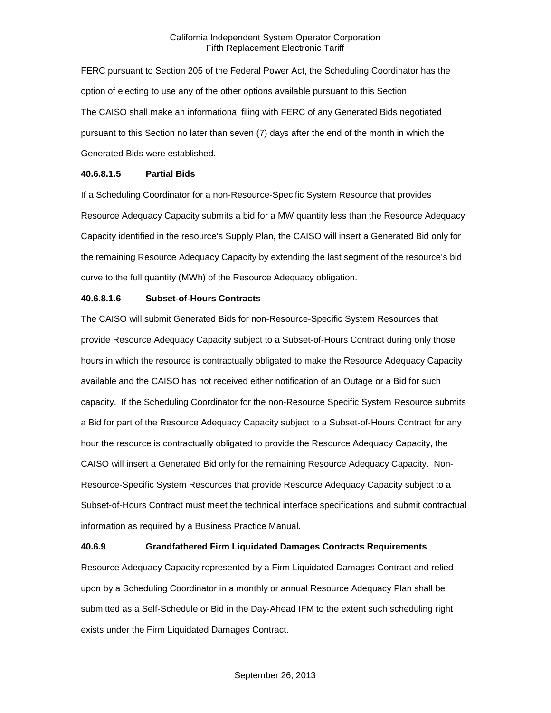FERC pursuant to Section 205 of the Federal Power Act, the Scheduling Coordinator has the option of electing to use any of the other options available pursuant to this Section. The CAISO shall make an informational filing with FERC of any Generated Bids negotiated pursuant to this Section no later than seven (7) days after the end of the month in which the Generated Bids were established.

#### **40.6.8.1.5 Partial Bids**

If a Scheduling Coordinator for a non-Resource-Specific System Resource that provides Resource Adequacy Capacity submits a bid for a MW quantity less than the Resource Adequacy Capacity identified in the resource's Supply Plan, the CAISO will insert a Generated Bid only for the remaining Resource Adequacy Capacity by extending the last segment of the resource's bid curve to the full quantity (MWh) of the Resource Adequacy obligation.

### **40.6.8.1.6 Subset-of-Hours Contracts**

The CAISO will submit Generated Bids for non-Resource-Specific System Resources that provide Resource Adequacy Capacity subject to a Subset-of-Hours Contract during only those hours in which the resource is contractually obligated to make the Resource Adequacy Capacity available and the CAISO has not received either notification of an Outage or a Bid for such capacity. If the Scheduling Coordinator for the non-Resource Specific System Resource submits a Bid for part of the Resource Adequacy Capacity subject to a Subset-of-Hours Contract for any hour the resource is contractually obligated to provide the Resource Adequacy Capacity, the CAISO will insert a Generated Bid only for the remaining Resource Adequacy Capacity. Non-Resource-Specific System Resources that provide Resource Adequacy Capacity subject to a Subset-of-Hours Contract must meet the technical interface specifications and submit contractual information as required by a Business Practice Manual.

### **40.6.9 Grandfathered Firm Liquidated Damages Contracts Requirements**

Resource Adequacy Capacity represented by a Firm Liquidated Damages Contract and relied upon by a Scheduling Coordinator in a monthly or annual Resource Adequacy Plan shall be submitted as a Self-Schedule or Bid in the Day-Ahead IFM to the extent such scheduling right exists under the Firm Liquidated Damages Contract.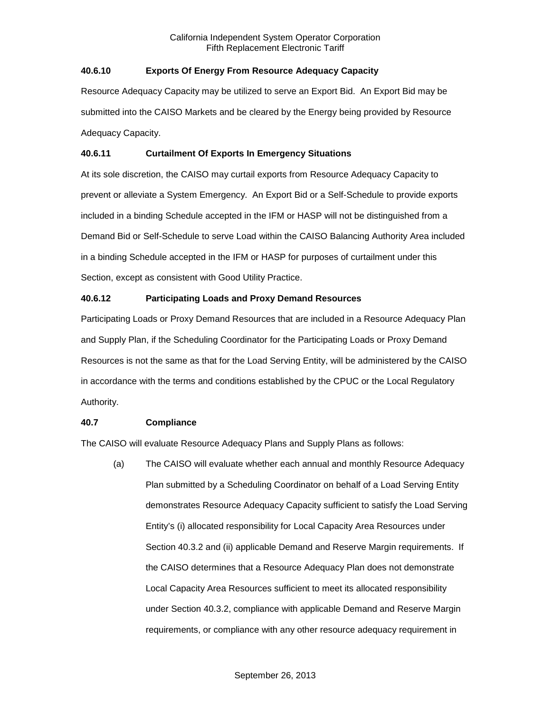# **40.6.10 Exports Of Energy From Resource Adequacy Capacity**

Resource Adequacy Capacity may be utilized to serve an Export Bid. An Export Bid may be submitted into the CAISO Markets and be cleared by the Energy being provided by Resource Adequacy Capacity.

# **40.6.11 Curtailment Of Exports In Emergency Situations**

At its sole discretion, the CAISO may curtail exports from Resource Adequacy Capacity to prevent or alleviate a System Emergency. An Export Bid or a Self-Schedule to provide exports included in a binding Schedule accepted in the IFM or HASP will not be distinguished from a Demand Bid or Self-Schedule to serve Load within the CAISO Balancing Authority Area included in a binding Schedule accepted in the IFM or HASP for purposes of curtailment under this Section, except as consistent with Good Utility Practice.

# **40.6.12 Participating Loads and Proxy Demand Resources**

Participating Loads or Proxy Demand Resources that are included in a Resource Adequacy Plan and Supply Plan, if the Scheduling Coordinator for the Participating Loads or Proxy Demand Resources is not the same as that for the Load Serving Entity, will be administered by the CAISO in accordance with the terms and conditions established by the CPUC or the Local Regulatory Authority.

### **40.7 Compliance**

The CAISO will evaluate Resource Adequacy Plans and Supply Plans as follows:

(a) The CAISO will evaluate whether each annual and monthly Resource Adequacy Plan submitted by a Scheduling Coordinator on behalf of a Load Serving Entity demonstrates Resource Adequacy Capacity sufficient to satisfy the Load Serving Entity's (i) allocated responsibility for Local Capacity Area Resources under Section 40.3.2 and (ii) applicable Demand and Reserve Margin requirements. If the CAISO determines that a Resource Adequacy Plan does not demonstrate Local Capacity Area Resources sufficient to meet its allocated responsibility under Section 40.3.2, compliance with applicable Demand and Reserve Margin requirements, or compliance with any other resource adequacy requirement in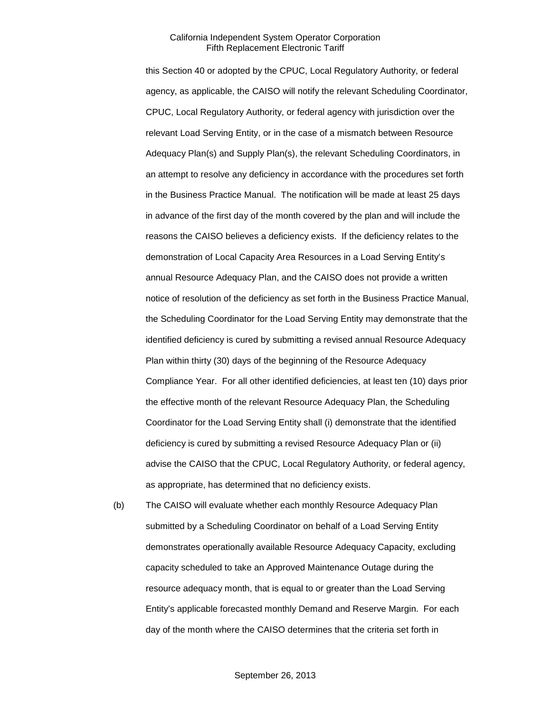this Section 40 or adopted by the CPUC, Local Regulatory Authority, or federal agency, as applicable, the CAISO will notify the relevant Scheduling Coordinator, CPUC, Local Regulatory Authority, or federal agency with jurisdiction over the relevant Load Serving Entity, or in the case of a mismatch between Resource Adequacy Plan(s) and Supply Plan(s), the relevant Scheduling Coordinators, in an attempt to resolve any deficiency in accordance with the procedures set forth in the Business Practice Manual. The notification will be made at least 25 days in advance of the first day of the month covered by the plan and will include the reasons the CAISO believes a deficiency exists. If the deficiency relates to the demonstration of Local Capacity Area Resources in a Load Serving Entity's annual Resource Adequacy Plan, and the CAISO does not provide a written notice of resolution of the deficiency as set forth in the Business Practice Manual, the Scheduling Coordinator for the Load Serving Entity may demonstrate that the identified deficiency is cured by submitting a revised annual Resource Adequacy Plan within thirty (30) days of the beginning of the Resource Adequacy Compliance Year. For all other identified deficiencies, at least ten (10) days prior the effective month of the relevant Resource Adequacy Plan, the Scheduling Coordinator for the Load Serving Entity shall (i) demonstrate that the identified deficiency is cured by submitting a revised Resource Adequacy Plan or (ii) advise the CAISO that the CPUC, Local Regulatory Authority, or federal agency, as appropriate, has determined that no deficiency exists.

(b) The CAISO will evaluate whether each monthly Resource Adequacy Plan submitted by a Scheduling Coordinator on behalf of a Load Serving Entity demonstrates operationally available Resource Adequacy Capacity, excluding capacity scheduled to take an Approved Maintenance Outage during the resource adequacy month, that is equal to or greater than the Load Serving Entity's applicable forecasted monthly Demand and Reserve Margin. For each day of the month where the CAISO determines that the criteria set forth in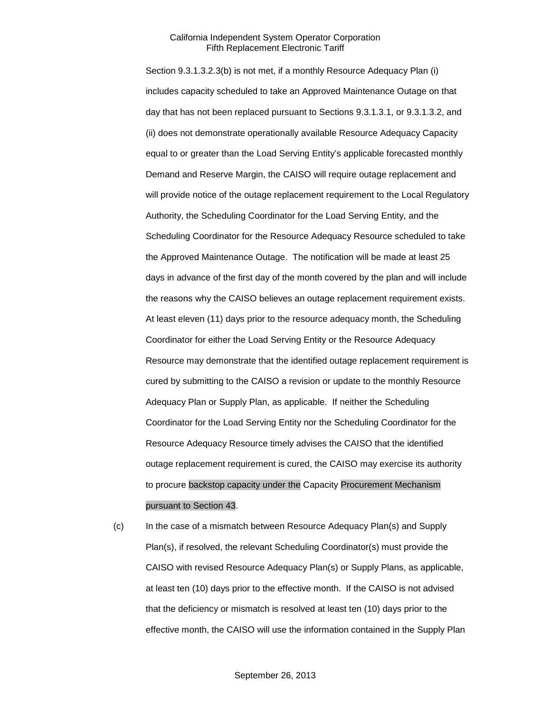Section 9.3.1.3.2.3(b) is not met, if a monthly Resource Adequacy Plan (i) includes capacity scheduled to take an Approved Maintenance Outage on that day that has not been replaced pursuant to Sections 9.3.1.3.1, or 9.3.1.3.2, and (ii) does not demonstrate operationally available Resource Adequacy Capacity equal to or greater than the Load Serving Entity's applicable forecasted monthly Demand and Reserve Margin, the CAISO will require outage replacement and will provide notice of the outage replacement requirement to the Local Regulatory Authority, the Scheduling Coordinator for the Load Serving Entity, and the Scheduling Coordinator for the Resource Adequacy Resource scheduled to take the Approved Maintenance Outage. The notification will be made at least 25 days in advance of the first day of the month covered by the plan and will include the reasons why the CAISO believes an outage replacement requirement exists. At least eleven (11) days prior to the resource adequacy month, the Scheduling Coordinator for either the Load Serving Entity or the Resource Adequacy Resource may demonstrate that the identified outage replacement requirement is cured by submitting to the CAISO a revision or update to the monthly Resource Adequacy Plan or Supply Plan, as applicable. If neither the Scheduling Coordinator for the Load Serving Entity nor the Scheduling Coordinator for the Resource Adequacy Resource timely advises the CAISO that the identified outage replacement requirement is cured, the CAISO may exercise its authority to procure backstop capacity under the Capacity Procurement Mechanism pursuant to Section 43.

(c) In the case of a mismatch between Resource Adequacy Plan(s) and Supply Plan(s), if resolved, the relevant Scheduling Coordinator(s) must provide the CAISO with revised Resource Adequacy Plan(s) or Supply Plans, as applicable, at least ten (10) days prior to the effective month. If the CAISO is not advised that the deficiency or mismatch is resolved at least ten (10) days prior to the effective month, the CAISO will use the information contained in the Supply Plan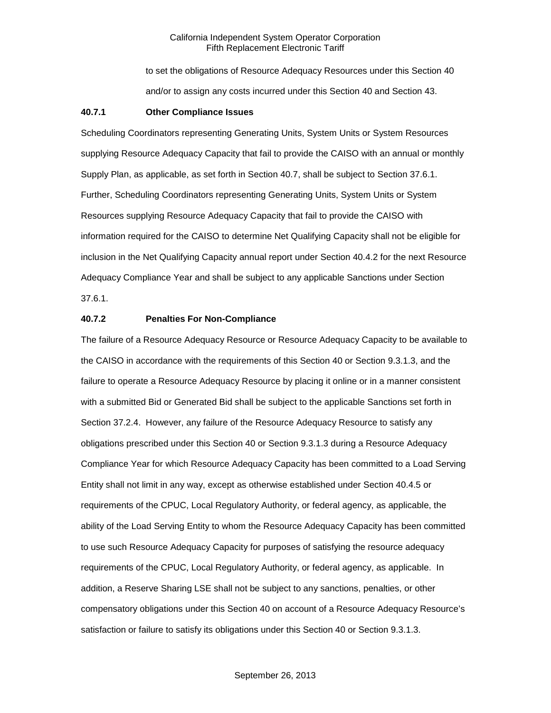to set the obligations of Resource Adequacy Resources under this Section 40 and/or to assign any costs incurred under this Section 40 and Section 43.

#### **40.7.1 Other Compliance Issues**

Scheduling Coordinators representing Generating Units, System Units or System Resources supplying Resource Adequacy Capacity that fail to provide the CAISO with an annual or monthly Supply Plan, as applicable, as set forth in Section 40.7, shall be subject to Section 37.6.1. Further, Scheduling Coordinators representing Generating Units, System Units or System Resources supplying Resource Adequacy Capacity that fail to provide the CAISO with information required for the CAISO to determine Net Qualifying Capacity shall not be eligible for inclusion in the Net Qualifying Capacity annual report under Section 40.4.2 for the next Resource Adequacy Compliance Year and shall be subject to any applicable Sanctions under Section 37.6.1.

### **40.7.2 Penalties For Non-Compliance**

The failure of a Resource Adequacy Resource or Resource Adequacy Capacity to be available to the CAISO in accordance with the requirements of this Section 40 or Section 9.3.1.3, and the failure to operate a Resource Adequacy Resource by placing it online or in a manner consistent with a submitted Bid or Generated Bid shall be subject to the applicable Sanctions set forth in Section 37.2.4. However, any failure of the Resource Adequacy Resource to satisfy any obligations prescribed under this Section 40 or Section 9.3.1.3 during a Resource Adequacy Compliance Year for which Resource Adequacy Capacity has been committed to a Load Serving Entity shall not limit in any way, except as otherwise established under Section 40.4.5 or requirements of the CPUC, Local Regulatory Authority, or federal agency, as applicable, the ability of the Load Serving Entity to whom the Resource Adequacy Capacity has been committed to use such Resource Adequacy Capacity for purposes of satisfying the resource adequacy requirements of the CPUC, Local Regulatory Authority, or federal agency, as applicable. In addition, a Reserve Sharing LSE shall not be subject to any sanctions, penalties, or other compensatory obligations under this Section 40 on account of a Resource Adequacy Resource's satisfaction or failure to satisfy its obligations under this Section 40 or Section 9.3.1.3.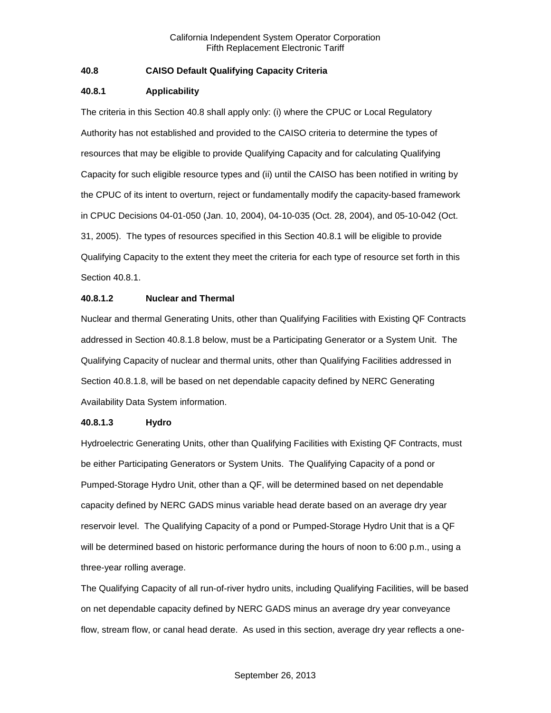# **40.8 CAISO Default Qualifying Capacity Criteria**

### **40.8.1 Applicability**

The criteria in this Section 40.8 shall apply only: (i) where the CPUC or Local Regulatory Authority has not established and provided to the CAISO criteria to determine the types of resources that may be eligible to provide Qualifying Capacity and for calculating Qualifying Capacity for such eligible resource types and (ii) until the CAISO has been notified in writing by the CPUC of its intent to overturn, reject or fundamentally modify the capacity-based framework in CPUC Decisions 04-01-050 (Jan. 10, 2004), 04-10-035 (Oct. 28, 2004), and 05-10-042 (Oct. 31, 2005). The types of resources specified in this Section 40.8.1 will be eligible to provide Qualifying Capacity to the extent they meet the criteria for each type of resource set forth in this Section 40.8.1.

### **40.8.1.2 Nuclear and Thermal**

Nuclear and thermal Generating Units, other than Qualifying Facilities with Existing QF Contracts addressed in Section 40.8.1.8 below, must be a Participating Generator or a System Unit. The Qualifying Capacity of nuclear and thermal units, other than Qualifying Facilities addressed in Section 40.8.1.8, will be based on net dependable capacity defined by NERC Generating Availability Data System information.

### **40.8.1.3 Hydro**

Hydroelectric Generating Units, other than Qualifying Facilities with Existing QF Contracts, must be either Participating Generators or System Units. The Qualifying Capacity of a pond or Pumped-Storage Hydro Unit, other than a QF, will be determined based on net dependable capacity defined by NERC GADS minus variable head derate based on an average dry year reservoir level. The Qualifying Capacity of a pond or Pumped-Storage Hydro Unit that is a QF will be determined based on historic performance during the hours of noon to 6:00 p.m., using a three-year rolling average.

The Qualifying Capacity of all run-of-river hydro units, including Qualifying Facilities, will be based on net dependable capacity defined by NERC GADS minus an average dry year conveyance flow, stream flow, or canal head derate. As used in this section, average dry year reflects a one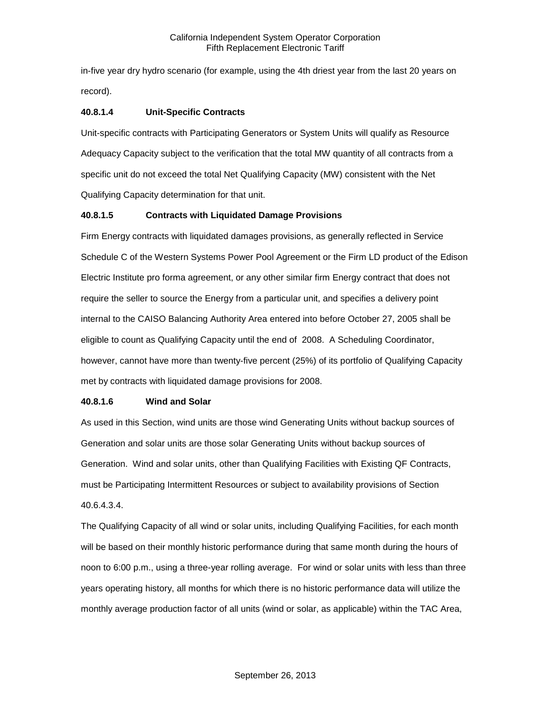in-five year dry hydro scenario (for example, using the 4th driest year from the last 20 years on record).

# **40.8.1.4 Unit-Specific Contracts**

Unit-specific contracts with Participating Generators or System Units will qualify as Resource Adequacy Capacity subject to the verification that the total MW quantity of all contracts from a specific unit do not exceed the total Net Qualifying Capacity (MW) consistent with the Net Qualifying Capacity determination for that unit.

# **40.8.1.5 Contracts with Liquidated Damage Provisions**

Firm Energy contracts with liquidated damages provisions, as generally reflected in Service Schedule C of the Western Systems Power Pool Agreement or the Firm LD product of the Edison Electric Institute pro forma agreement, or any other similar firm Energy contract that does not require the seller to source the Energy from a particular unit, and specifies a delivery point internal to the CAISO Balancing Authority Area entered into before October 27, 2005 shall be eligible to count as Qualifying Capacity until the end of 2008. A Scheduling Coordinator, however, cannot have more than twenty-five percent (25%) of its portfolio of Qualifying Capacity met by contracts with liquidated damage provisions for 2008.

### **40.8.1.6 Wind and Solar**

As used in this Section, wind units are those wind Generating Units without backup sources of Generation and solar units are those solar Generating Units without backup sources of Generation. Wind and solar units, other than Qualifying Facilities with Existing QF Contracts, must be Participating Intermittent Resources or subject to availability provisions of Section 40.6.4.3.4.

The Qualifying Capacity of all wind or solar units, including Qualifying Facilities, for each month will be based on their monthly historic performance during that same month during the hours of noon to 6:00 p.m., using a three-year rolling average. For wind or solar units with less than three years operating history, all months for which there is no historic performance data will utilize the monthly average production factor of all units (wind or solar, as applicable) within the TAC Area,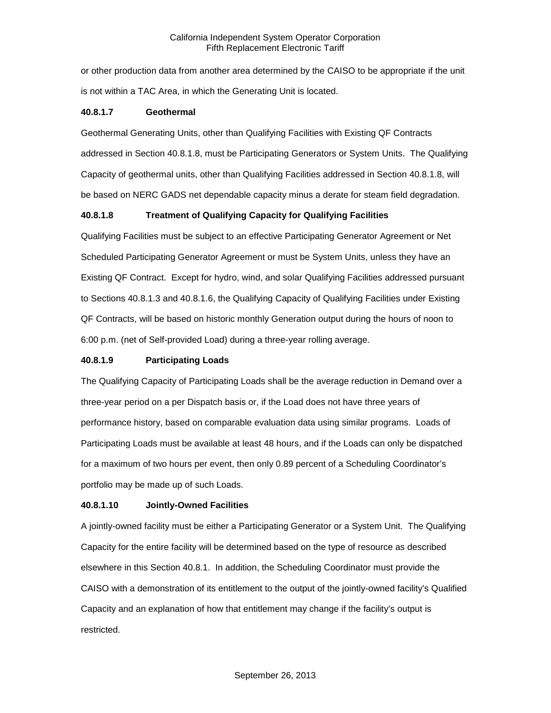or other production data from another area determined by the CAISO to be appropriate if the unit is not within a TAC Area, in which the Generating Unit is located.

## **40.8.1.7 Geothermal**

Geothermal Generating Units, other than Qualifying Facilities with Existing QF Contracts addressed in Section 40.8.1.8, must be Participating Generators or System Units. The Qualifying Capacity of geothermal units, other than Qualifying Facilities addressed in Section 40.8.1.8, will be based on NERC GADS net dependable capacity minus a derate for steam field degradation.

# **40.8.1.8 Treatment of Qualifying Capacity for Qualifying Facilities**

Qualifying Facilities must be subject to an effective Participating Generator Agreement or Net Scheduled Participating Generator Agreement or must be System Units, unless they have an Existing QF Contract. Except for hydro, wind, and solar Qualifying Facilities addressed pursuant to Sections 40.8.1.3 and 40.8.1.6, the Qualifying Capacity of Qualifying Facilities under Existing QF Contracts, will be based on historic monthly Generation output during the hours of noon to 6:00 p.m. (net of Self-provided Load) during a three-year rolling average.

# **40.8.1.9 Participating Loads**

The Qualifying Capacity of Participating Loads shall be the average reduction in Demand over a three-year period on a per Dispatch basis or, if the Load does not have three years of performance history, based on comparable evaluation data using similar programs. Loads of Participating Loads must be available at least 48 hours, and if the Loads can only be dispatched for a maximum of two hours per event, then only 0.89 percent of a Scheduling Coordinator's portfolio may be made up of such Loads.

# **40.8.1.10 Jointly-Owned Facilities**

A jointly-owned facility must be either a Participating Generator or a System Unit. The Qualifying Capacity for the entire facility will be determined based on the type of resource as described elsewhere in this Section 40.8.1. In addition, the Scheduling Coordinator must provide the CAISO with a demonstration of its entitlement to the output of the jointly-owned facility's Qualified Capacity and an explanation of how that entitlement may change if the facility's output is restricted.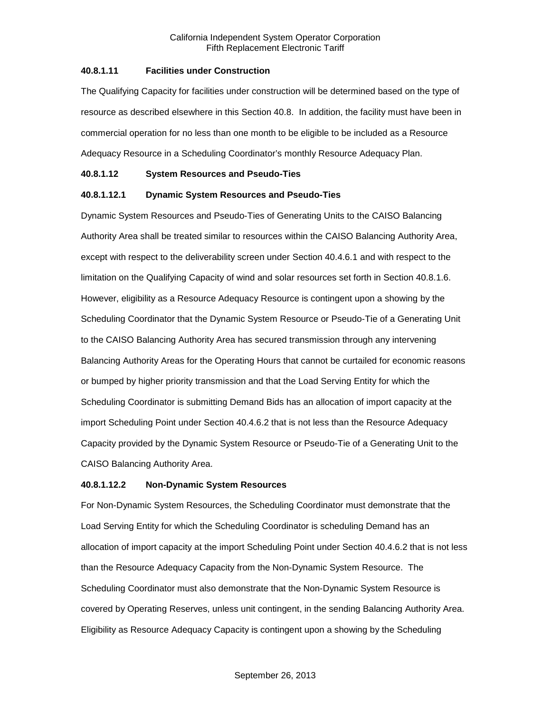### **40.8.1.11 Facilities under Construction**

The Qualifying Capacity for facilities under construction will be determined based on the type of resource as described elsewhere in this Section 40.8. In addition, the facility must have been in commercial operation for no less than one month to be eligible to be included as a Resource Adequacy Resource in a Scheduling Coordinator's monthly Resource Adequacy Plan.

### **40.8.1.12 System Resources and Pseudo-Ties**

### **40.8.1.12.1 Dynamic System Resources and Pseudo-Ties**

Dynamic System Resources and Pseudo-Ties of Generating Units to the CAISO Balancing Authority Area shall be treated similar to resources within the CAISO Balancing Authority Area, except with respect to the deliverability screen under Section 40.4.6.1 and with respect to the limitation on the Qualifying Capacity of wind and solar resources set forth in Section 40.8.1.6. However, eligibility as a Resource Adequacy Resource is contingent upon a showing by the Scheduling Coordinator that the Dynamic System Resource or Pseudo-Tie of a Generating Unit to the CAISO Balancing Authority Area has secured transmission through any intervening Balancing Authority Areas for the Operating Hours that cannot be curtailed for economic reasons or bumped by higher priority transmission and that the Load Serving Entity for which the Scheduling Coordinator is submitting Demand Bids has an allocation of import capacity at the import Scheduling Point under Section 40.4.6.2 that is not less than the Resource Adequacy Capacity provided by the Dynamic System Resource or Pseudo-Tie of a Generating Unit to the CAISO Balancing Authority Area.

### **40.8.1.12.2 Non-Dynamic System Resources**

For Non-Dynamic System Resources, the Scheduling Coordinator must demonstrate that the Load Serving Entity for which the Scheduling Coordinator is scheduling Demand has an allocation of import capacity at the import Scheduling Point under Section 40.4.6.2 that is not less than the Resource Adequacy Capacity from the Non-Dynamic System Resource. The Scheduling Coordinator must also demonstrate that the Non-Dynamic System Resource is covered by Operating Reserves, unless unit contingent, in the sending Balancing Authority Area. Eligibility as Resource Adequacy Capacity is contingent upon a showing by the Scheduling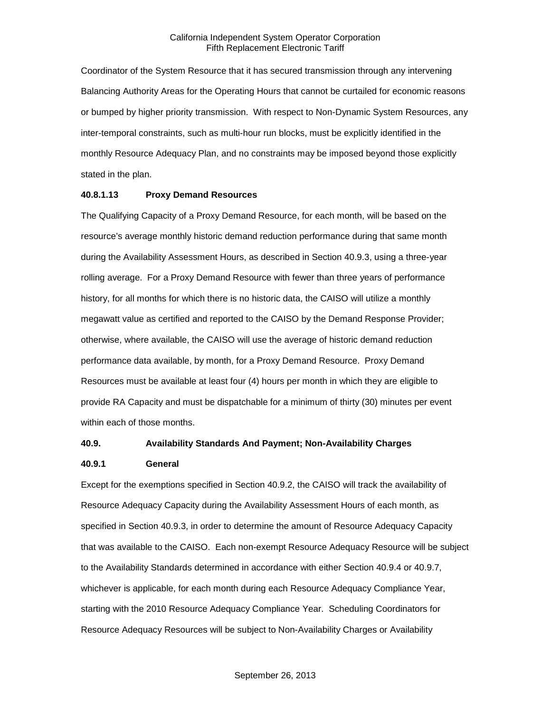Coordinator of the System Resource that it has secured transmission through any intervening Balancing Authority Areas for the Operating Hours that cannot be curtailed for economic reasons or bumped by higher priority transmission. With respect to Non-Dynamic System Resources, any inter-temporal constraints, such as multi-hour run blocks, must be explicitly identified in the monthly Resource Adequacy Plan, and no constraints may be imposed beyond those explicitly stated in the plan.

#### **40.8.1.13 Proxy Demand Resources**

The Qualifying Capacity of a Proxy Demand Resource, for each month, will be based on the resource's average monthly historic demand reduction performance during that same month during the Availability Assessment Hours, as described in Section 40.9.3, using a three-year rolling average. For a Proxy Demand Resource with fewer than three years of performance history, for all months for which there is no historic data, the CAISO will utilize a monthly megawatt value as certified and reported to the CAISO by the Demand Response Provider; otherwise, where available, the CAISO will use the average of historic demand reduction performance data available, by month, for a Proxy Demand Resource. Proxy Demand Resources must be available at least four (4) hours per month in which they are eligible to provide RA Capacity and must be dispatchable for a minimum of thirty (30) minutes per event within each of those months.

## **40.9. Availability Standards And Payment; Non-Availability Charges**

#### **40.9.1 General**

Except for the exemptions specified in Section 40.9.2, the CAISO will track the availability of Resource Adequacy Capacity during the Availability Assessment Hours of each month, as specified in Section 40.9.3, in order to determine the amount of Resource Adequacy Capacity that was available to the CAISO. Each non-exempt Resource Adequacy Resource will be subject to the Availability Standards determined in accordance with either Section 40.9.4 or 40.9.7, whichever is applicable, for each month during each Resource Adequacy Compliance Year, starting with the 2010 Resource Adequacy Compliance Year. Scheduling Coordinators for Resource Adequacy Resources will be subject to Non-Availability Charges or Availability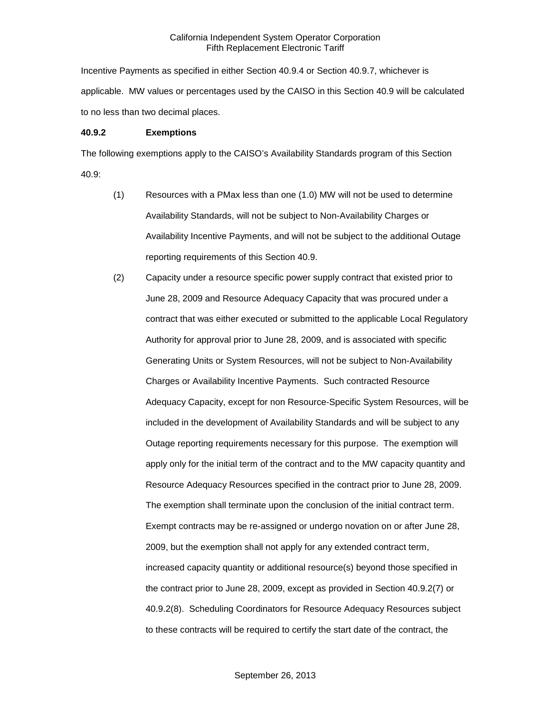Incentive Payments as specified in either Section 40.9.4 or Section 40.9.7, whichever is applicable. MW values or percentages used by the CAISO in this Section 40.9 will be calculated to no less than two decimal places.

#### **40.9.2 Exemptions**

The following exemptions apply to the CAISO's Availability Standards program of this Section 40.9:

- (1) Resources with a PMax less than one (1.0) MW will not be used to determine Availability Standards, will not be subject to Non-Availability Charges or Availability Incentive Payments, and will not be subject to the additional Outage reporting requirements of this Section 40.9.
- (2) Capacity under a resource specific power supply contract that existed prior to June 28, 2009 and Resource Adequacy Capacity that was procured under a contract that was either executed or submitted to the applicable Local Regulatory Authority for approval prior to June 28, 2009, and is associated with specific Generating Units or System Resources, will not be subject to Non-Availability Charges or Availability Incentive Payments. Such contracted Resource Adequacy Capacity, except for non Resource-Specific System Resources, will be included in the development of Availability Standards and will be subject to any Outage reporting requirements necessary for this purpose. The exemption will apply only for the initial term of the contract and to the MW capacity quantity and Resource Adequacy Resources specified in the contract prior to June 28, 2009. The exemption shall terminate upon the conclusion of the initial contract term. Exempt contracts may be re-assigned or undergo novation on or after June 28, 2009, but the exemption shall not apply for any extended contract term, increased capacity quantity or additional resource(s) beyond those specified in the contract prior to June 28, 2009, except as provided in Section 40.9.2(7) or 40.9.2(8). Scheduling Coordinators for Resource Adequacy Resources subject to these contracts will be required to certify the start date of the contract, the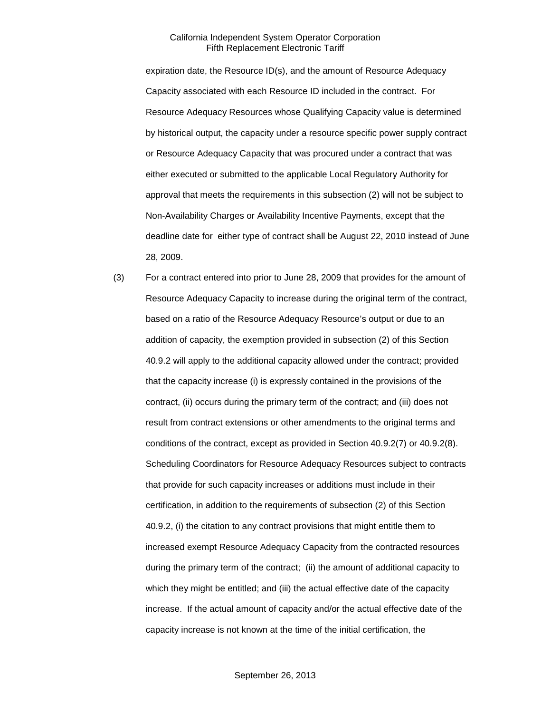expiration date, the Resource ID(s), and the amount of Resource Adequacy Capacity associated with each Resource ID included in the contract. For Resource Adequacy Resources whose Qualifying Capacity value is determined by historical output, the capacity under a resource specific power supply contract or Resource Adequacy Capacity that was procured under a contract that was either executed or submitted to the applicable Local Regulatory Authority for approval that meets the requirements in this subsection (2) will not be subject to Non-Availability Charges or Availability Incentive Payments, except that the deadline date for either type of contract shall be August 22, 2010 instead of June 28, 2009.

(3) For a contract entered into prior to June 28, 2009 that provides for the amount of Resource Adequacy Capacity to increase during the original term of the contract, based on a ratio of the Resource Adequacy Resource's output or due to an addition of capacity, the exemption provided in subsection (2) of this Section 40.9.2 will apply to the additional capacity allowed under the contract; provided that the capacity increase (i) is expressly contained in the provisions of the contract, (ii) occurs during the primary term of the contract; and (iii) does not result from contract extensions or other amendments to the original terms and conditions of the contract, except as provided in Section 40.9.2(7) or 40.9.2(8). Scheduling Coordinators for Resource Adequacy Resources subject to contracts that provide for such capacity increases or additions must include in their certification, in addition to the requirements of subsection (2) of this Section 40.9.2, (i) the citation to any contract provisions that might entitle them to increased exempt Resource Adequacy Capacity from the contracted resources during the primary term of the contract; (ii) the amount of additional capacity to which they might be entitled; and (iii) the actual effective date of the capacity increase. If the actual amount of capacity and/or the actual effective date of the capacity increase is not known at the time of the initial certification, the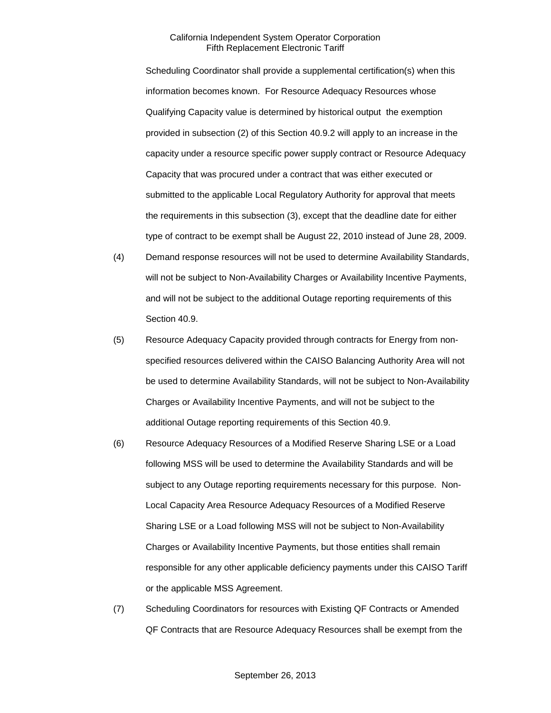Scheduling Coordinator shall provide a supplemental certification(s) when this information becomes known. For Resource Adequacy Resources whose Qualifying Capacity value is determined by historical output the exemption provided in subsection (2) of this Section 40.9.2 will apply to an increase in the capacity under a resource specific power supply contract or Resource Adequacy Capacity that was procured under a contract that was either executed or submitted to the applicable Local Regulatory Authority for approval that meets the requirements in this subsection (3), except that the deadline date for either type of contract to be exempt shall be August 22, 2010 instead of June 28, 2009.

- (4) Demand response resources will not be used to determine Availability Standards, will not be subject to Non-Availability Charges or Availability Incentive Payments, and will not be subject to the additional Outage reporting requirements of this Section 40.9.
- (5) Resource Adequacy Capacity provided through contracts for Energy from nonspecified resources delivered within the CAISO Balancing Authority Area will not be used to determine Availability Standards, will not be subject to Non-Availability Charges or Availability Incentive Payments, and will not be subject to the additional Outage reporting requirements of this Section 40.9.
- (6) Resource Adequacy Resources of a Modified Reserve Sharing LSE or a Load following MSS will be used to determine the Availability Standards and will be subject to any Outage reporting requirements necessary for this purpose. Non-Local Capacity Area Resource Adequacy Resources of a Modified Reserve Sharing LSE or a Load following MSS will not be subject to Non-Availability Charges or Availability Incentive Payments, but those entities shall remain responsible for any other applicable deficiency payments under this CAISO Tariff or the applicable MSS Agreement.
- (7) Scheduling Coordinators for resources with Existing QF Contracts or Amended QF Contracts that are Resource Adequacy Resources shall be exempt from the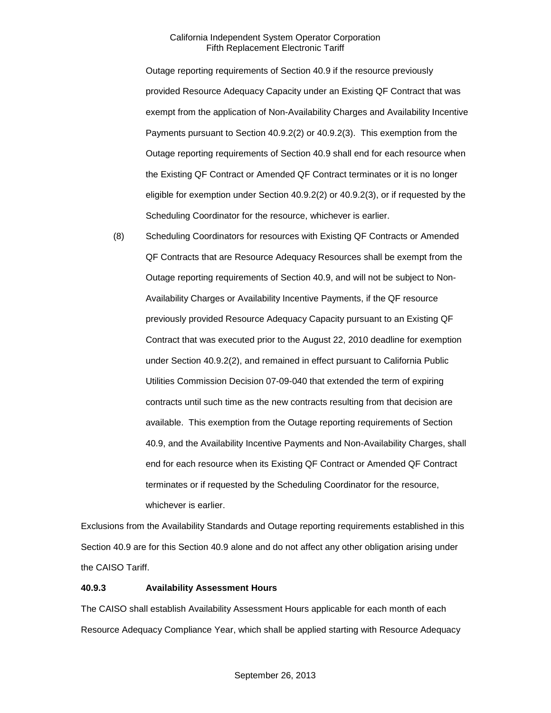Outage reporting requirements of Section 40.9 if the resource previously provided Resource Adequacy Capacity under an Existing QF Contract that was exempt from the application of Non-Availability Charges and Availability Incentive Payments pursuant to Section 40.9.2(2) or 40.9.2(3). This exemption from the Outage reporting requirements of Section 40.9 shall end for each resource when the Existing QF Contract or Amended QF Contract terminates or it is no longer eligible for exemption under Section 40.9.2(2) or 40.9.2(3), or if requested by the Scheduling Coordinator for the resource, whichever is earlier.

(8) Scheduling Coordinators for resources with Existing QF Contracts or Amended QF Contracts that are Resource Adequacy Resources shall be exempt from the Outage reporting requirements of Section 40.9, and will not be subject to Non-Availability Charges or Availability Incentive Payments, if the QF resource previously provided Resource Adequacy Capacity pursuant to an Existing QF Contract that was executed prior to the August 22, 2010 deadline for exemption under Section 40.9.2(2), and remained in effect pursuant to California Public Utilities Commission Decision 07-09-040 that extended the term of expiring contracts until such time as the new contracts resulting from that decision are available. This exemption from the Outage reporting requirements of Section 40.9, and the Availability Incentive Payments and Non-Availability Charges, shall end for each resource when its Existing QF Contract or Amended QF Contract terminates or if requested by the Scheduling Coordinator for the resource, whichever is earlier.

Exclusions from the Availability Standards and Outage reporting requirements established in this Section 40.9 are for this Section 40.9 alone and do not affect any other obligation arising under the CAISO Tariff.

### **40.9.3 Availability Assessment Hours**

The CAISO shall establish Availability Assessment Hours applicable for each month of each Resource Adequacy Compliance Year, which shall be applied starting with Resource Adequacy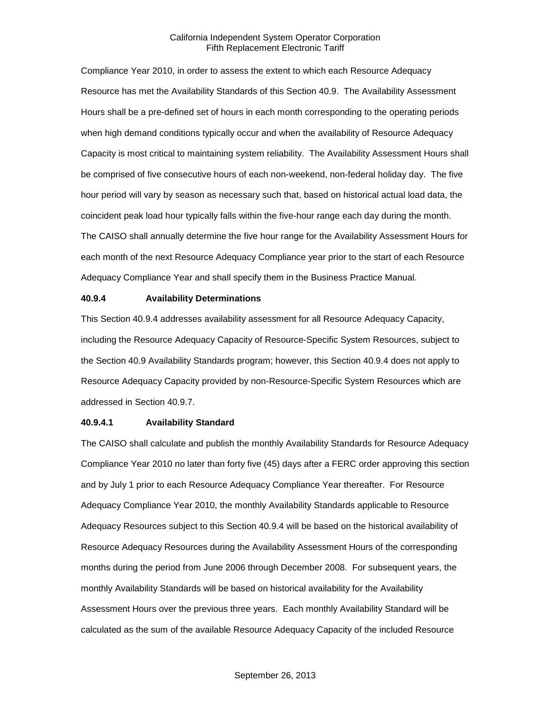Compliance Year 2010, in order to assess the extent to which each Resource Adequacy Resource has met the Availability Standards of this Section 40.9. The Availability Assessment Hours shall be a pre-defined set of hours in each month corresponding to the operating periods when high demand conditions typically occur and when the availability of Resource Adequacy Capacity is most critical to maintaining system reliability. The Availability Assessment Hours shall be comprised of five consecutive hours of each non-weekend, non-federal holiday day. The five hour period will vary by season as necessary such that, based on historical actual load data, the coincident peak load hour typically falls within the five-hour range each day during the month. The CAISO shall annually determine the five hour range for the Availability Assessment Hours for each month of the next Resource Adequacy Compliance year prior to the start of each Resource Adequacy Compliance Year and shall specify them in the Business Practice Manual.

### **40.9.4 Availability Determinations**

This Section 40.9.4 addresses availability assessment for all Resource Adequacy Capacity, including the Resource Adequacy Capacity of Resource-Specific System Resources, subject to the Section 40.9 Availability Standards program; however, this Section 40.9.4 does not apply to Resource Adequacy Capacity provided by non-Resource-Specific System Resources which are addressed in Section 40.9.7.

### **40.9.4.1 Availability Standard**

The CAISO shall calculate and publish the monthly Availability Standards for Resource Adequacy Compliance Year 2010 no later than forty five (45) days after a FERC order approving this section and by July 1 prior to each Resource Adequacy Compliance Year thereafter. For Resource Adequacy Compliance Year 2010, the monthly Availability Standards applicable to Resource Adequacy Resources subject to this Section 40.9.4 will be based on the historical availability of Resource Adequacy Resources during the Availability Assessment Hours of the corresponding months during the period from June 2006 through December 2008. For subsequent years, the monthly Availability Standards will be based on historical availability for the Availability Assessment Hours over the previous three years. Each monthly Availability Standard will be calculated as the sum of the available Resource Adequacy Capacity of the included Resource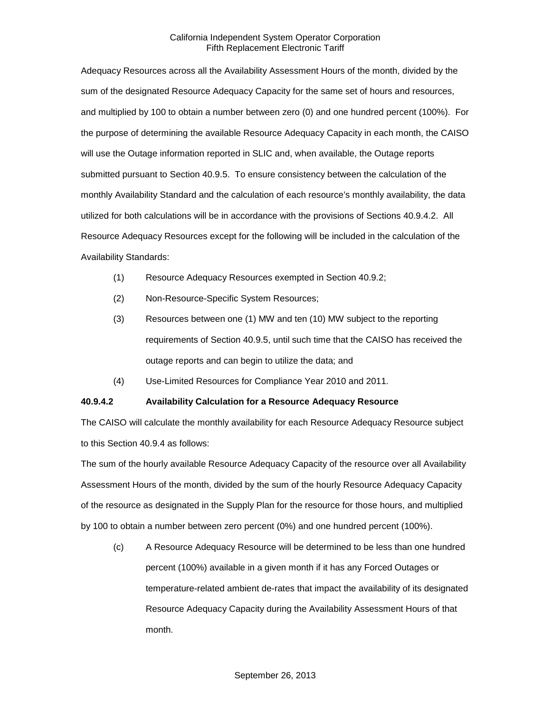Adequacy Resources across all the Availability Assessment Hours of the month, divided by the sum of the designated Resource Adequacy Capacity for the same set of hours and resources, and multiplied by 100 to obtain a number between zero (0) and one hundred percent (100%). For the purpose of determining the available Resource Adequacy Capacity in each month, the CAISO will use the Outage information reported in SLIC and, when available, the Outage reports submitted pursuant to Section 40.9.5. To ensure consistency between the calculation of the monthly Availability Standard and the calculation of each resource's monthly availability, the data utilized for both calculations will be in accordance with the provisions of Sections 40.9.4.2. All Resource Adequacy Resources except for the following will be included in the calculation of the Availability Standards:

- (1) Resource Adequacy Resources exempted in Section 40.9.2;
- (2) Non-Resource-Specific System Resources;
- (3) Resources between one (1) MW and ten (10) MW subject to the reporting requirements of Section 40.9.5, until such time that the CAISO has received the outage reports and can begin to utilize the data; and
- (4) Use-Limited Resources for Compliance Year 2010 and 2011.

# **40.9.4.2 Availability Calculation for a Resource Adequacy Resource**

The CAISO will calculate the monthly availability for each Resource Adequacy Resource subject to this Section 40.9.4 as follows:

The sum of the hourly available Resource Adequacy Capacity of the resource over all Availability Assessment Hours of the month, divided by the sum of the hourly Resource Adequacy Capacity of the resource as designated in the Supply Plan for the resource for those hours, and multiplied by 100 to obtain a number between zero percent (0%) and one hundred percent (100%).

(c) A Resource Adequacy Resource will be determined to be less than one hundred percent (100%) available in a given month if it has any Forced Outages or temperature-related ambient de-rates that impact the availability of its designated Resource Adequacy Capacity during the Availability Assessment Hours of that month.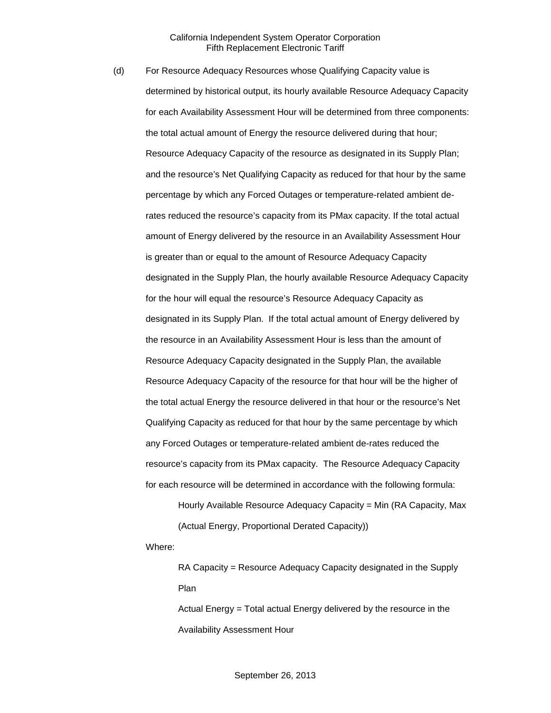(d) For Resource Adequacy Resources whose Qualifying Capacity value is determined by historical output, its hourly available Resource Adequacy Capacity for each Availability Assessment Hour will be determined from three components: the total actual amount of Energy the resource delivered during that hour; Resource Adequacy Capacity of the resource as designated in its Supply Plan; and the resource's Net Qualifying Capacity as reduced for that hour by the same percentage by which any Forced Outages or temperature-related ambient derates reduced the resource's capacity from its PMax capacity. If the total actual amount of Energy delivered by the resource in an Availability Assessment Hour is greater than or equal to the amount of Resource Adequacy Capacity designated in the Supply Plan, the hourly available Resource Adequacy Capacity for the hour will equal the resource's Resource Adequacy Capacity as designated in its Supply Plan. If the total actual amount of Energy delivered by the resource in an Availability Assessment Hour is less than the amount of Resource Adequacy Capacity designated in the Supply Plan, the available Resource Adequacy Capacity of the resource for that hour will be the higher of the total actual Energy the resource delivered in that hour or the resource's Net Qualifying Capacity as reduced for that hour by the same percentage by which any Forced Outages or temperature-related ambient de-rates reduced the resource's capacity from its PMax capacity. The Resource Adequacy Capacity for each resource will be determined in accordance with the following formula:

Hourly Available Resource Adequacy Capacity = Min (RA Capacity, Max (Actual Energy, Proportional Derated Capacity))

Where:

RA Capacity = Resource Adequacy Capacity designated in the Supply Plan

Actual Energy = Total actual Energy delivered by the resource in the Availability Assessment Hour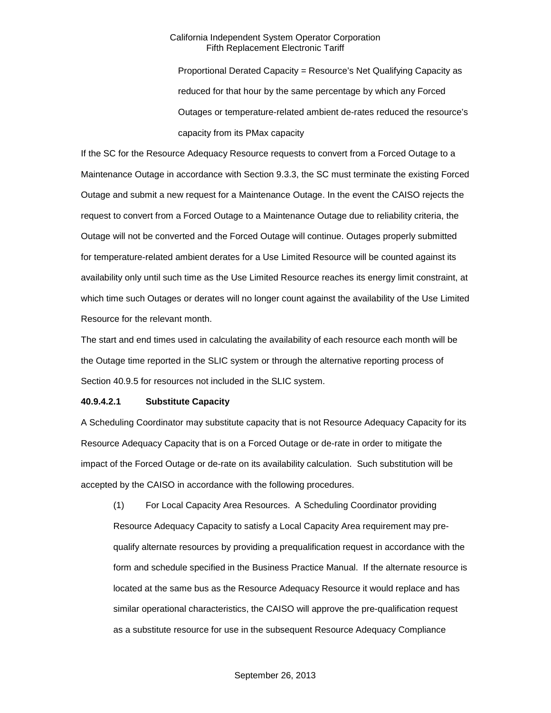Proportional Derated Capacity = Resource's Net Qualifying Capacity as reduced for that hour by the same percentage by which any Forced Outages or temperature-related ambient de-rates reduced the resource's capacity from its PMax capacity

If the SC for the Resource Adequacy Resource requests to convert from a Forced Outage to a Maintenance Outage in accordance with Section 9.3.3, the SC must terminate the existing Forced Outage and submit a new request for a Maintenance Outage. In the event the CAISO rejects the request to convert from a Forced Outage to a Maintenance Outage due to reliability criteria, the Outage will not be converted and the Forced Outage will continue. Outages properly submitted for temperature-related ambient derates for a Use Limited Resource will be counted against its availability only until such time as the Use Limited Resource reaches its energy limit constraint, at which time such Outages or derates will no longer count against the availability of the Use Limited Resource for the relevant month.

The start and end times used in calculating the availability of each resource each month will be the Outage time reported in the SLIC system or through the alternative reporting process of Section 40.9.5 for resources not included in the SLIC system.

# **40.9.4.2.1 Substitute Capacity**

A Scheduling Coordinator may substitute capacity that is not Resource Adequacy Capacity for its Resource Adequacy Capacity that is on a Forced Outage or de-rate in order to mitigate the impact of the Forced Outage or de-rate on its availability calculation. Such substitution will be accepted by the CAISO in accordance with the following procedures.

(1) For Local Capacity Area Resources. A Scheduling Coordinator providing Resource Adequacy Capacity to satisfy a Local Capacity Area requirement may prequalify alternate resources by providing a prequalification request in accordance with the form and schedule specified in the Business Practice Manual. If the alternate resource is located at the same bus as the Resource Adequacy Resource it would replace and has similar operational characteristics, the CAISO will approve the pre-qualification request as a substitute resource for use in the subsequent Resource Adequacy Compliance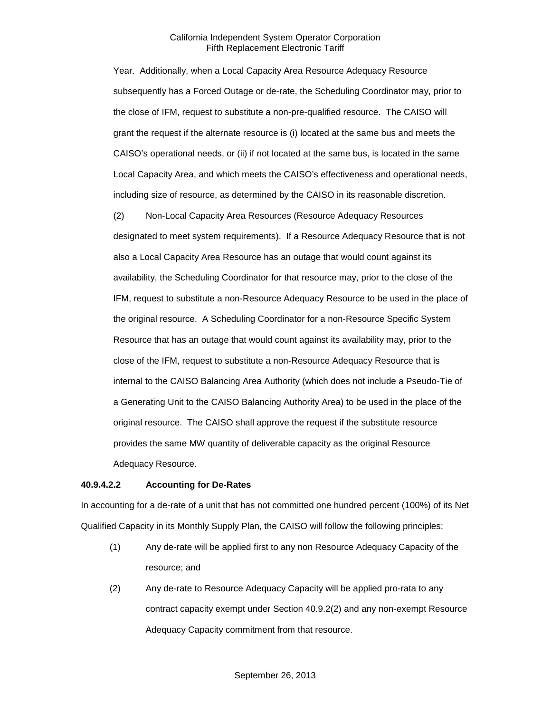Year. Additionally, when a Local Capacity Area Resource Adequacy Resource subsequently has a Forced Outage or de-rate, the Scheduling Coordinator may, prior to the close of IFM, request to substitute a non-pre-qualified resource. The CAISO will grant the request if the alternate resource is (i) located at the same bus and meets the CAISO's operational needs, or (ii) if not located at the same bus, is located in the same Local Capacity Area, and which meets the CAISO's effectiveness and operational needs, including size of resource, as determined by the CAISO in its reasonable discretion.

(2) Non-Local Capacity Area Resources (Resource Adequacy Resources designated to meet system requirements). If a Resource Adequacy Resource that is not also a Local Capacity Area Resource has an outage that would count against its availability, the Scheduling Coordinator for that resource may, prior to the close of the IFM, request to substitute a non-Resource Adequacy Resource to be used in the place of the original resource. A Scheduling Coordinator for a non-Resource Specific System Resource that has an outage that would count against its availability may, prior to the close of the IFM, request to substitute a non-Resource Adequacy Resource that is internal to the CAISO Balancing Area Authority (which does not include a Pseudo-Tie of a Generating Unit to the CAISO Balancing Authority Area) to be used in the place of the original resource. The CAISO shall approve the request if the substitute resource provides the same MW quantity of deliverable capacity as the original Resource Adequacy Resource.

### **40.9.4.2.2 Accounting for De-Rates**

In accounting for a de-rate of a unit that has not committed one hundred percent (100%) of its Net Qualified Capacity in its Monthly Supply Plan, the CAISO will follow the following principles:

- (1) Any de-rate will be applied first to any non Resource Adequacy Capacity of the resource; and
- (2) Any de-rate to Resource Adequacy Capacity will be applied pro-rata to any contract capacity exempt under Section 40.9.2(2) and any non-exempt Resource Adequacy Capacity commitment from that resource.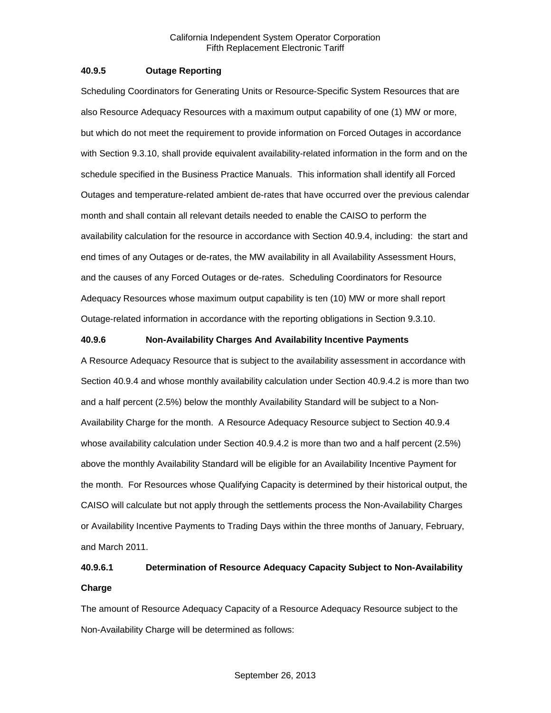### **40.9.5 Outage Reporting**

Scheduling Coordinators for Generating Units or Resource-Specific System Resources that are also Resource Adequacy Resources with a maximum output capability of one (1) MW or more, but which do not meet the requirement to provide information on Forced Outages in accordance with Section 9.3.10, shall provide equivalent availability-related information in the form and on the schedule specified in the Business Practice Manuals. This information shall identify all Forced Outages and temperature-related ambient de-rates that have occurred over the previous calendar month and shall contain all relevant details needed to enable the CAISO to perform the availability calculation for the resource in accordance with Section 40.9.4, including: the start and end times of any Outages or de-rates, the MW availability in all Availability Assessment Hours, and the causes of any Forced Outages or de-rates. Scheduling Coordinators for Resource Adequacy Resources whose maximum output capability is ten (10) MW or more shall report Outage-related information in accordance with the reporting obligations in Section 9.3.10.

### **40.9.6 Non-Availability Charges And Availability Incentive Payments**

A Resource Adequacy Resource that is subject to the availability assessment in accordance with Section 40.9.4 and whose monthly availability calculation under Section 40.9.4.2 is more than two and a half percent (2.5%) below the monthly Availability Standard will be subject to a Non-Availability Charge for the month. A Resource Adequacy Resource subject to Section 40.9.4 whose availability calculation under Section 40.9.4.2 is more than two and a half percent (2.5%) above the monthly Availability Standard will be eligible for an Availability Incentive Payment for the month. For Resources whose Qualifying Capacity is determined by their historical output, the CAISO will calculate but not apply through the settlements process the Non-Availability Charges or Availability Incentive Payments to Trading Days within the three months of January, February, and March 2011.

# **40.9.6.1 Determination of Resource Adequacy Capacity Subject to Non-Availability Charge**

The amount of Resource Adequacy Capacity of a Resource Adequacy Resource subject to the Non-Availability Charge will be determined as follows: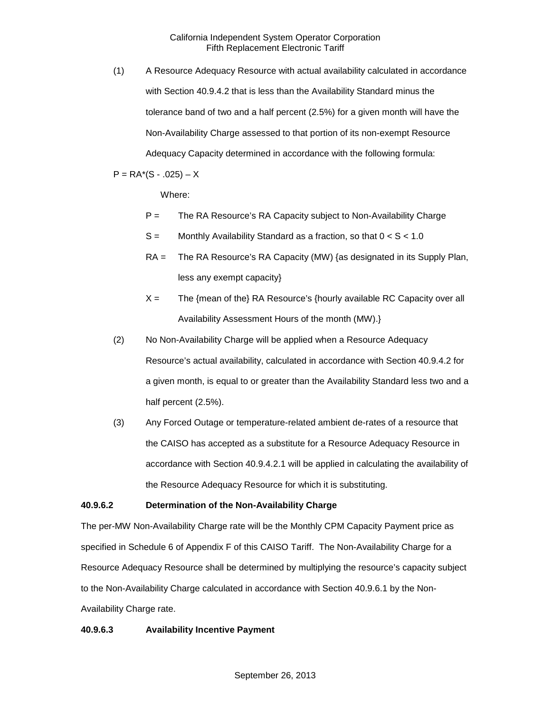(1) A Resource Adequacy Resource with actual availability calculated in accordance with Section 40.9.4.2 that is less than the Availability Standard minus the tolerance band of two and a half percent (2.5%) for a given month will have the Non-Availability Charge assessed to that portion of its non-exempt Resource Adequacy Capacity determined in accordance with the following formula:

 $P = RA*(S - .025) - X$ 

Where:

- P = The RA Resource's RA Capacity subject to Non-Availability Charge
- $S =$  Monthly Availability Standard as a fraction, so that  $0 < S < 1.0$
- RA = The RA Resource's RA Capacity (MW) {as designated in its Supply Plan, less any exempt capacity}
- $X =$  The {mean of the} RA Resource's {hourly available RC Capacity over all Availability Assessment Hours of the month (MW).}
- (2) No Non-Availability Charge will be applied when a Resource Adequacy Resource's actual availability, calculated in accordance with Section 40.9.4.2 for a given month, is equal to or greater than the Availability Standard less two and a half percent (2.5%).
- (3) Any Forced Outage or temperature-related ambient de-rates of a resource that the CAISO has accepted as a substitute for a Resource Adequacy Resource in accordance with Section 40.9.4.2.1 will be applied in calculating the availability of the Resource Adequacy Resource for which it is substituting.

# **40.9.6.2 Determination of the Non-Availability Charge**

The per-MW Non-Availability Charge rate will be the Monthly CPM Capacity Payment price as specified in Schedule 6 of Appendix F of this CAISO Tariff. The Non-Availability Charge for a Resource Adequacy Resource shall be determined by multiplying the resource's capacity subject to the Non-Availability Charge calculated in accordance with Section 40.9.6.1 by the Non-Availability Charge rate.

### **40.9.6.3 Availability Incentive Payment**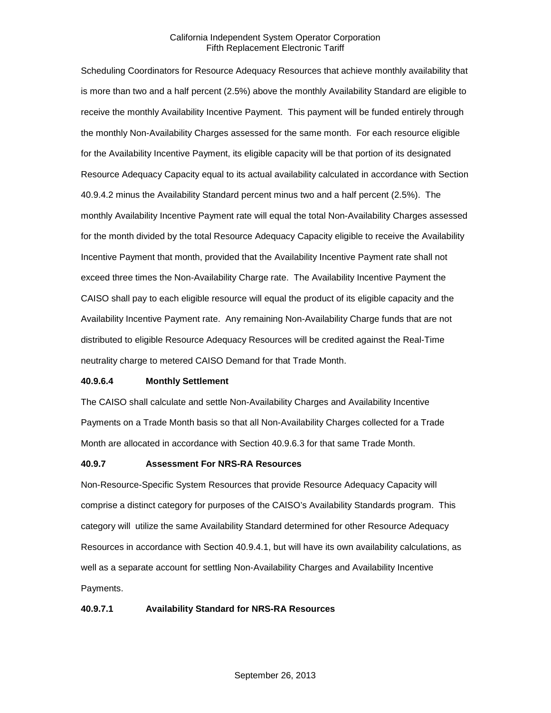Scheduling Coordinators for Resource Adequacy Resources that achieve monthly availability that is more than two and a half percent (2.5%) above the monthly Availability Standard are eligible to receive the monthly Availability Incentive Payment. This payment will be funded entirely through the monthly Non-Availability Charges assessed for the same month. For each resource eligible for the Availability Incentive Payment, its eligible capacity will be that portion of its designated Resource Adequacy Capacity equal to its actual availability calculated in accordance with Section 40.9.4.2 minus the Availability Standard percent minus two and a half percent (2.5%). The monthly Availability Incentive Payment rate will equal the total Non-Availability Charges assessed for the month divided by the total Resource Adequacy Capacity eligible to receive the Availability Incentive Payment that month, provided that the Availability Incentive Payment rate shall not exceed three times the Non-Availability Charge rate. The Availability Incentive Payment the CAISO shall pay to each eligible resource will equal the product of its eligible capacity and the Availability Incentive Payment rate. Any remaining Non-Availability Charge funds that are not distributed to eligible Resource Adequacy Resources will be credited against the Real-Time neutrality charge to metered CAISO Demand for that Trade Month.

### **40.9.6.4 Monthly Settlement**

The CAISO shall calculate and settle Non-Availability Charges and Availability Incentive Payments on a Trade Month basis so that all Non-Availability Charges collected for a Trade Month are allocated in accordance with Section 40.9.6.3 for that same Trade Month.

### **40.9.7 Assessment For NRS-RA Resources**

Non-Resource-Specific System Resources that provide Resource Adequacy Capacity will comprise a distinct category for purposes of the CAISO's Availability Standards program. This category will utilize the same Availability Standard determined for other Resource Adequacy Resources in accordance with Section 40.9.4.1, but will have its own availability calculations, as well as a separate account for settling Non-Availability Charges and Availability Incentive Payments.

# **40.9.7.1 Availability Standard for NRS-RA Resources**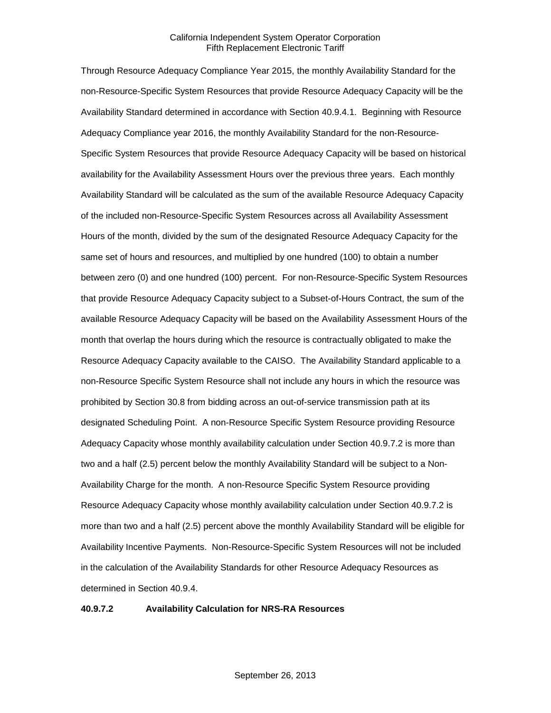Through Resource Adequacy Compliance Year 2015, the monthly Availability Standard for the non-Resource-Specific System Resources that provide Resource Adequacy Capacity will be the Availability Standard determined in accordance with Section 40.9.4.1. Beginning with Resource Adequacy Compliance year 2016, the monthly Availability Standard for the non-Resource-Specific System Resources that provide Resource Adequacy Capacity will be based on historical availability for the Availability Assessment Hours over the previous three years. Each monthly Availability Standard will be calculated as the sum of the available Resource Adequacy Capacity of the included non-Resource-Specific System Resources across all Availability Assessment Hours of the month, divided by the sum of the designated Resource Adequacy Capacity for the same set of hours and resources, and multiplied by one hundred (100) to obtain a number between zero (0) and one hundred (100) percent. For non-Resource-Specific System Resources that provide Resource Adequacy Capacity subject to a Subset-of-Hours Contract, the sum of the available Resource Adequacy Capacity will be based on the Availability Assessment Hours of the month that overlap the hours during which the resource is contractually obligated to make the Resource Adequacy Capacity available to the CAISO. The Availability Standard applicable to a non-Resource Specific System Resource shall not include any hours in which the resource was prohibited by Section 30.8 from bidding across an out-of-service transmission path at its designated Scheduling Point. A non-Resource Specific System Resource providing Resource Adequacy Capacity whose monthly availability calculation under Section 40.9.7.2 is more than two and a half (2.5) percent below the monthly Availability Standard will be subject to a Non-Availability Charge for the month. A non-Resource Specific System Resource providing Resource Adequacy Capacity whose monthly availability calculation under Section 40.9.7.2 is more than two and a half (2.5) percent above the monthly Availability Standard will be eligible for Availability Incentive Payments. Non-Resource-Specific System Resources will not be included in the calculation of the Availability Standards for other Resource Adequacy Resources as determined in Section 40.9.4.

**40.9.7.2 Availability Calculation for NRS-RA Resources**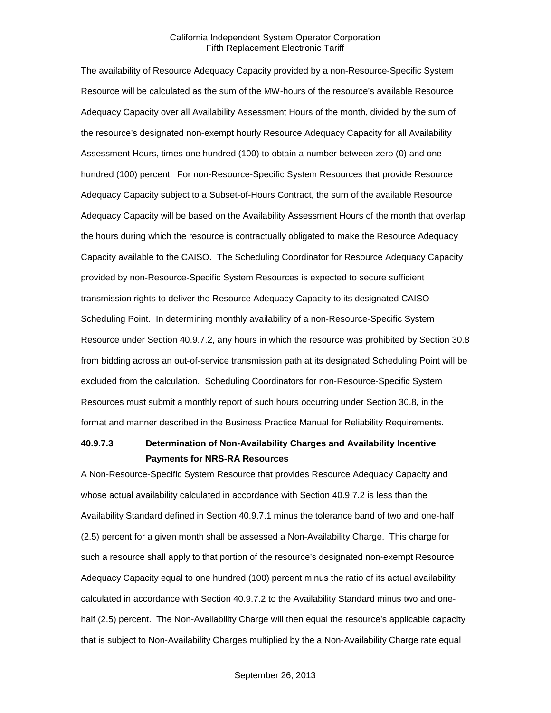The availability of Resource Adequacy Capacity provided by a non-Resource-Specific System Resource will be calculated as the sum of the MW-hours of the resource's available Resource Adequacy Capacity over all Availability Assessment Hours of the month, divided by the sum of the resource's designated non-exempt hourly Resource Adequacy Capacity for all Availability Assessment Hours, times one hundred (100) to obtain a number between zero (0) and one hundred (100) percent. For non-Resource-Specific System Resources that provide Resource Adequacy Capacity subject to a Subset-of-Hours Contract, the sum of the available Resource Adequacy Capacity will be based on the Availability Assessment Hours of the month that overlap the hours during which the resource is contractually obligated to make the Resource Adequacy Capacity available to the CAISO. The Scheduling Coordinator for Resource Adequacy Capacity provided by non-Resource-Specific System Resources is expected to secure sufficient transmission rights to deliver the Resource Adequacy Capacity to its designated CAISO Scheduling Point. In determining monthly availability of a non-Resource-Specific System Resource under Section 40.9.7.2, any hours in which the resource was prohibited by Section 30.8 from bidding across an out-of-service transmission path at its designated Scheduling Point will be excluded from the calculation. Scheduling Coordinators for non-Resource-Specific System Resources must submit a monthly report of such hours occurring under Section 30.8, in the format and manner described in the Business Practice Manual for Reliability Requirements.

# **40.9.7.3 Determination of Non-Availability Charges and Availability Incentive Payments for NRS-RA Resources**

A Non-Resource-Specific System Resource that provides Resource Adequacy Capacity and whose actual availability calculated in accordance with Section 40.9.7.2 is less than the Availability Standard defined in Section 40.9.7.1 minus the tolerance band of two and one-half (2.5) percent for a given month shall be assessed a Non-Availability Charge. This charge for such a resource shall apply to that portion of the resource's designated non-exempt Resource Adequacy Capacity equal to one hundred (100) percent minus the ratio of its actual availability calculated in accordance with Section 40.9.7.2 to the Availability Standard minus two and onehalf (2.5) percent. The Non-Availability Charge will then equal the resource's applicable capacity that is subject to Non-Availability Charges multiplied by the a Non-Availability Charge rate equal